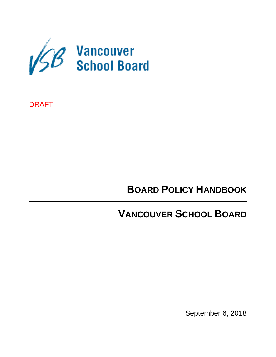

DRAFT

# **BOARD POLICY HANDBOOK**

# **VANCOUVER SCHOOL BOARD**

September 6, 2018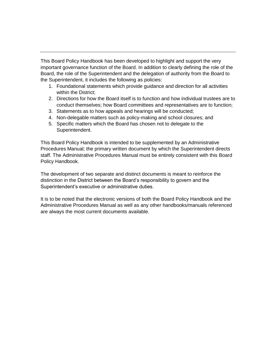This Board Policy Handbook has been developed to highlight and support the very important governance function of the Board. In addition to clearly defining the role of the Board, the role of the Superintendent and the delegation of authority from the Board to the Superintendent, it includes the following as policies:

- 1. Foundational statements which provide guidance and direction for all activities within the District;
- 2. Directions for how the Board itself is to function and how individual trustees are to conduct themselves; how Board committees and representatives are to function;
- 3. Statements as to how appeals and hearings will be conducted;
- 4. Non-delegable matters such as policy-making and school closures; and
- 5. Specific matters which the Board has chosen not to delegate to the Superintendent.

This Board Policy Handbook is intended to be supplemented by an Administrative Procedures Manual; the primary written document by which the Superintendent directs staff. The Administrative Procedures Manual must be entirely consistent with this Board Policy Handbook.

The development of two separate and distinct documents is meant to reinforce the distinction in the District between the Board's responsibility to govern and the Superintendent's executive or administrative duties.

It is to be noted that the electronic versions of both the Board Policy Handbook and the Administrative Procedures Manual as well as any other handbooks/manuals referenced are always the most current documents available.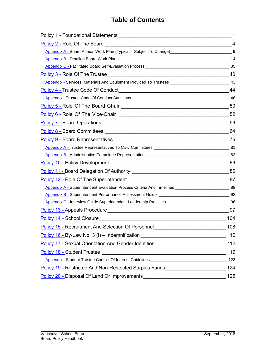## **Table of Contents**

| Appendix - Services, Materials And Equipment Provided To Trustees ________________________________ 43                                                                                                                          |     |
|--------------------------------------------------------------------------------------------------------------------------------------------------------------------------------------------------------------------------------|-----|
|                                                                                                                                                                                                                                |     |
|                                                                                                                                                                                                                                |     |
|                                                                                                                                                                                                                                |     |
|                                                                                                                                                                                                                                |     |
| Policy 7 - Board Operations 53 and 200 million to the state of the state of the state of the state of the state of the state of the state of the state of the state of the state of the state of the state of the state of the |     |
|                                                                                                                                                                                                                                |     |
|                                                                                                                                                                                                                                |     |
|                                                                                                                                                                                                                                |     |
|                                                                                                                                                                                                                                |     |
|                                                                                                                                                                                                                                |     |
|                                                                                                                                                                                                                                |     |
|                                                                                                                                                                                                                                |     |
| Appendix A - Superintendent Evaluation Process Criteria And Timelines ____________________________89                                                                                                                           |     |
|                                                                                                                                                                                                                                |     |
| Appendix C - Interview Guide Superintendent Leadership Practices___________________________________96                                                                                                                          |     |
|                                                                                                                                                                                                                                |     |
|                                                                                                                                                                                                                                |     |
| <u>Policy 15 - Recruitment And Selection Of Personnel ______________________________ 108</u>                                                                                                                                   |     |
|                                                                                                                                                                                                                                |     |
|                                                                                                                                                                                                                                |     |
|                                                                                                                                                                                                                                |     |
|                                                                                                                                                                                                                                |     |
| Policy 19 - Restricted And Non-Restricted Surplus Funds_________________________124                                                                                                                                            |     |
| Policy 20 - Disposal Of Land Or Improvements ___________________________________                                                                                                                                               | 125 |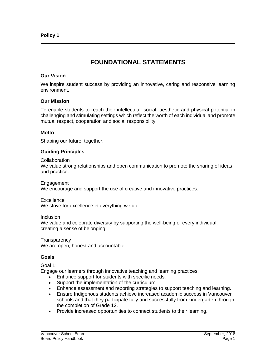### **FOUNDATIONAL STATEMENTS**

#### <span id="page-3-0"></span>**Our Vision**

We inspire student success by providing an innovative, caring and responsive learning environment.

#### **Our Mission**

To enable students to reach their intellectual, social, aesthetic and physical potential in challenging and stimulating settings which reflect the worth of each individual and promote mutual respect, cooperation and social responsibility.

#### **Motto**

Shaping our future, together.

#### **Guiding Principles**

#### Collaboration

We value strong relationships and open communication to promote the sharing of ideas and practice.

#### **Engagement**

We encourage and support the use of creative and innovative practices.

#### **Excellence**

We strive for excellence in everything we do.

Inclusion

We value and celebrate diversity by supporting the well-being of every individual, creating a sense of belonging.

**Transparency** We are open, honest and accountable.

#### **Goals**

Goal 1:

Engage our learners through innovative teaching and learning practices.

- Enhance support for students with specific needs.
- Support the implementation of the curriculum.
- Enhance assessment and reporting strategies to support teaching and learning.
- Ensure Indigenous students achieve increased academic success in Vancouver schools and that they participate fully and successfully from kindergarten through the completion of Grade 12.
- Provide increased opportunities to connect students to their learning.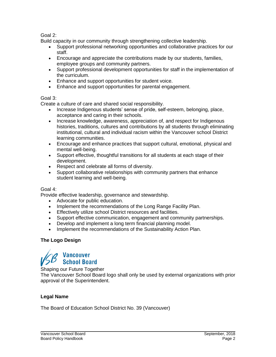Goal 2:

Build capacity in our community through strengthening collective leadership.

- Support professional networking opportunities and collaborative practices for our staff.
- Encourage and appreciate the contributions made by our students, families, employee groups and community partners.
- Support professional development opportunities for staff in the implementation of the curriculum.
- Enhance and support opportunities for student voice.
- Enhance and support opportunities for parental engagement.

### Goal 3:

Create a culture of care and shared social responsibility.

- Increase Indigenous students' sense of pride, self-esteem, belonging, place, acceptance and caring in their schools.
- Increase knowledge, awareness, appreciation of, and respect for Indigenous histories, traditions, cultures and contributions by all students through eliminating institutional, cultural and individual racism within the Vancouver school District learning communities.
- Encourage and enhance practices that support cultural, emotional, physical and mental well-being.
- Support effective, thoughtful transitions for all students at each stage of their development.
- Respect and celebrate all forms of diversity.
- Support collaborative relationships with community partners that enhance student learning and well-being.

#### Goal 4:

Provide effective leadership, governance and stewardship.

- Advocate for public education.
- Implement the recommendations of the Long Range Facility Plan.
- Effectively utilize school District resources and facilities.
- Support effective communication, engagement and community partnerships.
- Develop and implement a long term financial planning model.
- Implement the recommendations of the Sustainability Action Plan.

### **The Logo Design**

### **Vancouver School Board**

Shaping our Future Together

The Vancouver School Board logo shall only be used by external organizations with prior approval of the Superintendent.

### **Legal Name**

The Board of Education School District No. 39 (Vancouver)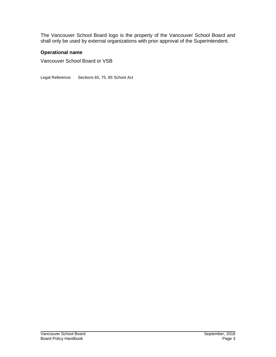The Vancouver School Board logo is the property of the Vancouver School Board and shall only be used by external organizations with prior approval of the Superintendent.

#### **Operational name**

Vancouver School Board or VSB

Legal Reference: Sections 65, 75, 85 School Act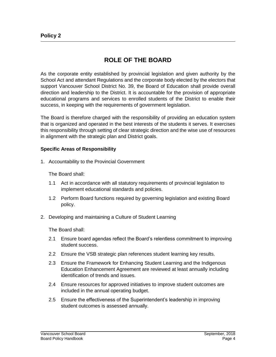## **ROLE OF THE BOARD**

<span id="page-6-0"></span>As the corporate entity established by provincial legislation and given authority by the School Act and attendant Regulations and the corporate body elected by the electors that support Vancouver School District No. 39, the Board of Education shall provide overall direction and leadership to the District. It is accountable for the provision of appropriate educational programs and services to enrolled students of the District to enable their success, in keeping with the requirements of government legislation.

The Board is therefore charged with the responsibility of providing an education system that is organized and operated in the best interests of the students it serves. It exercises this responsibility through setting of clear strategic direction and the wise use of resources in alignment with the strategic plan and District goals.

### **Specific Areas of Responsibility**

1. Accountability to the Provincial Government

The Board shall:

- 1.1 Act in accordance with all statutory requirements of provincial legislation to implement educational standards and policies.
- 1.2 Perform Board functions required by governing legislation and existing Board policy.
- 2. Developing and maintaining a Culture of Student Learning

The Board shall:

- 2.1 Ensure board agendas reflect the Board's relentless commitment to improving student success.
- 2.2 Ensure the VSB strategic plan references student learning key results.
- 2.3 Ensure the Framework for Enhancing Student Learning and the Indigenous Education Enhancement Agreement are reviewed at least annually including identification of trends and issues.
- 2.4 Ensure resources for approved initiatives to improve student outcomes are included in the annual operating budget.
- 2.5 Ensure the effectiveness of the Superintendent's leadership in improving student outcomes is assessed annually.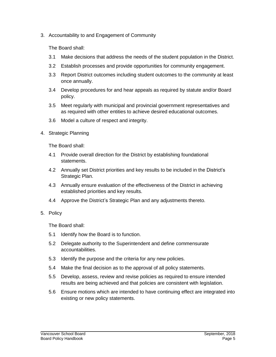3. Accountability to and Engagement of Community

The Board shall:

- 3.1 Make decisions that address the needs of the student population in the District.
- 3.2 Establish processes and provide opportunities for community engagement.
- 3.3 Report District outcomes including student outcomes to the community at least once annually.
- 3.4 Develop procedures for and hear appeals as required by statute and/or Board policy.
- 3.5 Meet regularly with municipal and provincial government representatives and as required with other entities to achieve desired educational outcomes.
- 3.6 Model a culture of respect and integrity.
- 4. Strategic Planning

The Board shall:

- 4.1 Provide overall direction for the District by establishing foundational statements.
- 4.2 Annually set District priorities and key results to be included in the District's Strategic Plan.
- 4.3 Annually ensure evaluation of the effectiveness of the District in achieving established priorities and key results.
- 4.4 Approve the District's Strategic Plan and any adjustments thereto.
- 5. Policy

The Board shall:

- 5.1 Identify how the Board is to function.
- 5.2 Delegate authority to the Superintendent and define commensurate accountabilities.
- 5.3 Identify the purpose and the criteria for any new policies.
- 5.4 Make the final decision as to the approval of all policy statements.
- 5.5 Develop, assess, review and revise policies as required to ensure intended results are being achieved and that policies are consistent with legislation.
- 5.6 Ensure motions which are intended to have continuing effect are integrated into existing or new policy statements.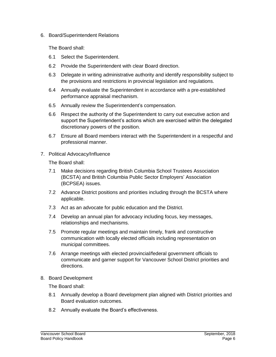6. Board/Superintendent Relations

The Board shall:

- 6.1 Select the Superintendent.
- 6.2 Provide the Superintendent with clear Board direction.
- 6.3 Delegate in writing administrative authority and identify responsibility subject to the provisions and restrictions in provincial legislation and regulations.
- 6.4 Annually evaluate the Superintendent in accordance with a pre-established performance appraisal mechanism.
- 6.5 Annually review the Superintendent's compensation.
- 6.6 Respect the authority of the Superintendent to carry out executive action and support the Superintendent's actions which are exercised within the delegated discretionary powers of the position.
- 6.7 Ensure all Board members interact with the Superintendent in a respectful and professional manner.
- 7. Political Advocacy/Influence

The Board shall:

- 7.1 Make decisions regarding British Columbia School Trustees Association (BCSTA) and British Columbia Public Sector Employers' Association (BCPSEA) issues.
- 7.2 Advance District positions and priorities including through the BCSTA where applicable.
- 7.3 Act as an advocate for public education and the District.
- 7.4 Develop an annual plan for advocacy including focus, key messages, relationships and mechanisms.
- 7.5 Promote regular meetings and maintain timely, frank and constructive communication with locally elected officials including representation on municipal committees.
- 7.6 Arrange meetings with elected provincial/federal government officials to communicate and garner support for Vancouver School District priorities and directions.
- 8. Board Development

The Board shall:

- 8.1 Annually develop a Board development plan aligned with District priorities and Board evaluation outcomes.
- 8.2 Annually evaluate the Board's effectiveness.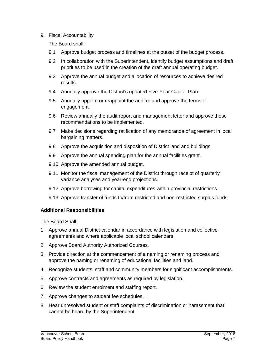### 9. Fiscal Accountability

The Board shall:

- 9.1 Approve budget process and timelines at the outset of the budget process.
- 9.2 In collaboration with the Superintendent, identify budget assumptions and draft priorities to be used in the creation of the draft annual operating budget.
- 9.3 Approve the annual budget and allocation of resources to achieve desired results.
- 9.4 Annually approve the District's updated Five-Year Capital Plan.
- 9.5 Annually appoint or reappoint the auditor and approve the terms of engagement.
- 9.6 Review annually the audit report and management letter and approve those recommendations to be implemented.
- 9.7 Make decisions regarding ratification of any memoranda of agreement in local bargaining matters.
- 9.8 Approve the acquisition and disposition of District land and buildings.
- 9.9 Approve the annual spending plan for the annual facilities grant.
- 9.10 Approve the amended annual budget.
- 9.11 Monitor the fiscal management of the District through receipt of quarterly variance analyses and year-end projections.
- 9.12 Approve borrowing for capital expenditures within provincial restrictions.
- 9.13 Approve transfer of funds to/from restricted and non-restricted surplus funds.

### **Additional Responsibilities**

The Board Shall:

- 1. Approve annual District calendar in accordance with legislation and collective agreements and where applicable local school calendars.
- 2. Approve Board Authority Authorized Courses.
- 3. Provide direction at the commencement of a naming or renaming process and approve the naming or renaming of educational facilities and land.
- 4. Recognize students, staff and community members for significant accomplishments.
- 5. Approve contracts and agreements as required by legislation.
- 6. Review the student enrolment and staffing report.
- 7. Approve changes to student fee schedules.
- 8. Hear unresolved student or staff complaints of discrimination or harassment that cannot be heard by the Superintendent.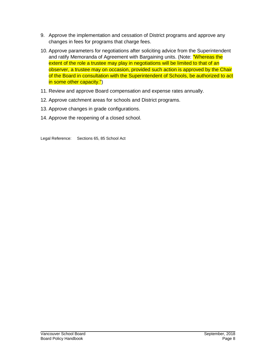- 9. Approve the implementation and cessation of District programs and approve any changes in fees for programs that charge fees.
- 10. Approve parameters for negotiations after soliciting advice from the Superintendent and ratify Memoranda of Agreement with Bargaining units. (Note: "Whereas the extent of the role a trustee may play in negotiations will be limited to that of an observer, a trustee may on occasion, provided such action is approved by the Chair of the Board in consultation with the Superintendent of Schools, be authorized to act in some other capacity.")
- 11. Review and approve Board compensation and expense rates annually.
- 12. Approve catchment areas for schools and District programs.
- 13. Approve changes in grade configurations.
- 14. Approve the reopening of a closed school.

Legal Reference: Sections 65, 85 School Act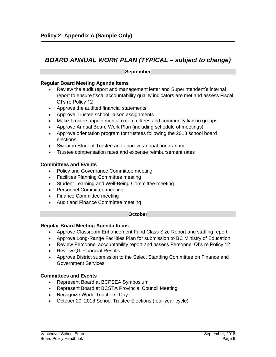### <span id="page-11-0"></span>*BOARD ANNUAL WORK PLAN (TYPICAL – subject to change)*

#### **September**

#### **Regular Board Meeting Agenda Items**

- Review the audit report and management letter and Superintendent's internal report to ensure fiscal accountability quality indicators are met and assess Fiscal QI's re Policy 12
- Approve the audited financial statements
- Approve Trustee school liaison assignments
- Make Trustee appointments to committees and community liaison groups
- Approve Annual Board Work Plan (including schedule of meetings)
- Approve orientation program for trustees following the 2018 school board elections
- Swear in Student Trustee and approve annual honorarium
- Trustee compensation rates and expense reimbursement rates

#### **Committees and Events**

- Policy and Governance Committee meeting
- Facilities Planning Committee meeting
- Student Learning and Well-Being Committee meeting
- Personnel Committee meeting
- Finance Committee meeting
- Audit and Finance Committee meeting

#### **October**

#### **Regular Board Meeting Agenda Items**

- Approve Classroom Enhancement Fund Class Size Report and staffing report
- Approve Long-Range Facilities Plan for submission to BC Ministry of Education
- Review Personnel accountability report and assess Personnel QI's re Policy 12
- Review Q1 Financial Results
- Approve District submission to the Select Standing Committee on Finance and Government Services

### **Committees and Events**

- Represent Board at BCPSEA Symposium
- Represent Board at BCSTA Provincial Council Meeting
- Recognize World Teachers' Day
- October 20, 2018 School Trustee Elections (four-year cycle)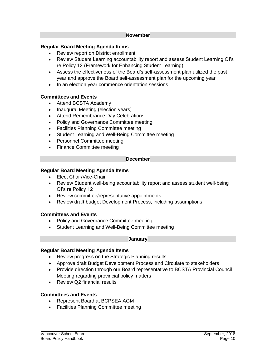#### **Regular Board Meeting Agenda Items**

- Review report on District enrollment
- Review Student Learning accountability report and assess Student Learning QI's re Policy 12 (Framework for Enhancing Student Learning)
- Assess the effectiveness of the Board's self-assessment plan utilized the past year and approve the Board self-assessment plan for the upcoming year
- In an election year commence orientation sessions

### **Committees and Events**

- Attend BCSTA Academy
- Inaugural Meeting (election years)
- Attend Remembrance Day Celebrations
- Policy and Governance Committee meeting
- Facilities Planning Committee meeting
- Student Learning and Well-Being Committee meeting
- Personnel Committee meeting
- Finance Committee meeting

#### **December**

#### **Regular Board Meeting Agenda Items**

- Elect Chair/Vice-Chair
- Review Student well-being accountability report and assess student well-being QI's re Policy 12
- Review committee/representative appointments
- Review draft budget Development Process, including assumptions

#### **Committees and Events**

- Policy and Governance Committee meeting
- Student Learning and Well-Being Committee meeting

#### **January**

#### **Regular Board Meeting Agenda Items**

- Review progress on the Strategic Planning results
- Approve draft Budget Development Process and Circulate to stakeholders
- Provide direction through our Board representative to BCSTA Provincial Council Meeting regarding provincial policy matters
- Review Q2 financial results

### **Committees and Events**

- Represent Board at BCPSEA AGM
- Facilities Planning Committee meeting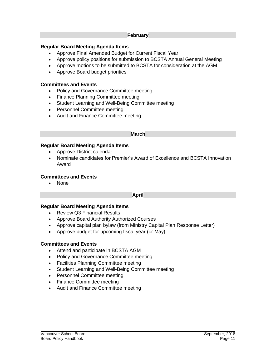#### **February**

#### **Regular Board Meeting Agenda Items**

- Approve Final Amended Budget for Current Fiscal Year
- Approve policy positions for submission to BCSTA Annual General Meeting
- Approve motions to be submitted to BCSTA for consideration at the AGM
- Approve Board budget priorities

### **Committees and Events**

- Policy and Governance Committee meeting
- Finance Planning Committee meeting
- Student Learning and Well-Being Committee meeting
- Personnel Committee meeting
- Audit and Finance Committee meeting

#### **March**

#### **Regular Board Meeting Agenda Items**

- Approve District calendar
- Nominate candidates for Premier's Award of Excellence and BCSTA Innovation Award

### **Committees and Events**

• None

#### **April**

#### **Regular Board Meeting Agenda Items**

- Review Q3 Financial Results
- Approve Board Authority Authorized Courses
- Approve capital plan bylaw (from Ministry Capital Plan Response Letter)
- Approve budget for upcoming fiscal year (or May)

#### **Committees and Events**

- Attend and participate in BCSTA AGM
- Policy and Governance Committee meeting
- Facilities Planning Committee meeting
- Student Learning and Well-Being Committee meeting
- Personnel Committee meeting
- Finance Committee meeting
- Audit and Finance Committee meeting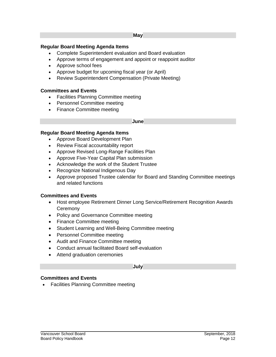**May**

#### **Regular Board Meeting Agenda Items**

- Complete Superintendent evaluation and Board evaluation
- Approve terms of engagement and appoint or reappoint auditor
- Approve school fees
- Approve budget for upcoming fiscal year (or April)
- Review Superintendent Compensation (Private Meeting)

### **Committees and Events**

- Facilities Planning Committee meeting
- Personnel Committee meeting
- Finance Committee meeting

#### **June**

#### **Regular Board Meeting Agenda Items**

- Approve Board Development Plan
- Review Fiscal accountability report
- Approve Revised Long-Range Facilities Plan
- Approve Five-Year Capital Plan submission
- Acknowledge the work of the Student Trustee
- Recognize National Indigenous Day
- Approve proposed Trustee calendar for Board and Standing Committee meetings and related functions

#### **Committees and Events**

- Host employee Retirement Dinner Long Service/Retirement Recognition Awards **Ceremony**
- Policy and Governance Committee meeting
- Finance Committee meeting
- Student Learning and Well-Being Committee meeting
- Personnel Committee meeting
- Audit and Finance Committee meeting
- Conduct annual facilitated Board self-evaluation
- Attend graduation ceremonies

#### **July**

#### **Committees and Events**

• Facilities Planning Committee meeting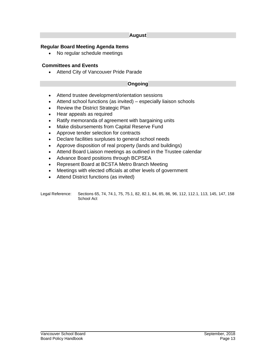### **Regular Board Meeting Agenda Items**

• No regular schedule meetings

### **Committees and Events**

• Attend City of Vancouver Pride Parade

### **Ongoing**

- Attend trustee development/orientation sessions
- Attend school functions (as invited) especially liaison schools
- Review the District Strategic Plan
- Hear appeals as required
- Ratify memoranda of agreement with bargaining units
- Make disbursements from Capital Reserve Fund
- Approve tender selection for contracts
- Declare facilities surpluses to general school needs
- Approve disposition of real property (lands and buildings)
- Attend Board Liaison meetings as outlined in the Trustee calendar
- Advance Board positions through BCPSEA
- Represent Board at BCSTA Metro Branch Meeting
- Meetings with elected officials at other levels of government
- Attend District functions (as invited)

Legal Reference: Sections 65, 74, 74.1, 75, 75.1, 82, 82.1, 84, 85, 86, 96, 112, 112.1, 113, 145, 147, 158 School Act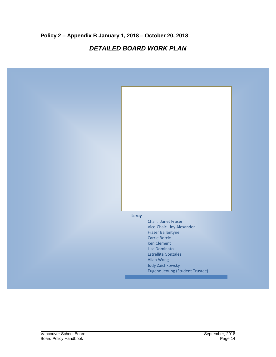## <span id="page-16-0"></span>*DETAILED BOARD WORK PLAN*

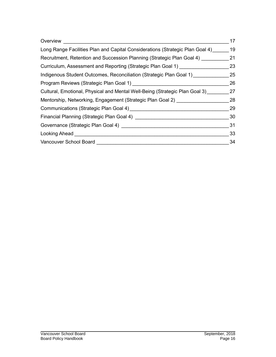| Overview                                                                             | 17 |
|--------------------------------------------------------------------------------------|----|
| Long Range Facilities Plan and Capital Considerations (Strategic Plan Goal 4) ______ | 19 |
| Recruitment, Retention and Succession Planning (Strategic Plan Goal 4) _________     | 21 |
| Curriculum, Assessment and Reporting (Strategic Plan Goal 1) ___________________     | 23 |
| Indigenous Student Outcomes, Reconciliation (Strategic Plan Goal 1) ___________      | 25 |
|                                                                                      | 26 |
| Cultural, Emotional, Physical and Mental Well-Being (Strategic Plan Goal 3)          | 27 |
| Mentorship, Networking, Engagement (Strategic Plan Goal 2) _____________________     | 28 |
|                                                                                      | 29 |
|                                                                                      | 30 |
|                                                                                      | 31 |
|                                                                                      | 33 |
| Vancouver School Board _________                                                     | 34 |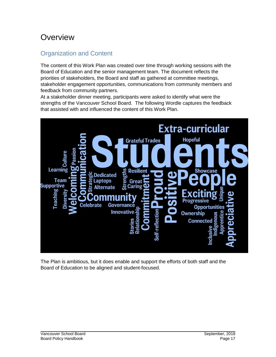# <span id="page-19-0"></span>**Overview**

### Organization and Content

The content of this Work Plan was created over time through working sessions with the Board of Education and the senior management team. The document reflects the priorities of stakeholders, the Board and staff as gathered at committee meetings, stakeholder engagement opportunities, communications from community members and feedback from community partners.

At a stakeholder dinner meeting, participants were asked to identify what were the strengths of the Vancouver School Board. The following Wordle captures the feedback that assisted with and influenced the content of this Work Plan.



The Plan is ambitious, but it does enable and support the efforts of both staff and the Board of Education to be aligned and student-focused.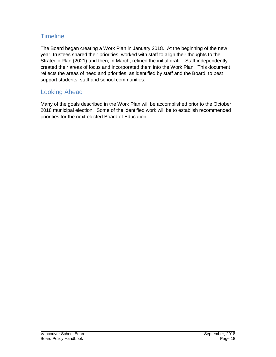### **Timeline**

The Board began creating a Work Plan in January 2018. At the beginning of the new year, trustees shared their priorities, worked with staff to align their thoughts to the Strategic Plan (2021) and then, in March, refined the initial draft. Staff independently created their areas of focus and incorporated them into the Work Plan. This document reflects the areas of need and priorities, as identified by staff and the Board, to best support students, staff and school communities.

### Looking Ahead

Many of the goals described in the Work Plan will be accomplished prior to the October 2018 municipal election. Some of the identified work will be to establish recommended priorities for the next elected Board of Education.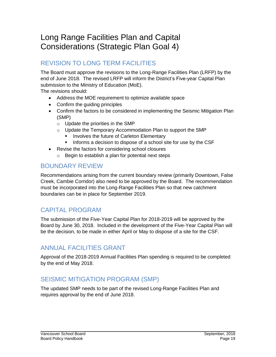# <span id="page-21-0"></span>Long Range Facilities Plan and Capital Considerations (Strategic Plan Goal 4)

## REVISION TO LONG TERM FACILITIES

The Board must approve the revisions to the Long-Range Facilities Plan (LRFP) by the end of June 2018. The revised LRFP will inform the District's Five-year Capital Plan submission to the Ministry of Education (MoE).

The revisions should:

- Address the MOE requirement to optimize available space
- Confirm the guiding principles
- Confirm the factors to be considered in implementing the Seismic Mitigation Plan (SMP)
	- $\circ$  Update the priorities in the SMP
	- o Update the Temporary Accommodation Plan to support the SMP
		- Involves the future of Carleton Elementary
		- Informs a decision to dispose of a school site for use by the CSF
- Revise the factors for considering school closures
	- o Begin to establish a plan for potential next steps

### BOUNDARY REVIEW

Recommendations arising from the current boundary review (primarily Downtown, False Creek, Cambie Corridor) also need to be approved by the Board. The recommendation must be incorporated into the Long-Range Facilities Plan so that new catchment boundaries can be in place for September 2019.

### CAPITAL PROGRAM

The submission of the Five-Year Capital Plan for 2018-2019 will be approved by the Board by June 30, 2018. Included in the development of the Five-Year Capital Plan will be the decision, to be made in either April or May to dispose of a site for the CSF.

### ANNUAL FACILITIES GRANT

Approval of the 2018-2019 Annual Facilities Plan spending is required to be completed by the end of May 2018.

### SEISMIC MITIGATION PROGRAM (SMP)

The updated SMP needs to be part of the revised Long-Range Facilities Plan and requires approval by the end of June 2018.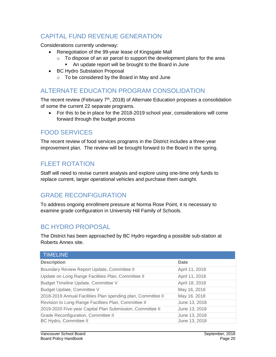### CAPITAL FUND REVENUE GENERATION

Considerations currently underway:

- Renegotiation of the 99-year lease of Kingsgate Mall
	- $\circ$  To dispose of an air parcel to support the development plans for the area
		- An update report will be brought to the Board in June
- BC Hydro Substation Proposal
	- o To be considered by the Board in May and June

### ALTERNATE EDUCATION PROGRAM CONSOLIDATION

The recent review (February  $7<sup>th</sup>$ , 2018) of Alternate Education proposes a consolidation of some the current 22 separate programs.

• For this to be in place for the 2018-2019 school year, considerations will come forward through the budget process

### FOOD SERVICES

The recent review of food services programs in the District includes a three-year improvement plan. The review will be brought forward to the Board in the spring.

## FLEET ROTATION

Staff will need to revise current analysis and explore using one-time only funds to replace current, larger operational vehicles and purchase them outright.

### GRADE RECONFIGURATION

To address ongoing enrollment pressure at Norma Rose Point, it is necessary to examine grade configuration in University Hill Family of Schools.

### BC HYDRO PROPOSAL

The District has been approached by BC Hydro regarding a possible sub-station at Roberts Annex site.

| <b>TIMELINE</b>                                              |                |
|--------------------------------------------------------------|----------------|
| <b>Description</b>                                           | Date           |
| Boundary Review Report Update, Committee II                  | April 11, 2018 |
| Update on Long Range Facilities Plan, Committee II           | April 11, 2018 |
| Budget Timeline Update, Committee V                          | April 18, 2018 |
| Budget Update, Committee V                                   | May 16, 2018   |
| 2018-2019 Annual Facilities Plan spending plan, Committee II | May 16, 2018   |
| Revision to Long-Range Facilities Plan, Committee II         | June 13, 2018  |
| 2019-2020 Five-year Capital Plan Submission, Committee II    | June 13, 2018  |
| Grade Reconfiguration, Committee II                          | June 13, 2018  |
| BC Hydro, Committee II                                       | June 13, 2018  |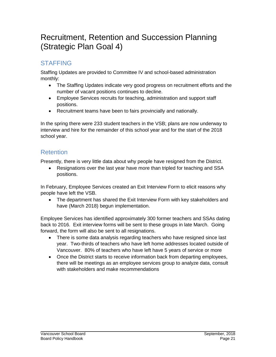# <span id="page-23-0"></span>Recruitment, Retention and Succession Planning (Strategic Plan Goal 4)

## **STAFFING**

Staffing Updates are provided to Committee IV and school-based administration monthly:

- The Staffing Updates indicate very good progress on recruitment efforts and the number of vacant positions continues to decline.
- Employee Services recruits for teaching, administration and support staff positions.
- Recruitment teams have been to fairs provincially and nationally.

In the spring there were 233 student teachers in the VSB; plans are now underway to interview and hire for the remainder of this school year and for the start of the 2018 school year.

### Retention

Presently, there is very little data about why people have resigned from the District.

• Resignations over the last year have more than tripled for teaching and SSA positions.

In February, Employee Services created an Exit Interview Form to elicit reasons why people have left the VSB.

• The department has shared the Exit Interview Form with key stakeholders and have (March 2018) begun implementation.

Employee Services has identified approximately 300 former teachers and SSAs dating back to 2016. Exit interview forms will be sent to these groups in late March. Going forward, the form will also be sent to all resignations.

- There is some data analysis regarding teachers who have resigned since last year. Two-thirds of teachers who have left home addresses located outside of Vancouver. 80% of teachers who have left have 5 years of service or more
- Once the District starts to receive information back from departing employees, there will be meetings as an employee services group to analyze data, consult with stakeholders and make recommendations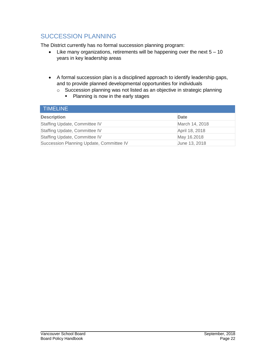### SUCCESSION PLANNING

The District currently has no formal succession planning program:

- Like many organizations, retirements will be happening over the next  $5 10$ years in key leadership areas
- A formal succession plan is a disciplined approach to identify leadership gaps, and to provide planned developmental opportunities for individuals
	- o Succession planning was not listed as an objective in strategic planning
		- Planning is now in the early stages

| <b>TIMELINE</b>                          |                |
|------------------------------------------|----------------|
| <b>Description</b>                       | Date           |
| Staffing Update, Committee IV            | March 14, 2018 |
| Staffing Update, Committee IV            | April 18, 2018 |
| Staffing Update, Committee IV            | May 16.2018    |
| Succession Planning Update, Committee IV | June 13, 2018  |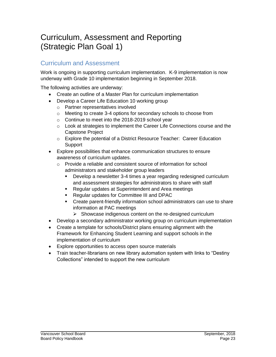# <span id="page-25-0"></span>Curriculum, Assessment and Reporting (Strategic Plan Goal 1)

### Curriculum and Assessment

Work is ongoing in supporting curriculum implementation. K-9 implementation is now underway with Grade 10 implementation beginning in September 2018.

The following activities are underway:

- Create an outline of a Master Plan for curriculum implementation
- Develop a Career Life Education 10 working group
	- o Partner representatives involved
	- o Meeting to create 3-4 options for secondary schools to choose from
	- o Continue to meet into the 2018-2019 school year
	- $\circ$  Look at strategies to implement the Career Life Connections course and the Capstone Project
	- o Explore the potential of a District Resource Teacher: Career Education **Support**
- Explore possibilities that enhance communication structures to ensure awareness of curriculum updates.
	- o Provide a reliable and consistent source of information for school administrators and stakeholder group leaders
		- Develop a newsletter 3-4 times a year regarding redesigned curriculum and assessment strategies for administrators to share with staff
		- Regular updates at Superintendent and Area meetings
		- Regular updates for Committee III and DPAC
		- Create parent-friendly information school administrators can use to share information at PAC meetings
			- ➢ Showcase indigenous content on the re-designed curriculum
- Develop a secondary administrator working group on curriculum implementation
- Create a template for schools/District plans ensuring alignment with the Framework for Enhancing Student Learning and support schools in the implementation of curriculum
- Explore opportunities to access open source materials
- Train teacher-librarians on new library automation system with links to "Destiny Collections" intended to support the new curriculum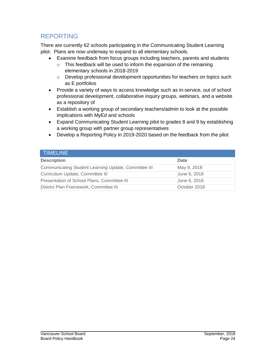### REPORTING

There are currently 62 schools participating in the Communicating Student Learning pilot. Plans are now underway to expand to all elementary schools.

- Examine feedback from focus groups including teachers, parents and students
	- $\circ$  This feedback will be used to inform the expansion of the remaining elementary schools in 2018-2019
	- $\circ$  Develop professional development opportunities for teachers on topics such as E portfolios
- Provide a variety of ways to access knowledge such as in-service, out of school professional development, collaborative inquiry groups, webinars, and a website as a repository of
- Establish a working group of secondary teachers/admin to look at the possible implications with MyEd and schools
- Expand Communicating Student Learning pilot to grades 8 and 9 by establishing a working group with partner group representatives
- Develop a Reporting Policy in 2019-2020 based on the feedback from the pilot

| <b>TIMELINE</b>                                      |              |
|------------------------------------------------------|--------------|
| <b>Description</b>                                   | Date         |
| Communicating Student Learning Update, Committee III | May 9, 2018  |
| Curriculum Update, Committee III                     | June 6, 2018 |
| Presentation of School Plans, Committee III          | June 6, 2018 |
| District Plan Framework, Committee III               | October 2018 |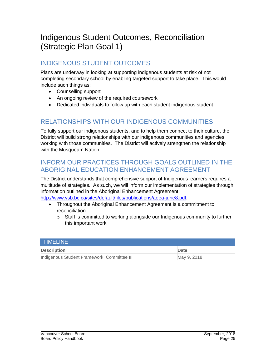# <span id="page-27-0"></span>Indigenous Student Outcomes, Reconciliation (Strategic Plan Goal 1)

## INDIGENOUS STUDENT OUTCOMES

Plans are underway in looking at supporting indigenous students at risk of not completing secondary school by enabling targeted support to take place. This would include such things as:

- Counselling support
- An ongoing review of the required coursework
- Dedicated individuals to follow up with each student indigenous student

## RELATIONSHIPS WITH OUR INDIGENOUS COMMUNITIES

To fully support our indigenous students, and to help them connect to their culture, the District will build strong relationships with our indigenous communities and agencies working with those communities. The District will actively strengthen the relationship with the Musqueam Nation.

### INFORM OUR PRACTICES THROUGH GOALS OUTLINED IN THE ABORIGINAL EDUCATION ENHANCEMENT AGREEMENT

The District understands that comprehensive support of Indigenous learners requires a multitude of strategies. As such, we will inform our implementation of strategies through information outlined in the Aboriginal Enhancement Agreement:

[http://www.vsb.bc.ca/sites/default/files/publications/aeea-june8.pdf.](http://www.vsb.bc.ca/sites/default/files/publications/aeea-june8.pdf)

- Throughout the Aboriginal Enhancement Agreement is a commitment to reconciliation
	- $\circ$  Staff is committed to working alongside our Indigenous community to further this important work

| <b>TIMELINE</b>                             |             |
|---------------------------------------------|-------------|
| <b>Description</b>                          | Date        |
| Indigenous Student Framework, Committee III | May 9, 2018 |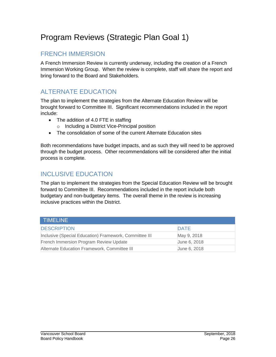# <span id="page-28-0"></span>Program Reviews (Strategic Plan Goal 1)

### FRENCH IMMERSION

A French Immersion Review is currently underway, including the creation of a French Immersion Working Group. When the review is complete, staff will share the report and bring forward to the Board and Stakeholders.

### ALTERNATE EDUCATION

The plan to implement the strategies from the Alternate Education Review will be brought forward to Committee III. Significant recommendations included in the report include:

- The addition of 4.0 FTE in staffing
- o Including a District Vice-Principal position
- The consolidation of some of the current Alternate Education sites

Both recommendations have budget impacts, and as such they will need to be approved through the budget process. Other recommendations will be considered after the initial process is complete.

### INCLUSIVE EDUCATION

The plan to implement the strategies from the Special Education Review will be brought forward to Committee III. Recommendations included in the report include both budgetary and non-budgetary items. The overall theme in the review is increasing inclusive practices within the District.

| I TIMELINE I                                           |              |
|--------------------------------------------------------|--------------|
| <b>DESCRIPTION</b>                                     | <b>DATE</b>  |
| Inclusive (Special Education) Framework, Committee III | May 9, 2018  |
| French Immersion Program Review Update                 | June 6, 2018 |
| Alternate Education Framework, Committee III           | June 6, 2018 |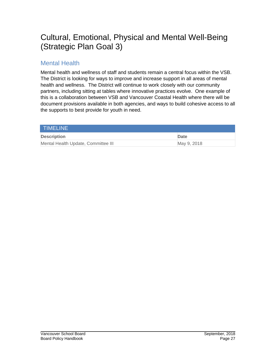# <span id="page-29-0"></span>Cultural, Emotional, Physical and Mental Well-Being (Strategic Plan Goal 3)

### Mental Health

Mental health and wellness of staff and students remain a central focus within the VSB. The District is looking for ways to improve and increase support in all areas of mental health and wellness. The District will continue to work closely with our community partners, including sitting at tables where innovative practices evolve. One example of this is a collaboration between VSB and Vancouver Coastal Health where there will be document provisions available in both agencies, and ways to build cohesive access to all the supports to best provide for youth in need.

| <b>TIMELINE</b>                     |             |
|-------------------------------------|-------------|
| <b>Description</b>                  | Date        |
| Mental Health Update, Committee III | May 9, 2018 |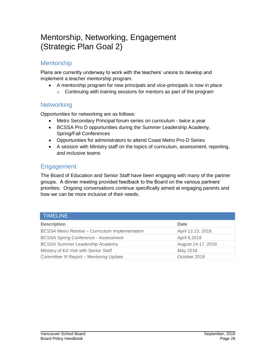# <span id="page-30-0"></span>Mentorship, Networking, Engagement (Strategic Plan Goal 2)

### **Mentorship**

Plans are currently underway to work with the teachers' unions to develop and implement a teacher mentorship program.

- A mentorship program for new principals and vice-principals is now in place
	- o Continuing with training sessions for mentors as part of the program

### **Networking**

Opportunities for networking are as follows:

- Metro Secondary Principal forum series on curriculum twice a year
- BCSSA Pro D opportunities during the Summer Leadership Academy, Spring/Fall Conferences
- Opportunities for administrators to attend Coast Metro Pro-D Series
- A session with Ministry staff on the topics of curriculum, assessment, reporting, and inclusive teams

### Engagement

The Board of Education and Senior Staff have been engaging with many of the partner groups. A dinner meeting provided feedback to the Board on the various partners' priorities. Ongoing conversations continue specifically aimed at engaging parents and how we can be more inclusive of their needs.

| <b>TIMELINE</b>                                        |                    |
|--------------------------------------------------------|--------------------|
| <b>Description</b>                                     | Date               |
| <b>BCSSA Metro Retreat - Curriculum Implementation</b> | April 12,13, 2018  |
| <b>BCSSA Spring Conference - Assessment</b>            | April 8,2018       |
| <b>BCSSA Summer Leadership Academy</b>                 | August 14-17, 2018 |
| Ministry of Ed Visit with Senior Staff                 | May 2018           |
| Committee III Report - Mentoring Update                | October 2018       |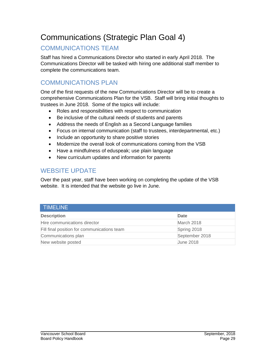# <span id="page-31-0"></span>Communications (Strategic Plan Goal 4)

### COMMUNICATIONS TEAM

Staff has hired a Communications Director who started in early April 2018. The Communications Director will be tasked with hiring one additional staff member to complete the communications team.

### COMMUNICATIONS PLAN

One of the first requests of the new Communications Director will be to create a comprehensive Communications Plan for the VSB. Staff will bring initial thoughts to trustees in June 2018. Some of the topics will include:

- Roles and responsibilities with respect to communication
- Be inclusive of the cultural needs of students and parents
- Address the needs of English as a Second Language families
- Focus on internal communication (staff to trustees, interdepartmental, etc.)
- Include an opportunity to share positive stories
- Modernize the overall look of communications coming from the VSB
- Have a mindfulness of eduspeak; use plain language
- New curriculum updates and information for parents

### WEBSITE UPDATE

Over the past year, staff have been working on completing the update of the VSB website. It is intended that the website go live in June.

| <b>TIMELINE</b>                             |                  |
|---------------------------------------------|------------------|
| <b>Description</b>                          | Date             |
| Hire communications director                | March 2018       |
| Fill final position for communications team | Spring 2018      |
| Communications plan                         | September 2018   |
| New website posted                          | <b>June 2018</b> |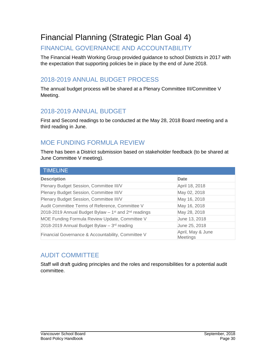# <span id="page-32-0"></span>Financial Planning (Strategic Plan Goal 4)

## FINANCIAL GOVERNANCE AND ACCOUNTABILITY

The Financial Health Working Group provided guidance to school Districts in 2017 with the expectation that supporting policies be in place by the end of June 2018.

### 2018-2019 ANNUAL BUDGET PROCESS

The annual budget process will be shared at a Plenary Committee III/Committee V Meeting.

### 2018-2019 ANNUAL BUDGET

First and Second readings to be conducted at the May 28, 2018 Board meeting and a third reading in June.

## MOE FUNDING FORMULA REVIEW

There has been a District submission based on stakeholder feedback (to be shared at June Committee V meeting).

| <b>TIMELINE</b>                                                                |                                      |  |
|--------------------------------------------------------------------------------|--------------------------------------|--|
| <b>Description</b>                                                             | <b>Date</b>                          |  |
| Plenary Budget Session, Committee III/V                                        | April 18, 2018                       |  |
| Plenary Budget Session, Committee III/V                                        | May 02, 2018                         |  |
| Plenary Budget Session, Committee III/V                                        | May 16, 2018                         |  |
| Audit Committee Terms of Reference, Committee V                                | May 16, 2018                         |  |
| 2018-2019 Annual Budget Bylaw $-$ 1 <sup>st</sup> and 2 <sup>nd</sup> readings | May 28, 2018                         |  |
| MOE Funding Formula Review Update, Committee V                                 | June 13, 2018                        |  |
| 2018-2019 Annual Budget Bylaw - 3rd reading                                    | June 25, 2018                        |  |
| Financial Governance & Accountability, Committee V                             | April, May & June<br><b>Meetings</b> |  |

## AUDIT COMMITTEE

Staff will draft guiding principles and the roles and responsibilities for a potential audit committee.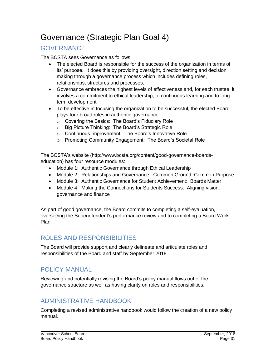# <span id="page-33-0"></span>Governance (Strategic Plan Goal 4)

### GOVERNANCE

The BCSTA sees Governance as follows:

- The elected Board is responsible for the success of the organization in terms of its' purpose. It does this by providing oversight, direction setting and decision making through a governance process which includes defining roles, relationships, structures and processes.
- Governance embraces the highest levels of effectiveness and, for each trustee, it involves a commitment to ethical leadership, to continuous learning and to longterm development
- To be effective in focusing the organization to be successful, the elected Board plays four broad roles in authentic governance:
	- o Covering the Basics: The Board's Fiduciary Role
	- o Big Picture Thinking: The Board's Strategic Role
	- o Continuous Improvement: The Board's Innovative Role
	- o Promoting Community Engagement: The Board's Societal Role

The BCSTA's website (http://www.bcsta.org/content/good-governance-boardseducation) has four resource modules:

- Module 1: Authentic Governance through Ethical Leadership
- Module 2: Relationships and Governance: Common Ground, Common Purpose
- Module 3: Authentic Governance for Student Achievement: Boards Matter!
- Module 4: Making the Connections for Students Success: Aligning vision, governance and finance

As part of good governance, the Board commits to completing a self-evaluation, overseeing the Superintendent's performance review and to completing a Board Work Plan.

## ROLES AND RESPONSIBILITIES

The Board will provide support and clearly delineate and articulate roles and responsibilities of the Board and staff by September 2018.

## POLICY MANUAL

Reviewing and potentially revising the Board's policy manual flows out of the governance structure as well as having clarity on roles and responsibilities.

## ADMINISTRATIVE HANDBOOK

Completing a revised administrative handbook would follow the creation of a new policy manual.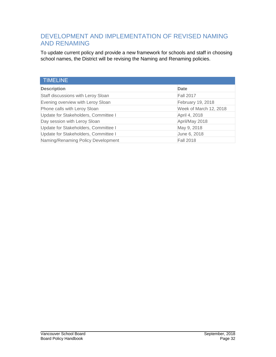### DEVELOPMENT AND IMPLEMENTATION OF REVISED NAMING AND RENAMING

To update current policy and provide a new framework for schools and staff in choosing school names, the District will be revising the Naming and Renaming policies.

| <b>TIMELINE</b>                      |                        |  |
|--------------------------------------|------------------------|--|
| <b>Description</b>                   | Date                   |  |
| Staff discussions with Leroy Sloan   | <b>Fall 2017</b>       |  |
| Evening overview with Leroy Sloan    | February 19, 2018      |  |
| Phone calls with Leroy Sloan         | Week of March 12, 2018 |  |
| Update for Stakeholders, Committee I | April 4, 2018          |  |
| Day session with Leroy Sloan         | April/May 2018         |  |
| Update for Stakeholders, Committee I | May 9, 2018            |  |
| Update for Stakeholders, Committee I | June 6, 2018           |  |
| Naming/Renaming Policy Development   | <b>Fall 2018</b>       |  |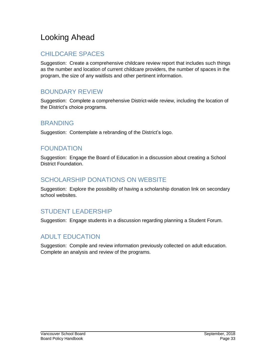# <span id="page-35-0"></span>Looking Ahead

### CHILDCARE SPACES

Suggestion: Create a comprehensive childcare review report that includes such things as the number and location of current childcare providers, the number of spaces in the program, the size of any waitlists and other pertinent information.

### BOUNDARY REVIEW

Suggestion: Complete a comprehensive District-wide review, including the location of the District's choice programs.

### BRANDING

Suggestion: Contemplate a rebranding of the District's logo.

### FOUNDATION

Suggestion: Engage the Board of Education in a discussion about creating a School District Foundation.

### SCHOLARSHIP DONATIONS ON WEBSITE

Suggestion: Explore the possibility of having a scholarship donation link on secondary school websites.

### STUDENT LEADERSHIP

Suggestion: Engage students in a discussion regarding planning a Student Forum.

### ADULT EDUCATION

Suggestion: Compile and review information previously collected on adult education. Complete an analysis and review of the programs.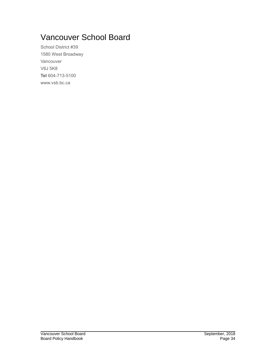# Vancouver School Board

School District #39 1580 West Broadway Vancouver V6J 5K8 **Tel** 604-713-5100 www.vsb.bc.ca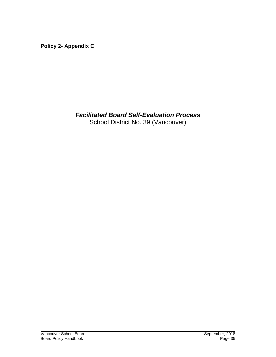# *Facilitated Board Self-Evaluation Process*

School District No. 39 (Vancouver)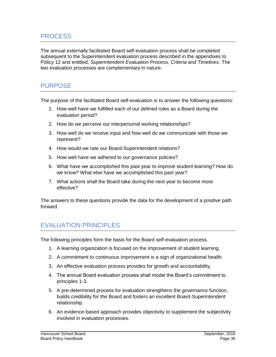### PROCESS

The annual externally facilitated Board self-evaluation process shall be completed subsequent to the Superintendent evaluation process described in the appendixes to Policy 12 and entitled, *Superintendent Evaluation Process, Criteria and Timelines*. The two evaluation processes are complementary in nature.

### PURPOSE

The purpose of the facilitated Board self-evaluation is to answer the following questions:

- 1. How well have we fulfilled each of our defined roles as a Board during the evaluation period?
- 2. How do we perceive our interpersonal working relationships?
- 3. How well do we receive input and how well do we communicate with those we represent?
- 4. How would we rate our Board-Superintendent relations?
- 5. How well have we adhered to our governance policies?
- 6. What have we accomplished this past year to improve student learning? How do we know? What else have we accomplished this past year?
- 7. What actions shall the Board take during the next year to become more effective?

The answers to these questions provide the data for the development of a positive path forward.

### EVALUATION PRINCIPLES

The following principles form the basis for the Board self-evaluation process.

- 1. A learning organization is focused on the improvement of student learning.
- 2. A commitment to continuous improvement is a sign of organizational health.
- 3. An effective evaluation process provides for growth and accountability.
- 4. The annual Board evaluation process shall model the Board's commitment to principles 1-3.
- 5. A pre-determined process for evaluation strengthens the governance function, builds credibility for the Board and fosters an excellent Board-Superintendent relationship.
- 6. An evidence-based approach provides objectivity to supplement the subjectivity involved in evaluation processes.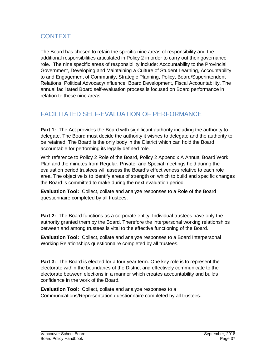### CONTEXT

The Board has chosen to retain the specific nine areas of responsibility and the additional responsibilities articulated in Policy 2 in order to carry out their governance role. The nine specific areas of responsibility include: Accountability to the Provincial Government, Developing and Maintaining a Culture of Student Learning, Accountability to and Engagement of Community, Strategic Planning, Policy, Board/Superintendent Relations, Political Advocacy/Influence, Board Development, Fiscal Accountability. The annual facilitated Board self-evaluation process is focused on Board performance in relation to these nine areas.

### FACILITATED SELF-EVALUATION OF PERFORMANCE

**Part 1:** The Act provides the Board with significant authority including the authority to delegate. The Board must decide the authority it wishes to delegate and the authority to be retained. The Board is the only body in the District which can hold the Board accountable for performing its legally defined role.

With reference to Policy 2 Role of the Board, Policy 2 Appendix A Annual Board Work Plan and the minutes from Regular, Private, and Special meetings held during the evaluation period trustees will assess the Board's effectiveness relative to each role area. The objective is to identify areas of strength on which to build and specific changes the Board is committed to make during the next evaluation period.

**Evaluation Tool:** Collect, collate and analyze responses to a Role of the Board questionnaire completed by all trustees.

**Part 2:** The Board functions as a corporate entity. Individual trustees have only the authority granted them by the Board. Therefore the interpersonal working relationships between and among trustees is vital to the effective functioning of the Board.

**Evaluation Tool:** Collect, collate and analyze responses to a Board Interpersonal Working Relationships questionnaire completed by all trustees.

**Part 3:** The Board is elected for a four year term. One key role is to represent the electorate within the boundaries of the District and effectively communicate to the electorate between elections in a manner which creates accountability and builds confidence in the work of the Board.

**Evaluation Tool:** Collect, collate and analyze responses to a Communications/Representation questionnaire completed by all trustees.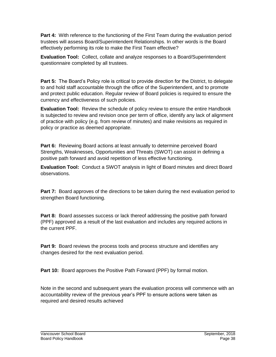**Part 4:** With reference to the functioning of the First Team during the evaluation period trustees will assess Board/Superintendent Relationships. In other words is the Board effectively performing its role to make the First Team effective?

**Evaluation Tool:** Collect, collate and analyze responses to a Board/Superintendent questionnaire completed by all trustees.

**Part 5:** The Board's Policy role is critical to provide direction for the District, to delegate to and hold staff accountable through the office of the Superintendent, and to promote and protect public education. Regular review of Board policies is required to ensure the currency and effectiveness of such policies.

**Evaluation Tool:** Review the schedule of policy review to ensure the entire Handbook is subjected to review and revision once per term of office, identify any lack of alignment of practice with policy (e.g. from review of minutes) and make revisions as required in policy or practice as deemed appropriate.

**Part 6:** Reviewing Board actions at least annually to determine perceived Board Strengths, Weaknesses, Opportunities and Threats (SWOT) can assist in defining a positive path forward and avoid repetition of less effective functioning.

**Evaluation Tool:** Conduct a SWOT analysis in light of Board minutes and direct Board observations.

**Part 7:** Board approves of the directions to be taken during the next evaluation period to strengthen Board functioning.

**Part 8:** Board assesses success or lack thereof addressing the positive path forward (PPF) approved as a result of the last evaluation and includes any required actions in the current PPF.

**Part 9:** Board reviews the process tools and process structure and identifies any changes desired for the next evaluation period.

**Part 10:** Board approves the Positive Path Forward (PPF) by formal motion.

Note in the second and subsequent years the evaluation process will commence with an accountability review of the previous year's PPF to ensure actions were taken as required and desired results achieved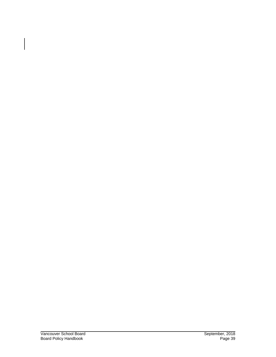Vancouver School Board September, 2018 Board Policy Handbook Page 39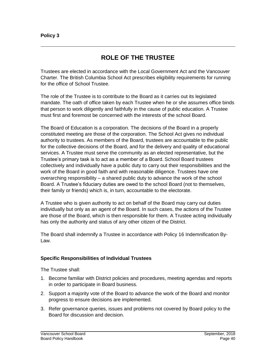# **ROLE OF THE TRUSTEE**

Trustees are elected in accordance with the Local Government Act and the Vancouver Charter. The British Columbia School Act prescribes eligibility requirements for running for the office of School Trustee.

The role of the Trustee is to contribute to the Board as it carries out its legislated mandate. The oath of office taken by each Trustee when he or she assumes office binds that person to work diligently and faithfully in the cause of public education. A Trustee must first and foremost be concerned with the interests of the school Board.

The Board of Education is a corporation. The decisions of the Board in a properly constituted meeting are those of the corporation. The School Act gives no individual authority to trustees. As members of the Board, trustees are accountable to the public for the collective decisions of the Board, and for the delivery and quality of educational services. A Trustee must serve the community as an elected representative, but the Trustee's primary task is to act as a member of a Board. School Board trustees collectively and individually have a public duty to carry out their responsibilities and the work of the Board in good faith and with reasonable diligence. Trustees have one overarching responsibility – a shared public duty to advance the work of the school Board. A Trustee's fiduciary duties are owed to the school Board (not to themselves, their family or friends) which is, in turn, accountable to the electorate.

A Trustee who is given authority to act on behalf of the Board may carry out duties individually but only as an agent of the Board. In such cases, the actions of the Trustee are those of the Board, which is then responsible for them. A Trustee acting individually has only the authority and status of any other citizen of the District.

The Board shall indemnify a Trustee in accordance with Policy 16 Indemnification By-Law.

#### **Specific Responsibilities of Individual Trustees**

The Trustee shall:

- 1. Become familiar with District policies and procedures, meeting agendas and reports in order to participate in Board business.
- 2. Support a majority vote of the Board to advance the work of the Board and monitor progress to ensure decisions are implemented.
- 3. Refer governance queries, issues and problems not covered by Board policy to the Board for discussion and decision.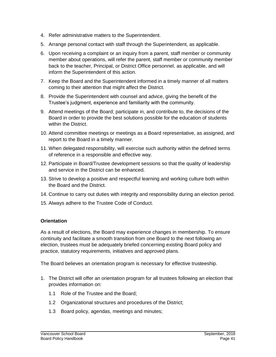- 4. Refer administrative matters to the Superintendent.
- 5. Arrange personal contact with staff through the Superintendent, as applicable.
- 6. Upon receiving a complaint or an inquiry from a parent, staff member or community member about operations, will refer the parent, staff member or community member back to the teacher, Principal, or District Office personnel, as applicable, and will inform the Superintendent of this action.
- 7. Keep the Board and the Superintendent informed in a timely manner of all matters coming to their attention that might affect the District.
- 8. Provide the Superintendent with counsel and advice, giving the benefit of the Trustee's judgment, experience and familiarity with the community.
- 9. Attend meetings of the Board; participate in, and contribute to, the decisions of the Board in order to provide the best solutions possible for the education of students within the District.
- 10. Attend committee meetings or meetings as a Board representative, as assigned, and report to the Board in a timely manner.
- 11. When delegated responsibility, will exercise such authority within the defined terms of reference in a responsible and effective way.
- 12. Participate in Board/Trustee development sessions so that the quality of leadership and service in the District can be enhanced.
- 13. Strive to develop a positive and respectful learning and working culture both within the Board and the District.
- 14. Continue to carry out duties with integrity and responsibility during an election period.
- 15. Always adhere to the Trustee Code of Conduct.

#### **Orientation**

As a result of elections, the Board may experience changes in membership. To ensure continuity and facilitate a smooth transition from one Board to the next following an election, trustees must be adequately briefed concerning existing Board policy and practice, statutory requirements, initiatives and approved plans.

The Board believes an orientation program is necessary for effective trusteeship.

- 1. The District will offer an orientation program for all trustees following an election that provides information on:
	- 1.1 Role of the Trustee and the Board;
	- 1.2 Organizational structures and procedures of the District;
	- 1.3 Board policy, agendas, meetings and minutes;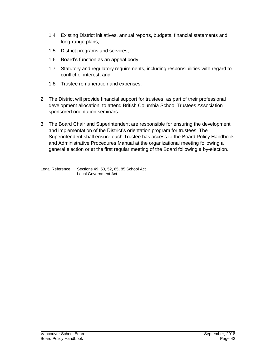- 1.4 Existing District initiatives, annual reports, budgets, financial statements and long-range plans;
- 1.5 District programs and services;
- 1.6 Board's function as an appeal body;
- 1.7 Statutory and regulatory requirements, including responsibilities with regard to conflict of interest; and
- 1.8 Trustee remuneration and expenses.
- 2. The District will provide financial support for trustees, as part of their professional development allocation, to attend British Columbia School Trustees Association sponsored orientation seminars.
- 3. The Board Chair and Superintendent are responsible for ensuring the development and implementation of the District's orientation program for trustees. The Superintendent shall ensure each Trustee has access to the Board Policy Handbook and Administrative Procedures Manual at the organizational meeting following a general election or at the first regular meeting of the Board following a by-election.

Legal Reference: Sections 49, 50, 52, 65, 85 School Act Local Government Act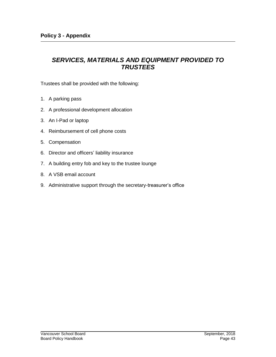### *SERVICES, MATERIALS AND EQUIPMENT PROVIDED TO TRUSTEES*

Trustees shall be provided with the following:

- 1. A parking pass
- 2. A professional development allocation
- 3. An I-Pad or laptop
- 4. Reimbursement of cell phone costs
- 5. Compensation
- 6. Director and officers' liability insurance
- 7. A building entry fob and key to the trustee lounge
- 8. A VSB email account
- 9. Administrative support through the secretary-treasurer's office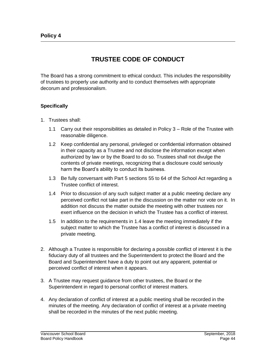# **TRUSTEE CODE OF CONDUCT**

The Board has a strong commitment to ethical conduct. This includes the responsibility of trustees to properly use authority and to conduct themselves with appropriate decorum and professionalism.

#### **Specifically**

- 1. Trustees shall:
	- 1.1 Carry out their responsibilities as detailed in Policy 3 Role of the Trustee with reasonable diligence.
	- 1.2 Keep confidential any personal, privileged or confidential information obtained in their capacity as a Trustee and not disclose the information except when authorized by law or by the Board to do so. Trustees shall not divulge the contents of private meetings, recognizing that a disclosure could seriously harm the Board's ability to conduct its business.
	- 1.3 Be fully conversant with Part 5 sections 55 to 64 of the School Act regarding a Trustee conflict of interest.
	- 1.4 Prior to discussion of any such subject matter at a public meeting declare any perceived conflict not take part in the discussion on the matter nor vote on it. In addition not discuss the matter outside the meeting with other trustees nor exert influence on the decision in which the Trustee has a conflict of interest.
	- 1.5 In addition to the requirements in 1.4 leave the meeting immediately if the subject matter to which the Trustee has a conflict of interest is discussed in a private meeting.
- 2. Although a Trustee is responsible for declaring a possible conflict of interest it is the fiduciary duty of all trustees and the Superintendent to protect the Board and the Board and Superintendent have a duty to point out any apparent, potential or perceived conflict of interest when it appears.
- 3. A Trustee may request guidance from other trustees, the Board or the Superintendent in regard to personal conflict of interest matters.
- 4. Any declaration of conflict of interest at a public meeting shall be recorded in the minutes of the meeting. Any declaration of conflict of interest at a private meeting shall be recorded in the minutes of the next public meeting.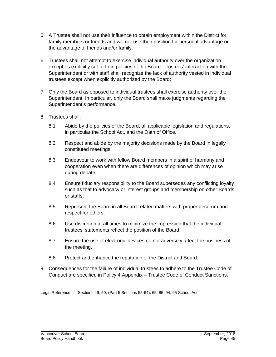- 5. A Trustee shall not use their influence to obtain employment within the District for family members or friends and will not use their position for personal advantage or the advantage of friends and/or family.
- 6. Trustees shall not attempt to exercise individual authority over the organization except as explicitly set forth in policies of the Board. Trustees' interaction with the Superintendent or with staff shall recognize the lack of authority vested in individual trustees except when explicitly authorized by the Board;
- 7. Only the Board as opposed to individual trustees shall exercise authority over the Superintendent. In particular, only the Board shall make judgments regarding the Superintendent's performance.
- 8. Trustees shall:
	- 8.1 Abide by the policies of the Board, all applicable legislation and regulations, in particular the School Act, and the Oath of Office.
	- 8.2 Respect and abide by the majority decisions made by the Board in legally constituted meetings.
	- 8.3 Endeavour to work with fellow Board members in a spirit of harmony and cooperation even when there are differences of opinion which may arise during debate.
	- 8.4 Ensure fiduciary responsibility to the Board supersedes any conflicting loyalty such as that to advocacy or interest groups and membership on other Boards or staffs.
	- 8.5 Represent the Board in all Board-related matters with proper decorum and respect for others.
	- 8.6 Use discretion at all times to minimize the impression that the individual trustees' statements reflect the position of the Board.
	- 8.7 Ensure the use of electronic devices do not adversely affect the business of the meeting.
	- 8.8 Protect and enhance the reputation of the District and Board.
- 9. Consequences for the failure of individual trustees to adhere to the Trustee Code of Conduct are specified in Policy 4 Appendix – Trustee Code of Conduct Sanctions.

Legal Reference: Sections 49, 50, (Part 5 Sections 55-64), 65, 85, 94, 95 School Act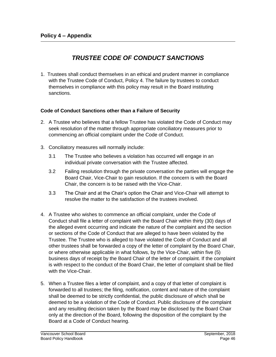# *TRUSTEE CODE OF CONDUCT SANCTIONS*

1. Trustees shall conduct themselves in an ethical and prudent manner in compliance with the Trustee Code of Conduct, Policy 4. The failure by trustees to conduct themselves in compliance with this policy may result in the Board instituting sanctions.

#### **Code of Conduct Sanctions other than a Failure of Security**

- 2. A Trustee who believes that a fellow Trustee has violated the Code of Conduct may seek resolution of the matter through appropriate conciliatory measures prior to commencing an official complaint under the Code of Conduct.
- 3. Conciliatory measures will normally include:
	- 3.1 The Trustee who believes a violation has occurred will engage in an individual private conversation with the Trustee affected.
	- 3.2 Failing resolution through the private conversation the parties will engage the Board Chair, Vice-Chair to gain resolution. If the concern is with the Board Chair, the concern is to be raised with the Vice-Chair.
	- 3.3 The Chair and at the Chair's option the Chair and Vice-Chair will attempt to resolve the matter to the satisfaction of the trustees involved.
- 4. A Trustee who wishes to commence an official complaint, under the Code of Conduct shall file a letter of complaint with the Board Chair within thirty (30) days of the alleged event occurring and indicate the nature of the complaint and the section or sections of the Code of Conduct that are alleged to have been violated by the Trustee. The Trustee who is alleged to have violated the Code of Conduct and all other trustees shall be forwarded a copy of the letter of complaint by the Board Chair, or where otherwise applicable in what follows, by the Vice-Chair, within five (5) business days of receipt by the Board Chair of the letter of complaint. If the complaint is with respect to the conduct of the Board Chair, the letter of complaint shall be filed with the Vice-Chair.
- 5. When a Trustee files a letter of complaint, and a copy of that letter of complaint is forwarded to all trustees; the filing, notification, content and nature of the complaint shall be deemed to be strictly confidential, the public disclosure of which shall be deemed to be a violation of the Code of Conduct. Public disclosure of the complaint and any resulting decision taken by the Board may be disclosed by the Board Chair only at the direction of the Board, following the disposition of the complaint by the Board at a Code of Conduct hearing.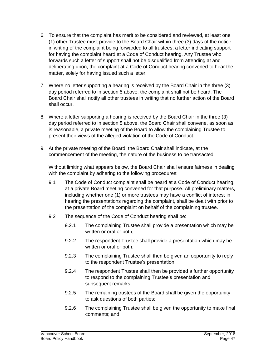- 6. To ensure that the complaint has merit to be considered and reviewed, at least one (1) other Trustee must provide to the Board Chair within three (3) days of the notice in writing of the complaint being forwarded to all trustees, a letter indicating support for having the complaint heard at a Code of Conduct hearing. Any Trustee who forwards such a letter of support shall not be disqualified from attending at and deliberating upon, the complaint at a Code of Conduct hearing convened to hear the matter, solely for having issued such a letter.
- 7. Where no letter supporting a hearing is received by the Board Chair in the three (3) day period referred to in section 5 above, the complaint shall not be heard. The Board Chair shall notify all other trustees in writing that no further action of the Board shall occur.
- 8. Where a letter supporting a hearing is received by the Board Chair in the three (3) day period referred to in section 5 above, the Board Chair shall convene, as soon as is reasonable, a private meeting of the Board to allow the complaining Trustee to present their views of the alleged violation of the Code of Conduct.
- 9. At the private meeting of the Board, the Board Chair shall indicate, at the commencement of the meeting, the nature of the business to be transacted.

Without limiting what appears below, the Board Chair shall ensure fairness in dealing with the complaint by adhering to the following procedures:

- 9.1 The Code of Conduct complaint shall be heard at a Code of Conduct hearing, at a private Board meeting convened for that purpose. All preliminary matters, including whether one (1) or more trustees may have a conflict of interest in hearing the presentations regarding the complaint, shall be dealt with prior to the presentation of the complaint on behalf of the complaining trustee.
- 9.2 The sequence of the Code of Conduct hearing shall be:
	- 9.2.1 The complaining Trustee shall provide a presentation which may be written or oral or both;
	- 9.2.2 The respondent Trustee shall provide a presentation which may be written or oral or both:
	- 9.2.3 The complaining Trustee shall then be given an opportunity to reply to the respondent Trustee's presentation;
	- 9.2.4 The respondent Trustee shall then be provided a further opportunity to respond to the complaining Trustee's presentation and subsequent remarks;
	- 9.2.5 The remaining trustees of the Board shall be given the opportunity to ask questions of both parties;
	- 9.2.6 The complaining Trustee shall be given the opportunity to make final comments; and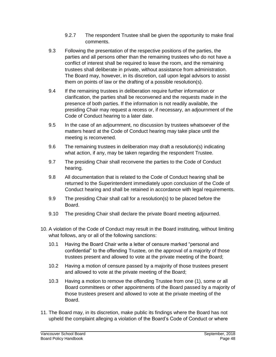- 9.2.7 The respondent Trustee shall be given the opportunity to make final comments.
- 9.3 Following the presentation of the respective positions of the parties, the parties and all persons other than the remaining trustees who do not have a conflict of interest shall be required to leave the room, and the remaining trustees shall deliberate in private, without assistance from administration. The Board may, however, in its discretion, call upon legal advisors to assist them on points of law or the drafting of a possible resolution(s).
- 9.4 If the remaining trustees in deliberation require further information or clarification, the parties shall be reconvened and the requests made in the presence of both parties. If the information is not readily available, the presiding Chair may request a recess or, if necessary, an adjournment of the Code of Conduct hearing to a later date.
- 9.5 In the case of an adjournment, no discussion by trustees whatsoever of the matters heard at the Code of Conduct hearing may take place until the meeting is reconvened.
- 9.6 The remaining trustees in deliberation may draft a resolution(s) indicating what action, if any, may be taken regarding the respondent Trustee.
- 9.7 The presiding Chair shall reconvene the parties to the Code of Conduct hearing.
- 9.8 All documentation that is related to the Code of Conduct hearing shall be returned to the Superintendent immediately upon conclusion of the Code of Conduct hearing and shall be retained in accordance with legal requirements.
- 9.9 The presiding Chair shall call for a resolution(s) to be placed before the Board.
- 9.10 The presiding Chair shall declare the private Board meeting adjourned.
- 10. A violation of the Code of Conduct may result in the Board instituting, without limiting what follows, any or all of the following sanctions:
	- 10.1 Having the Board Chair write a letter of censure marked "personal and confidential" to the offending Trustee, on the approval of a majority of those trustees present and allowed to vote at the private meeting of the Board;
	- 10.2 Having a motion of censure passed by a majority of those trustees present and allowed to vote at the private meeting of the Board;
	- 10.3 Having a motion to remove the offending Trustee from one (1), some or all Board committees or other appointments of the Board passed by a majority of those trustees present and allowed to vote at the private meeting of the Board.
- 11. The Board may, in its discretion, make public its findings where the Board has not upheld the complaint alleging a violation of the Board's Code of Conduct or where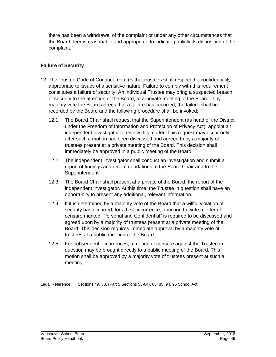there has been a withdrawal of the complaint or under any other circumstances that the Board deems reasonable and appropriate to indicate publicly its disposition of the complaint.

### **Failure of Security**

- 12. The Trustee Code of Conduct requires that trustees shall respect the confidentiality appropriate to issues of a sensitive nature. Failure to comply with this requirement constitutes a failure of security. An individual Trustee may bring a suspected breach of security to the attention of the Board, at a private meeting of the Board. If by majority vote the Board agrees that a failure has occurred, the failure shall be recorded by the Board and the following procedure shall be invoked:
	- 12.1 The Board Chair shall request that the Superintendent (as head of the District under the Freedom of Information and Protection of Privacy Act), appoint an independent investigator to review this matter. This request may occur only after such a motion has been discussed and agreed to by a majority of trustees present at a private meeting of the Board. This decision shall immediately be approved in a public meeting of the Board.
	- 12.2 The independent investigator shall conduct an investigation and submit a report of findings and recommendations to the Board Chair and to the Superintendent.
	- 12.3 The Board Chair shall present at a private of the Board, the report of the independent investigator. At this time, the Trustee in question shall have an opportunity to present any additional, relevant information.
	- 12.4 If it is determined by a majority vote of the Board that a willful violation of security has occurred, for a first occurrence, a motion to write a letter of censure marked "Personal and Confidential" is required to be discussed and agreed upon by a majority of trustees present at a private meeting of the Board. This decision requires immediate approval by a majority vote of trustees at a public meeting of the Board.
	- 12.5 For subsequent occurrences, a motion of censure against the Trustee in question may be brought directly to a public meeting of the Board. This motion shall be approved by a majority vote of trustees present at such a meeting.

Legal Reference: Sections 49, 50, (Part 5 Sections 55-64), 65, 85, 94, 95 School Act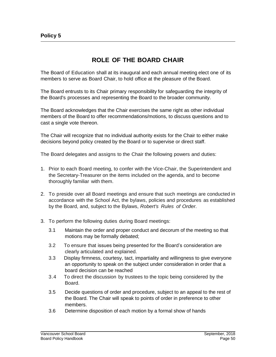# **ROLE OF THE BOARD CHAIR**

The Board of Education shall at its inaugural and each annual meeting elect one of its members to serve as Board Chair, to hold office at the pleasure of the Board.

The Board entrusts to its Chair primary responsibility for safeguarding the integrity of the Board's processes and representing the Board to the broader community.

The Board acknowledges that the Chair exercises the same right as other individual members of the Board to offer recommendations/motions, to discuss questions and to cast a single vote thereon.

The Chair will recognize that no individual authority exists for the Chair to either make decisions beyond policy created by the Board or to supervise or direct staff.

The Board delegates and assigns to the Chair the following powers and duties:

- 1. Prior to each Board meeting, to confer with the Vice-Chair, the Superintendent and the Secretary-Treasurer on the items included on the agenda, and to become thoroughly familiar with them.
- 2. To preside over all Board meetings and ensure that such meetings are conducted in accordance with the School Act, the bylaws, policies and procedures as established by the Board, and, subject to the Bylaws, *Robert's Rules of Order.*
- 3. To perform the following duties during Board meetings:
	- 3.1 Maintain the order and proper conduct and decorum of the meeting so that motions may be formally debated;
	- 3.2 To ensure that issues being presented for the Board's consideration are clearly articulated and explained.
	- 3.3 Display firmness, courtesy, tact, impartiality and willingness to give everyone an opportunity to speak on the subject under consideration in order that a board decision can be reached
	- 3.4 To direct the discussion by trustees to the topic being considered by the Board.
	- 3.5 Decide questions of order and procedure, subject to an appeal to the rest of the Board. The Chair will speak to points of order in preference to other members.
	- 3.6 Determine disposition of each motion by a formal show of hands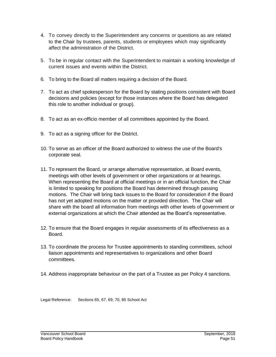- 4. To convey directly to the Superintendent any concerns or questions as are related to the Chair by trustees, parents, students or employees which may significantly affect the administration of the District.
- 5. To be in regular contact with the Superintendent to maintain a working knowledge of current issues and events within the District.
- 6. To bring to the Board all matters requiring a decision of the Board.
- 7. To act as chief spokesperson for the Board by stating positions consistent with Board decisions and policies (except for those instances where the Board has delegated this role to another individual or group).
- 8. To act as an ex-officio member of all committees appointed by the Board.
- 9. To act as a signing officer for the District.
- 10. To serve as an officer of the Board authorized to witness the use of the Board's corporate seal.
- 11. To represent the Board, or arrange alternative representation, at Board events, meetings with other levels of government or other organizations or at hearings. When representing the Board at official meetings or in an official function, the Chair is limited to speaking for positions the Board has determined through passing motions. The Chair will bring back issues to the Board for consideration if the Board has not yet adopted motions on the matter or provided direction. The Chair will share with the board all information from meetings with other levels of government or external organizations at which the Chair attended as the Board's representative.
- 12. To ensure that the Board engages in regular assessments of its effectiveness as a Board.
- 13. To coordinate the process for Trustee appointments to standing committees, school liaison appointments and representatives to organizations and other Board committees.
- 14. Address inappropriate behaviour on the part of a Trustee as per Policy 4 sanctions.

Legal Reference: Sections 65, 67, 69, 70, 85 School Act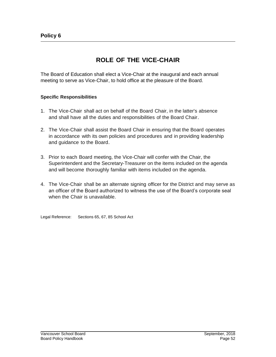# **ROLE OF THE VICE-CHAIR**

The Board of Education shall elect a Vice-Chair at the inaugural and each annual meeting to serve as Vice-Chair, to hold office at the pleasure of the Board.

#### **Specific Responsibilities**

- 1. The Vice-Chair shall act on behalf of the Board Chair, in the latter's absence and shall have all the duties and responsibilities of the Board Chair.
- 2. The Vice-Chair shall assist the Board Chair in ensuring that the Board operates in accordance with its own policies and procedures and in providing leadership and guidance to the Board.
- 3. Prior to each Board meeting, the Vice-Chair will confer with the Chair, the Superintendent and the Secretary-Treasurer on the items included on the agenda and will become thoroughly familiar with items included on the agenda.
- 4. The Vice-Chair shall be an alternate signing officer for the District and may serve as an officer of the Board authorized to witness the use of the Board's corporate seal when the Chair is unavailable.

Legal Reference: Sections 65, 67, 85 School Act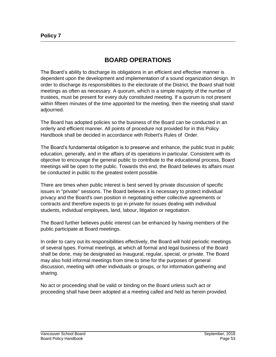# **BOARD OPERATIONS**

The Board's ability to discharge its obligations in an efficient and effective manner is dependent upon the development and implementation of a sound organization design. In order to discharge its responsibilities to the electorate of the District, the Board shall hold meetings as often as necessary. A quorum, which is a simple majority of the number of trustees, must be present for every duly constituted meeting. If a quorum is not present within fifteen minutes of the time appointed for the meeting, then the meeting shall stand adjourned.

The Board has adopted policies so the business of the Board can be conducted in an orderly and efficient manner. All points of procedure not provided for in this Policy Handbook shall be decided in accordance with Robert's Rules of Order.

The Board's fundamental obligation is to preserve and enhance, the public trust in public education, generally, and in the affairs of its operations in particular. Consistent with its objective to encourage the general public to contribute to the educational process, Board meetings will be open to the public. Towards this end, the Board believes its affairs must be conducted in public to the greatest extent possible.

There are times when public interest is best served by private discussion of specific issues in "private" sessions. The Board believes it is necessary to protect individual privacy and the Board's own position in negotiating either collective agreements or contracts and therefore expects to go in private for issues dealing with individual students, individual employees, land, labour, litigation or negotiation.

The Board further believes public interest can be enhanced by having members of the public participate at Board meetings.

In order to carry out its responsibilities effectively, the Board will hold periodic meetings of several types. Formal meetings, at which all formal and legal business of the Board shall be done, may be designated as Inaugural, regular, special, or private. The Board may also hold informal meetings from time to time for the purposes of general discussion, meeting with other individuals or groups, or for information gathering and sharing.

No act or proceeding shall be valid or binding on the Board unless such act or proceeding shall have been adopted at a meeting called and held as herein provided.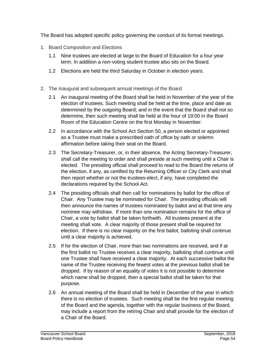The Board has adopted specific policy governing the conduct of its formal meetings.

- 1. Board Composition and Elections
	- 1.1 Nine trustees are elected at large to the Board of Education for a four year term. In addition a non-voting student trustee also sits on the Board.
	- 1.2 Elections are held the third Saturday in October in election years.
- 2. The inaugural and subsequent annual meetings of the Board
	- 2.1 An inaugural meeting of the Board shall be held in November of the year of the election of trustees. Such meeting shall be held at the time, place and date as determined by the outgoing Board; and in the event that the Board shall not so determine, then such meeting shall be held at the hour of 19:00 in the Board Room of the Education Centre on the first Monday in November.
	- 2.2 In accordance with the School Act Section 50, a person elected or appointed as a Trustee must make a prescribed oath of office by oath or solemn affirmation before taking their seat on the Board.
	- 2.3 The Secretary-Treasurer, or, in their absence, the Acting Secretary-Treasurer, shall call the meeting to order and shall preside at such meeting until a Chair is elected. The presiding official shall proceed to read to the Board the returns of the election, if any, as certified by the Returning Officer or City Clerk and shall then report whether or not the trustees-elect, if any, have completed the declarations required by the School Act.
	- 2.4 The presiding officials shall then call for nominations by ballot for the office of Chair. Any Trustee may be nominated for Chair. The presiding officials will then announce the names of trustees nominated by ballot and at that time any nominee may withdraw. If more than one nomination remains for the office of Chair, a vote by ballot shall be taken forthwith. All trustees present at the meeting shall vote. A clear majority of those present shall be required for election. If there is no clear majority on the first ballot, balloting shall continue until a clear majority is achieved.
	- 2.5 If for the election of Chair, more than two nominations are received, and if at the first ballot no Trustee receives a clear majority, balloting shall continue until one Trustee shall have received a clear majority. At each successive ballot the name of the Trustee receiving the fewest votes at the previous ballot shall be dropped. If by reason of an equality of votes it is not possible to determine which name shall be dropped, then a special ballot shall be taken for that purpose.
	- 2.6 An annual meeting of the Board shall be held in December of the year in which there is no election of trustees. Such meeting shall be the first regular meeting of the Board and the agenda, together with the regular business of the Board, may include a report from the retiring Chair and shall provide for the election of a Chair of the Board.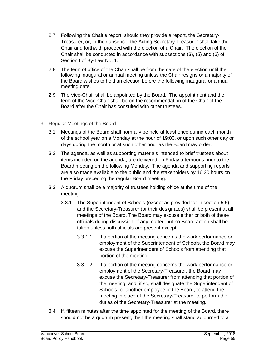- 2.7 Following the Chair's report, should they provide a report, the Secretary-Treasurer, or, in their absence, the Acting Secretary-Treasurer shall take the Chair and forthwith proceed with the election of a Chair. The election of the Chair shall be conducted in accordance with subsections (3), (5) and (6) of Section I of By-Law No. 1.
- 2.8 The term of office of the Chair shall be from the date of the election until the following inaugural or annual meeting unless the Chair resigns or a majority of the Board wishes to hold an election before the following inaugural or annual meeting date.
- 2.9 The Vice-Chair shall be appointed by the Board. The appointment and the term of the Vice-Chair shall be on the recommendation of the Chair of the Board after the Chair has consulted with other trustees*.*
- 3. Regular Meetings of the Board
	- 3.1 Meetings of the Board shall normally be held at least once during each month of the school year on a Monday at the hour of 19:00, or upon such other day or days during the month or at such other hour as the Board may order.
	- 3.2 The agenda, as well as supporting materials intended to brief trustees about items included on the agenda, are delivered on Friday afternoons prior to the Board meeting on the following Monday. The agenda and supporting reports are also made available to the public and the stakeholders by 16:30 hours on the Friday preceding the regular Board meeting.
	- 3.3 A quorum shall be a majority of trustees holding office at the time of the meeting.
		- 3.3.1 The Superintendent of Schools (except as provided for in section 5.5) and the Secretary-Treasurer (or their designates) shall be present at all meetings of the Board. The Board may excuse either or both of these officials during discussion of any matter, but no Board action shall be taken unless both officials are present except.
			- 3.3.1.1 If a portion of the meeting concerns the work performance or employment of the Superintendent of Schools, the Board may excuse the Superintendent of Schools from attending that portion of the meeting;
			- 3.3.1.2 If a portion of the meeting concerns the work performance or employment of the Secretary-Treasurer, the Board may excuse the Secretary-Treasurer from attending that portion of the meeting; and, if so, shall designate the Superintendent of Schools, or another employee of the Board, to attend the meeting in place of the Secretary-Treasurer to perform the duties of the Secretary-Treasurer at the meeting.
	- 3.4 If, fifteen minutes after the time appointed for the meeting of the Board, there should not be a quorum present, then the meeting shall stand adjourned to a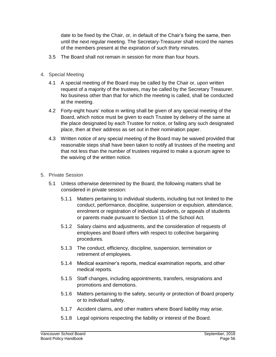date to be fixed by the Chair, or, in default of the Chair's fixing the same, then until the next regular meeting. The Secretary-Treasurer shall record the names of the members present at the expiration of such thirty minutes.

- 3.5 The Board shall not remain in session for more than four hours.
- 4. Special Meeting
	- 4.1 A special meeting of the Board may be called by the Chair or, upon written request of a majority of the trustees, may be called by the Secretary Treasurer. No business other than that for which the meeting is called, shall be conducted at the meeting.
	- 4.2 Forty-eight hours' notice in writing shall be given of any special meeting of the Board, which notice must be given to each Trustee by delivery of the same at the place designated by each Trustee for notice, or failing any such designated place, then at their address as set out in their nomination paper.
	- 4.3 Written notice of any special meeting of the Board may be waived provided that reasonable steps shall have been taken to notify all trustees of the meeting and that not less than the number of trustees required to make a quorum agree to the waiving of the written notice.
- 5. Private Session
	- 5.1 Unless otherwise determined by the Board, the following matters shall be considered in private session:
		- 5.1.1 Matters pertaining to individual students, including but not limited to the conduct, performance, discipline, suspension or expulsion, attendance, enrolment or registration of individual students, or appeals of students or parents made pursuant to Section 11 of the School Act.
		- 5.1.2 Salary claims and adjustments, and the consideration of requests of employees and Board offers with respect to collective bargaining procedures.
		- 5.1.3 The conduct, efficiency, discipline, suspension, termination or retirement of employees.
		- 5.1.4 Medical examiner's reports, medical examination reports, and other medical reports.
		- 5.1.5 Staff changes, including appointments, transfers, resignations and promotions and demotions.
		- 5.1.6 Matters pertaining to the safety, security or protection of Board property or to individual safety.
		- 5.1.7 Accident claims, and other matters where Board liability may arise.
		- 5.1.8 Legal opinions respecting the liability or interest of the Board.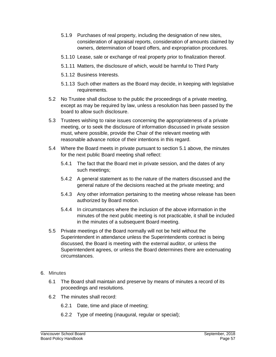- 5.1.9 Purchases of real property, including the designation of new sites, consideration of appraisal reports, consideration of amounts claimed by owners, determination of board offers, and expropriation procedures.
- 5.1.10 Lease, sale or exchange of real property prior to finalization thereof.
- 5.1.11 Matters, the disclosure of which, would be harmful to Third Party
- 5.1.12 Business Interests.
- 5.1.13 Such other matters as the Board may decide, in keeping with legislative requirements.
- 5.2 No Trustee shall disclose to the public the proceedings of a private meeting, except as may be required by law, unless a resolution has been passed by the board to allow such disclosure.
- 5.3 Trustees wishing to raise issues concerning the appropriateness of a private meeting, or to seek the disclosure of information discussed in private session must, where possible, provide the Chair of the relevant meeting with reasonable advance notice of their intentions in this regard.
- 5.4 Where the Board meets in private pursuant to section 5.1 above, the minutes for the next public Board meeting shall reflect:
	- 5.4.1 The fact that the Board met in private session, and the dates of any such meetings;
	- 5.4.2 A general statement as to the nature of the matters discussed and the general nature of the decisions reached at the private meeting; and
	- 5.4.3 Any other information pertaining to the meeting whose release has been authorized by Board motion.
	- 5.4.4 In circumstances where the inclusion of the above information in the minutes of the next public meeting is not practicable, it shall be included in the minutes of a subsequent Board meeting.
- 5.5 Private meetings of the Board normally will not be held without the Superintendent in attendance unless the Superintendents contract is being discussed, the Board is meeting with the external auditor, or unless the Superintendent agrees, or unless the Board determines there are extenuating circumstances.
- 6. Minutes
	- 6.1 The Board shall maintain and preserve by means of minutes a record of its proceedings and resolutions.
	- 6.2 The minutes shall record:
		- 6.2.1 Date, time and place of meeting;
		- 6.2.2 Type of meeting (inaugural, regular or special);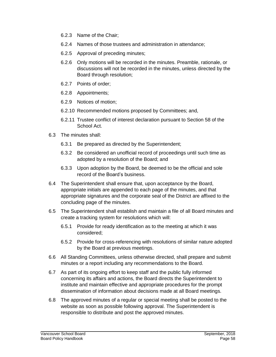- 6.2.3 Name of the Chair;
- 6.2.4 Names of those trustees and administration in attendance;
- 6.2.5 Approval of preceding minutes;
- 6.2.6 Only motions will be recorded in the minutes. Preamble, rationale, or discussions will not be recorded in the minutes, unless directed by the Board through resolution;
- 6.2.7 Points of order;
- 6.2.8 Appointments;
- 6.2.9 Notices of motion;
- 6.2.10 Recommended motions proposed by Committees; and,
- 6.2.11 Trustee conflict of interest declaration pursuant to Section 58 of the School Act.
- 6.3 The minutes shall:
	- 6.3.1 Be prepared as directed by the Superintendent;
	- 6.3.2 Be considered an unofficial record of proceedings until such time as adopted by a resolution of the Board; and
	- 6.3.3 Upon adoption by the Board, be deemed to be the official and sole record of the Board's business.
- 6.4 The Superintendent shall ensure that, upon acceptance by the Board, appropriate initials are appended to each page of the minutes, and that appropriate signatures and the corporate seal of the District are affixed to the concluding page of the minutes.
- 6.5 The Superintendent shall establish and maintain a file of all Board minutes and create a tracking system for resolutions which will:
	- 6.5.1 Provide for ready identification as to the meeting at which it was considered;
	- 6.5.2 Provide for cross-referencing with resolutions of similar nature adopted by the Board at previous meetings.
- 6.6 All Standing Committees, unless otherwise directed, shall prepare and submit minutes or a report including any recommendations to the Board.
- 6.7 As part of its ongoing effort to keep staff and the public fully informed concerning its affairs and actions, the Board directs the Superintendent to institute and maintain effective and appropriate procedures for the prompt dissemination of information about decisions made at all Board meetings.
- 6.8 The approved minutes of a regular or special meeting shall be posted to the website as soon as possible following approval. The Superintendent is responsible to distribute and post the approved minutes.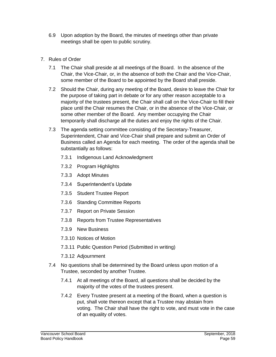- 6.9 Upon adoption by the Board, the minutes of meetings other than private meetings shall be open to public scrutiny.
- 7. Rules of Order
	- 7.1 The Chair shall preside at all meetings of the Board. In the absence of the Chair, the Vice-Chair, or, in the absence of both the Chair and the Vice-Chair, some member of the Board to be appointed by the Board shall preside.
	- 7.2 Should the Chair, during any meeting of the Board, desire to leave the Chair for the purpose of taking part in debate or for any other reason acceptable to a majority of the trustees present, the Chair shall call on the Vice-Chair to fill their place until the Chair resumes the Chair, or in the absence of the Vice-Chair, or some other member of the Board. Any member occupying the Chair temporarily shall discharge all the duties and enjoy the rights of the Chair.
	- 7.3 The agenda setting committee consisting of the Secretary-Treasurer, Superintendent, Chair and Vice-Chair shall prepare and submit an Order of Business called an Agenda for each meeting. The order of the agenda shall be substantially as follows:
		- 7.3.1 Indigenous Land Acknowledgment
		- 7.3.2 Program Highlights
		- 7.3.3 Adopt Minutes
		- 7.3.4 Superintendent's Update
		- 7.3.5 Student Trustee Report
		- 7.3.6 Standing Committee Reports
		- 7.3.7 Report on Private Session
		- 7.3.8 Reports from Trustee Representatives
		- 7.3.9 New Business
		- 7.3.10 Notices of Motion
		- 7.3.11 Public Question Period (Submitted in writing)
		- 7.3.12 Adjournment
	- 7.4 No questions shall be determined by the Board unless upon motion of a Trustee, seconded by another Trustee.
		- 7.4.1 At all meetings of the Board, all questions shall be decided by the majority of the votes of the trustees present.
		- 7.4.2 Every Trustee present at a meeting of the Board, when a question is put, shall vote thereon except that a Trustee may abstain from voting. The Chair shall have the right to vote, and must vote in the case of an equality of votes.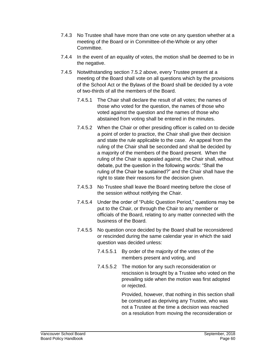- 7.4.3 No Trustee shall have more than one vote on any question whether at a meeting of the Board or in Committee-of-the-Whole or any other Committee.
- 7.4.4 In the event of an equality of votes, the motion shall be deemed to be in the negative.
- 7.4.5 Notwithstanding section 7.5.2 above, every Trustee present at a meeting of the Board shall vote on all questions which by the provisions of the School Act or the Bylaws of the Board shall be decided by a vote of two-thirds of all the members of the Board.
	- 7.4.5.1 The Chair shall declare the result of all votes; the names of those who voted for the question, the names of those who voted against the question and the names of those who abstained from voting shall be entered in the minutes.
	- 7.4.5.2 When the Chair or other presiding officer is called on to decide a point of order to practice, the Chair shall give their decision and state the rule applicable to the case. An appeal from the ruling of the Chair shall be seconded and shall be decided by a majority of the members of the Board present. When the ruling of the Chair is appealed against, the Chair shall, without debate, put the question in the following words: "Shall the ruling of the Chair be sustained?" and the Chair shall have the right to state their reasons for the decision given.
	- 7.4.5.3 No Trustee shall leave the Board meeting before the close of the session without notifying the Chair.
	- 7.4.5.4 Under the order of "Public Question Period," questions may be put to the Chair, or through the Chair to any member or officials of the Board, relating to any matter connected with the business of the Board.
	- 7.4.5.5 No question once decided by the Board shall be reconsidered or rescinded during the same calendar year in which the said question was decided unless:
		- 7.4.5.5.1 By order of the majority of the votes of the members present and voting, and
		- 7.4.5.5.2 The motion for any such reconsideration or rescission is brought by a Trustee who voted on the prevailing side when the motion was first adopted or rejected.

Provided, however, that nothing in this section shall be construed as depriving any Trustee, who was not a Trustee at the time a decision was reached on a resolution from moving the reconsideration or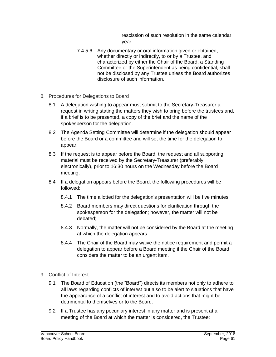rescission of such resolution in the same calendar year.

- 7.4.5.6 Any documentary or oral information given or obtained, whether directly or indirectly, to or by a Trustee, and characterized by either the Chair of the Board, a Standing Committee or the Superintendent as being confidential, shall not be disclosed by any Trustee unless the Board authorizes disclosure of such information.
- 8. Procedures for Delegations to Board
	- 8.1 A delegation wishing to appear must submit to the Secretary-Treasurer a request in writing stating the matters they wish to bring before the trustees and, if a brief is to be presented, a copy of the brief and the name of the spokesperson for the delegation.
	- 8.2 The Agenda Setting Committee will determine if the delegation should appear before the Board or a committee and will set the time for the delegation to appear.
	- 8.3 If the request is to appear before the Board, the request and all supporting material must be received by the Secretary-Treasurer (preferably electronically), prior to 16:30 hours on the Wednesday before the Board meeting.
	- 8.4 If a delegation appears before the Board, the following procedures will be followed:
		- 8.4.1 The time allotted for the delegation's presentation will be five minutes;
		- 8.4.2 Board members may direct questions for clarification through the spokesperson for the delegation; however, the matter will not be debated;
		- 8.4.3 Normally, the matter will not be considered by the Board at the meeting at which the delegation appears.
		- 8.4.4 The Chair of the Board may waive the notice requirement and permit a delegation to appear before a Board meeting if the Chair of the Board considers the matter to be an urgent item.
- 9. Conflict of Interest
	- 9.1 The Board of Education (the "Board") directs its members not only to adhere to all laws regarding conflicts of interest but also to be alert to situations that have the appearance of a conflict of interest and to avoid actions that might be detrimental to themselves or to the Board.
	- 9.2 If a Trustee has any pecuniary interest in any matter and is present at a meeting of the Board at which the matter is considered, the Trustee: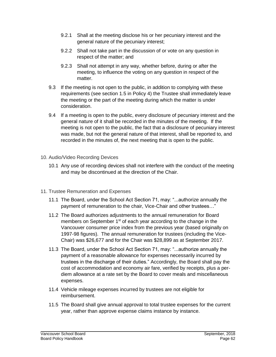- 9.2.1 Shall at the meeting disclose his or her pecuniary interest and the general nature of the pecuniary interest;
- 9.2.2 Shall not take part in the discussion of or vote on any question in respect of the matter; and
- 9.2.3 Shall not attempt in any way, whether before, during or after the meeting, to influence the voting on any question in respect of the matter.
- 9.3 If the meeting is not open to the public, in addition to complying with these requirements (see section 1.5 in Policy 4) the Trustee shall immediately leave the meeting or the part of the meeting during which the matter is under consideration.
- 9.4 If a meeting is open to the public, every disclosure of pecuniary interest and the general nature of it shall be recorded in the minutes of the meeting. If the meeting is not open to the public, the fact that a disclosure of pecuniary interest was made, but not the general nature of that interest, shall be reported to, and recorded in the minutes of, the next meeting that is open to the public.
- 10. Audio/Video Recording Devices
	- 10.1 Any use of recording devices shall not interfere with the conduct of the meeting and may be discontinued at the direction of the Chair.
- 11. Trustee Remuneration and Expenses
	- 11.1 The Board, under the School Act Section 71, may: "...authorize annually the payment of remuneration to the chair, Vice-Chair and other trustees…"
	- 11.2 The Board authorizes adjustments to the annual remuneration for Board members on September 1<sup>st</sup> of each year according to the change in the Vancouver consumer price index from the previous year (based originally on 1997-98 figures). The annual remuneration for trustees (including the Vice-Chair) was \$26,677 and for the Chair was \$28,899 as at September 2017.
	- 11.3 The Board, under the School Act Section 71, may: "...authorize annually the payment of a reasonable allowance for expenses necessarily incurred by trustees in the discharge of their duties." Accordingly, the Board shall pay the cost of accommodation and economy air fare, verified by receipts, plus a perdiem allowance at a rate set by the Board to cover meals and miscellaneous expenses.
	- 11.4 Vehicle mileage expenses incurred by trustees are not eligible for reimbursement.
	- 11.5 The Board shall give annual approval to total trustee expenses for the current year, rather than approve expense claims instance by instance.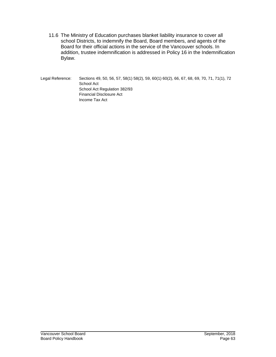11.6 The Ministry of Education purchases blanket liability insurance to cover all school Districts, to indemnify the Board, Board members, and agents of the Board for their official actions in the service of the Vancouver schools. In addition, trustee indemnification is addressed in Policy 16 in the Indemnification Bylaw.

Legal Reference: Sections 49, 50, 56, 57, 58(1) 58(2), 59, 60(1) 60(2), 66, 67, 68, 69, 70, 71, 71(1), 72 School Act School Act Regulation 382/93 Financial Disclosure Act Income Tax Act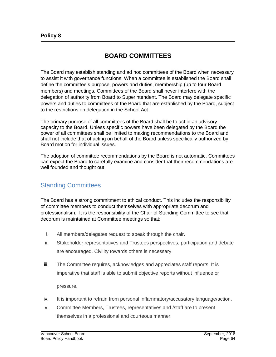# **BOARD COMMITTEES**

The Board may establish standing and ad hoc committees of the Board when necessary to assist it with governance functions. When a committee is established the Board shall define the committee's purpose, powers and duties, membership (up to four Board members) and meetings. Committees of the Board shall never interfere with the delegation of authority from Board to Superintendent. The Board may delegate specific powers and duties to committees of the Board that are established by the Board, subject to the restrictions on delegation in the School Act.

The primary purpose of all committees of the Board shall be to act in an advisory capacity to the Board. Unless specific powers have been delegated by the Board the power of all committees shall be limited to making recommendations to the Board and shall not include that of acting on behalf of the Board unless specifically authorized by Board motion for individual issues.

The adoption of committee recommendations by the Board is not automatic. Committees can expect the Board to carefully examine and consider that their recommendations are well founded and thought out.

### Standing Committees

The Board has a strong commitment to ethical conduct. This includes the responsibility of committee members to conduct themselves with appropriate decorum and professionalism. It is the responsibility of the Chair of Standing Committee to see that decorum is maintained at Committee meetings so that:

- i. All members/delegates request to speak through the chair.
- ii. Stakeholder representatives and Trustees perspectives, participation and debate are encouraged. Civility towards others is necessary.
- iii. The Committee requires, acknowledges and appreciates staff reports. It is imperative that staff is able to submit objective reports without influence or

pressure.

- iv. It is important to refrain from personal inflammatory/accusatory language/action.
- v. Committee Members, Trustees, representatives and /staff are to present themselves in a professional and courteous manner.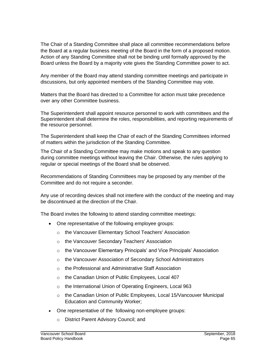The Chair of a Standing Committee shall place all committee recommendations before the Board at a regular business meeting of the Board in the form of a proposed motion. Action of any Standing Committee shall not be binding until formally approved by the Board unless the Board by a majority vote gives the Standing Committee power to act.

Any member of the Board may attend standing committee meetings and participate in discussions, but only appointed members of the Standing Committee may vote.

Matters that the Board has directed to a Committee for action must take precedence over any other Committee business.

The Superintendent shall appoint resource personnel to work with committees and the Superintendent shall determine the roles, responsibilities, and reporting requirements of the resource personnel.

The Superintendent shall keep the Chair of each of the Standing Committees informed of matters within the jurisdiction of the Standing Committee.

The Chair of a Standing Committee may make motions and speak to any question during committee meetings without leaving the Chair. Otherwise, the rules applying to regular or special meetings of the Board shall be observed.

Recommendations of Standing Committees may be proposed by any member of the Committee and do not require a seconder.

Any use of recording devices shall not interfere with the conduct of the meeting and may be discontinued at the direction of the Chair.

The Board invites the following to attend standing committee meetings:

- One representative of the following employee groups:
	- o the Vancouver Elementary School Teachers' Association
	- o the Vancouver Secondary Teachers' Association
	- o the Vancouver Elementary Principals' and Vice Principals' Association
	- o the Vancouver Association of Secondary School Administrators
	- o the Professional and Administrative Staff Association
	- o the Canadian Union of Public Employees, Local 407
	- o the International Union of Operating Engineers, Local 963
	- o the Canadian Union of Public Employees, Local 15/Vancouver Municipal Education and Community Worker;
- One representative of the following non-employee groups:
	- o District Parent Advisory Council; and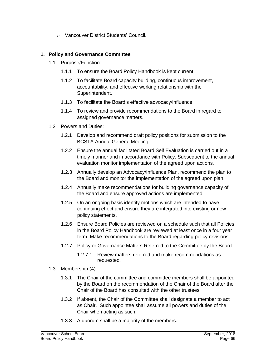o Vancouver District Students' Council.

### **1. Policy and Governance Committee**

- 1.1 Purpose/Function:
	- 1.1.1 To ensure the Board Policy Handbook is kept current.
	- 1.1.2 To facilitate Board capacity building, continuous improvement, accountability, and effective working relationship with the Superintendent.
	- 1.1.3 To facilitate the Board's effective advocacy/influence.
	- 1.1.4 To review and provide recommendations to the Board in regard to assigned governance matters.
- 1.2 Powers and Duties:
	- 1.2.1 Develop and recommend draft policy positions for submission to the BCSTA Annual General Meeting.
	- 1.2.2 Ensure the annual facilitated Board Self Evaluation is carried out in a timely manner and in accordance with Policy. Subsequent to the annual evaluation monitor implementation of the agreed upon actions.
	- 1.2.3 Annually develop an Advocacy/Influence Plan, recommend the plan to the Board and monitor the implementation of the agreed upon plan.
	- 1.2.4 Annually make recommendations for building governance capacity of the Board and ensure approved actions are implemented.
	- 1.2.5 On an ongoing basis identify motions which are intended to have continuing effect and ensure they are integrated into existing or new policy statements.
	- 1.2.6 Ensure Board Policies are reviewed on a schedule such that all Policies in the Board Policy Handbook are reviewed at least once in a four year term. Make recommendations to the Board regarding policy revisions.
	- 1.2.7 Policy or Governance Matters Referred to the Committee by the Board:
		- 1.2.7.1 Review matters referred and make recommendations as requested.
- 1.3 Membership (4)
	- 1.3.1 The Chair of the committee and committee members shall be appointed by the Board on the recommendation of the Chair of the Board after the Chair of the Board has consulted with the other trustees.
	- 1.3.2 If absent, the Chair of the Committee shall designate a member to act as Chair. Such appointee shall assume all powers and duties of the Chair when acting as such.
	- 1.3.3 A quorum shall be a majority of the members.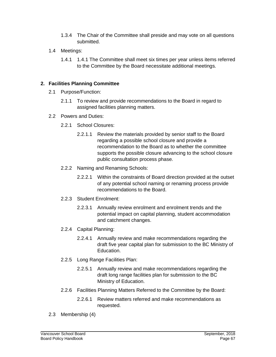- 1.3.4 The Chair of the Committee shall preside and may vote on all questions submitted.
- 1.4 Meetings:
	- 1.4.1 1.4.1 The Committee shall meet six times per year unless items referred to the Committee by the Board necessitate additional meetings.

#### **2. Facilities Planning Committee**

- 2.1 Purpose/Function:
	- 2.1.1 To review and provide recommendations to the Board in regard to assigned facilities planning matters.
- 2.2 Powers and Duties:
	- 2.2.1 School Closures:
		- 2.2.1.1 Review the materials provided by senior staff to the Board regarding a possible school closure and provide a recommendation to the Board as to whether the committee supports the possible closure advancing to the school closure public consultation process phase.
	- 2.2.2 Naming and Renaming Schools:
		- 2.2.2.1 Within the constraints of Board direction provided at the outset of any potential school naming or renaming process provide recommendations to the Board.
	- 2.2.3 Student Enrolment:
		- 2.2.3.1 Annually review enrolment and enrolment trends and the potential impact on capital planning, student accommodation and catchment changes.
	- 2.2.4 Capital Planning:
		- 2.2.4.1 Annually review and make recommendations regarding the draft five year capital plan for submission to the BC Ministry of Education.
	- 2.2.5 Long Range Facilities Plan:
		- 2.2.5.1 Annually review and make recommendations regarding the draft long range facilities plan for submission to the BC Ministry of Education.
	- 2.2.6 Facilities Planning Matters Referred to the Committee by the Board:
		- 2.2.6.1 Review matters referred and make recommendations as requested.
- 2.3 Membership (4)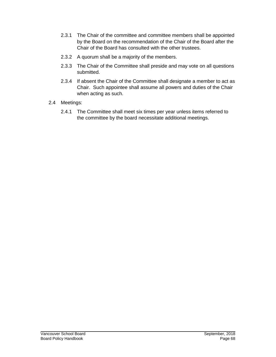- 2.3.1 The Chair of the committee and committee members shall be appointed by the Board on the recommendation of the Chair of the Board after the Chair of the Board has consulted with the other trustees.
- 2.3.2 A quorum shall be a majority of the members.
- 2.3.3 The Chair of the Committee shall preside and may vote on all questions submitted.
- 2.3.4 If absent the Chair of the Committee shall designate a member to act as Chair. Such appointee shall assume all powers and duties of the Chair when acting as such.
- 2.4 Meetings:
	- 2.4.1 The Committee shall meet six times per year unless items referred to the committee by the board necessitate additional meetings.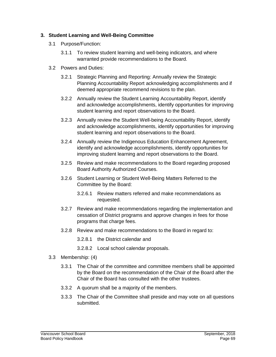#### **3. Student Learning and Well-Being Committee**

- 3.1 Purpose/Function:
	- 3.1.1 To review student learning and well-being indicators, and where warranted provide recommendations to the Board.
- 3.2 Powers and Duties:
	- 3.2.1 Strategic Planning and Reporting: Annually review the Strategic Planning Accountability Report acknowledging accomplishments and if deemed appropriate recommend revisions to the plan.
	- 3.2.2 Annually review the Student Learning Accountability Report, identify and acknowledge accomplishments, identify opportunities for improving student learning and report observations to the Board.
	- 3.2.3 Annually review the Student Well-being Accountability Report, identify and acknowledge accomplishments, identify opportunities for improving student learning and report observations to the Board.
	- 3.2.4 Annually review the Indigenous Education Enhancement Agreement, identify and acknowledge accomplishments, identify opportunities for improving student learning and report observations to the Board.
	- 3.2.5 Review and make recommendations to the Board regarding proposed Board Authority Authorized Courses.
	- 3.2.6 Student Learning or Student Well-Being Matters Referred to the Committee by the Board:
		- 3.2.6.1 Review matters referred and make recommendations as requested.
	- 3.2.7 Review and make recommendations regarding the implementation and cessation of District programs and approve changes in fees for those programs that charge fees.
	- 3.2.8 Review and make recommendations to the Board in regard to:
		- 3.2.8.1 the District calendar and
		- 3.2.8.2 Local school calendar proposals.
- 3.3 Membership: (4)
	- 3.3.1 The Chair of the committee and committee members shall be appointed by the Board on the recommendation of the Chair of the Board after the Chair of the Board has consulted with the other trustees.
	- 3.3.2 A quorum shall be a majority of the members.
	- 3.3.3 The Chair of the Committee shall preside and may vote on all questions submitted.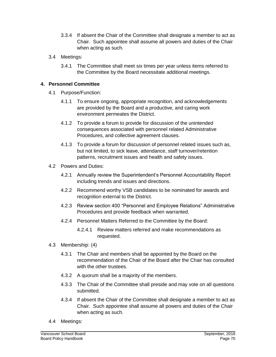- 3.3.4 If absent the Chair of the Committee shall designate a member to act as Chair. Such appointee shall assume all powers and duties of the Chair when acting as such.
- 3.4 Meetings:
	- 3.4.1 The Committee shall meet six times per year unless items referred to the Committee by the Board necessitate additional meetings.

## **4. Personnel Committee**

- 4.1 Purpose/Function:
	- 4.1.1 To ensure ongoing, appropriate recognition, and acknowledgements are provided by the Board and a productive, and caring work environment permeates the District.
	- 4.1.2 To provide a forum to provide for discussion of the unintended consequences associated with personnel related Administrative Procedures, and collective agreement clauses.
	- 4.1.3 To provide a forum for discussion of personnel related issues such as, but not limited, to sick leave, attendance, staff turnover/retention patterns, recruitment issues and health and safety issues.
- 4.2 Powers and Duties:
	- 4.2.1 Annually review the Superintendent's Personnel Accountability Report including trends and issues and directions.
	- 4.2.2 Recommend worthy VSB candidates to be nominated for awards and recognition external to the District.
	- 4.2.3 Review section 400 "Personnel and Employee Relations" Administrative Procedures and provide feedback when warranted.
	- 4.2.4 Personnel Matters Referred to the Committee by the Board:
		- 4.2.4.1 Review matters referred and make recommendations as requested.
- 4.3 Membership: (4)
	- 4.3.1 The Chair and members shall be appointed by the Board on the recommendation of the Chair of the Board after the Chair has consulted with the other trustees.
	- 4.3.2 A quorum shall be a majority of the members.
	- 4.3.3 The Chair of the Committee shall preside and may vote on all questions submitted.
	- 4.3.4 If absent the Chair of the Committee shall designate a member to act as Chair. Such appointee shall assume all powers and duties of the Chair when acting as such.
- 4.4 Meetings: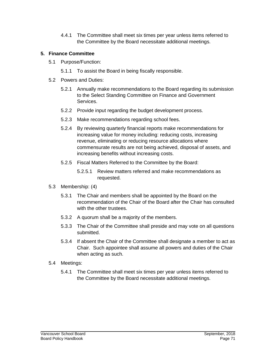4.4.1 The Committee shall meet six times per year unless items referred to the Committee by the Board necessitate additional meetings.

## **5. Finance Committee**

- 5.1 Purpose/Function:
	- 5.1.1 To assist the Board in being fiscally responsible.
- 5.2 Powers and Duties:
	- 5.2.1 Annually make recommendations to the Board regarding its submission to the Select Standing Committee on Finance and Government Services.
	- 5.2.2 Provide input regarding the budget development process.
	- 5.2.3 Make recommendations regarding school fees.
	- 5.2.4 By reviewing quarterly financial reports make recommendations for increasing value for money including: reducing costs, increasing revenue, eliminating or reducing resource allocations where commensurate results are not being achieved, disposal of assets, and increasing benefits without increasing costs.
	- 5.2.5 Fiscal Matters Referred to the Committee by the Board:
		- 5.2.5.1 Review matters referred and make recommendations as requested.
- 5.3 Membership: (4)
	- 5.3.1 The Chair and members shall be appointed by the Board on the recommendation of the Chair of the Board after the Chair has consulted with the other trustees.
	- 5.3.2 A quorum shall be a majority of the members.
	- 5.3.3 The Chair of the Committee shall preside and may vote on all questions submitted.
	- 5.3.4 If absent the Chair of the Committee shall designate a member to act as Chair. Such appointee shall assume all powers and duties of the Chair when acting as such.
- 5.4 Meetings:
	- 5.4.1 The Committee shall meet six times per year unless items referred to the Committee by the Board necessitate additional meetings.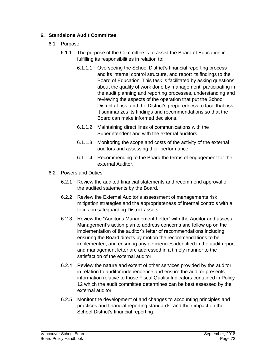## **6. Standalone Audit Committee**

- 6.1 Purpose
	- 6.1.1 The purpose of the Committee is to assist the Board of Education in fulfilling its responsibilities in relation to:
		- 6.1.1.1 Overseeing the School District's financial reporting process and its internal control structure, and report its findings to the Board of Education. This task is facilitated by asking questions about the quality of work done by management, participating in the audit planning and reporting processes, understanding and reviewing the aspects of the operation that put the School District at risk, and the District's preparedness to face that risk. It summarizes its findings and recommendations so that the Board can make informed decisions.
		- 6.1.1.2 Maintaining direct lines of communications with the Superintendent and with the external auditors.
		- 6.1.1.3 Monitoring the scope and costs of the activity of the external auditors and assessing their performance.
		- 6.1.1.4 Recommending to the Board the terms of engagement for the external Auditor.
- 6.2 Powers and Duties
	- 6.2.1 Review the audited financial statements and recommend approval of the audited statements by the Board.
	- 6.2.2 Review the External Auditor's assessment of managements risk mitigation strategies and the appropriateness of internal controls with a focus on safeguarding District assets.
	- 6.2.3 Review the "Auditor's Management Letter" with the Auditor and assess Management's action plan to address concerns and follow up on the implementation of the auditor's letter of recommendations including ensuring the Board directs by motion the recommendations to be implemented, and ensuring any deficiencies identified in the audit report and management letter are addressed in a timely manner to the satisfaction of the external auditor.
	- 6.2.4 Review the nature and extent of other services provided by the auditor in relation to auditor independence and ensure the auditor presents information relative to those Fiscal Quality Indicators contained in Policy 12 which the audit committee determines can be best assessed by the external auditor.
	- 6.2.5 Monitor the development of and changes to accounting principles and practices and financial reporting standards, and their impact on the School District's financial reporting.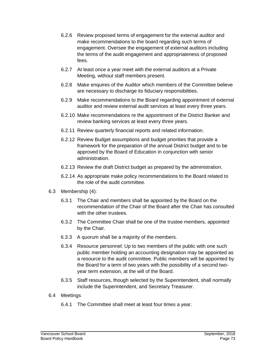- 6.2.6 Review proposed terms of engagement for the external auditor and make recommendations to the board regarding such terms of engagement. Oversee the engagement of external auditors including the terms of the audit engagement and appropriateness of proposed fees.
- 6.2.7 At least once a year meet with the external auditors at a Private Meeting, without staff members present.
- 6.2.8 Make enquires of the Auditor which members of the Committee believe are necessary to discharge its fiduciary responsibilities.
- 6.2.9 Make recommendations to the Board regarding appointment of external auditor and review external audit services at least every three years.
- 6.2.10 Make recommendations re the appointment of the District Banker and review banking services at least every three years.
- 6.2.11 Review quarterly financial reports and related information.
- 6.2.12 Review Budget assumptions and budget priorities that provide a framework for the preparation of the annual District budget and to be approved by the Board of Education in conjunction with senior administration.
- 6.2.13 Review the draft District budget as prepared by the administration.
- 6.2.14 As appropriate make policy recommendations to the Board related to the role of the audit committee.
- 6.3 Membership (4):
	- 6.3.1 The Chair and members shall be appointed by the Board on the recommendation of the Chair of the Board after the Chair has consulted with the other trustees.
	- 6.3.2 The Committee Chair shall be one of the trustee members, appointed by the Chair.
	- 6.3.3 A quorum shall be a majority of the members.
	- 6.3.4 Resource personnel: Up to two members of the public with one such public member holding an accounting designation may be appointed as a resource to the audit committee. Public members will be appointed by the Board for a term of two years with the possibility of a second twoyear term extension, at the will of the Board.
	- 6.3.5 Staff resources, though selected by the Superintendent, shall normally include the Superintendent, and Secretary Treasurer.
- 6.4 Meetings
	- 6.4.1 The Committee shall meet at least four times a year.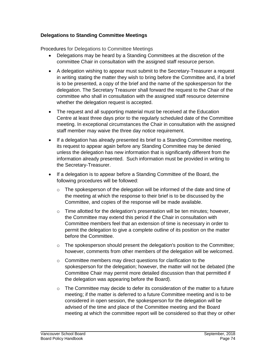## **Delegations to Standing Committee Meetings**

Procedures for Delegations to Committee Meetings

- Delegations may be heard by a Standing Committees at the discretion of the committee Chair in consultation with the assigned staff resource person.
- A delegation wishing to appear must submit to the Secretary-Treasurer a request in writing stating the matter they wish to bring before the Committee and, if a brief is to be presented, a copy of the brief and the name of the spokesperson for the delegation. The Secretary Treasurer shall forward the request to the Chair of the committee who shall in consultation with the assigned staff resource determine whether the delegation request is accepted.
- The request and all supporting material must be received at the Education Centre at least three days prior to the regularly scheduled date of the Committee meeting. In exceptional circumstances the Chair in consultation with the assigned staff member may waive the three day notice requirement.
- If a delegation has already presented its brief to a Standing Committee meeting, its request to appear again before any Standing Committee may be denied unless the delegation has new information that is significantly different from the information already presented. Such information must be provided in writing to the Secretary-Treasurer.
- If a delegation is to appear before a Standing Committee of the Board, the following procedures will be followed:
	- $\circ$  The spokesperson of the delegation will be informed of the date and time of the meeting at which the response to their brief is to be discussed by the Committee, and copies of the response will be made available.
	- $\circ$  Time allotted for the delegation's presentation will be ten minutes; however, the Committee may extend this period if the Chair in consultation with Committee members feel that an extension of time is necessary in order to permit the delegation to give a complete outline of its position on the matter before the Committee.
	- o The spokesperson should present the delegation's position to the Committee; however, comments from other members of the delegation will be welcomed.
	- o Committee members may direct questions for clarification to the spokesperson for the delegation; however, the matter will not be debated (the Committee Chair may permit more detailed discussion than that permitted if the delegation was appearing before the Board).
	- $\circ$  The Committee may decide to defer its consideration of the matter to a future meeting; if the matter is deferred to a future Committee meeting and is to be considered in open session, the spokesperson for the delegation will be advised of the time and place of the Committee meeting and the Board meeting at which the committee report will be considered so that they or other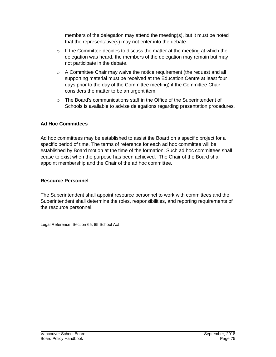members of the delegation may attend the meeting(s), but it must be noted that the representative(s) may not enter into the debate.

- $\circ$  If the Committee decides to discuss the matter at the meeting at which the delegation was heard, the members of the delegation may remain but may not participate in the debate.
- $\circ$  A Committee Chair may waive the notice requirement (the request and all supporting material must be received at the Education Centre at least four days prior to the day of the Committee meeting) if the Committee Chair considers the matter to be an urgent item.
- o The Board's communications staff in the Office of the Superintendent of Schools is available to advise delegations regarding presentation procedures.

## **Ad Hoc Committees**

Ad hoc committees may be established to assist the Board on a specific project for a specific period of time. The terms of reference for each ad hoc committee will be established by Board motion at the time of the formation. Such ad hoc committees shall cease to exist when the purpose has been achieved. The Chair of the Board shall appoint membership and the Chair of the ad hoc committee.

## **Resource Personnel**

The Superintendent shall appoint resource personnel to work with committees and the Superintendent shall determine the roles, responsibilities, and reporting requirements of the resource personnel.

Legal Reference: Section 65, 85 School Act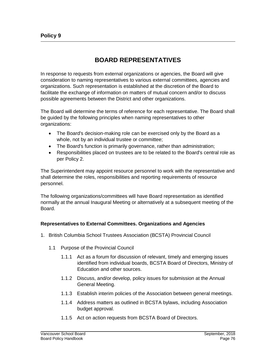# **BOARD REPRESENTATIVES**

In response to requests from external organizations or agencies, the Board will give consideration to naming representatives to various external committees, agencies and organizations. Such representation is established at the discretion of the Board to facilitate the exchange of information on matters of mutual concern and/or to discuss possible agreements between the District and other organizations.

The Board will determine the terms of reference for each representative. The Board shall be guided by the following principles when naming representatives to other organizations:

- The Board's decision-making role can be exercised only by the Board as a whole, not by an individual trustee or committee;
- The Board's function is primarily governance, rather than administration;
- Responsibilities placed on trustees are to be related to the Board's central role as per Policy 2.

The Superintendent may appoint resource personnel to work with the representative and shall determine the roles, responsibilities and reporting requirements of resource personnel.

The following organizations/committees will have Board representation as identified normally at the annual Inaugural Meeting or alternatively at a subsequent meeting of the Board.

#### **Representatives to External Committees. Organizations and Agencies**

- 1. British Columbia School Trustees Association (BCSTA) Provincial Council
	- 1.1 Purpose of the Provincial Council
		- 1.1.1 Act as a forum for discussion of relevant, timely and emerging issues identified from individual boards, BCSTA Board of Directors, Ministry of Education and other sources.
		- 1.1.2 Discuss, and/or develop, policy issues for submission at the Annual General Meeting.
		- 1.1.3 Establish interim policies of the Association between general meetings.
		- 1.1.4 Address matters as outlined in BCSTA bylaws, including Association budget approval.
		- 1.1.5 Act on action requests from BCSTA Board of Directors.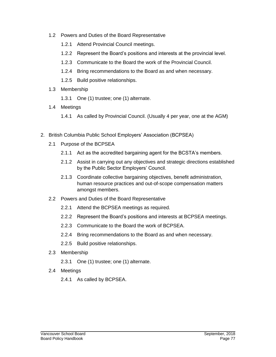- 1.2 Powers and Duties of the Board Representative
	- 1.2.1 Attend Provincial Council meetings.
	- 1.2.2 Represent the Board's positions and interests at the provincial level.
	- 1.2.3 Communicate to the Board the work of the Provincial Council.
	- 1.2.4 Bring recommendations to the Board as and when necessary.
	- 1.2.5 Build positive relationships.
- 1.3 Membership
	- 1.3.1 One (1) trustee; one (1) alternate.
- 1.4 Meetings
	- 1.4.1 As called by Provincial Council. (Usually 4 per year, one at the AGM)
- 2. British Columbia Public School Employers' Association (BCPSEA)
	- 2.1 Purpose of the BCPSEA
		- 2.1.1 Act as the accredited bargaining agent for the BCSTA's members.
		- 2.1.2 Assist in carrying out any objectives and strategic directions established by the Public Sector Employers' Council.
		- 2.1.3 Coordinate collective bargaining objectives, benefit administration, human resource practices and out-of-scope compensation matters amongst members.
	- 2.2 Powers and Duties of the Board Representative
		- 2.2.1 Attend the BCPSEA meetings as required.
		- 2.2.2 Represent the Board's positions and interests at BCPSEA meetings.
		- 2.2.3 Communicate to the Board the work of BCPSEA.
		- 2.2.4 Bring recommendations to the Board as and when necessary.
		- 2.2.5 Build positive relationships.
	- 2.3 Membership
		- 2.3.1 One (1) trustee; one (1) alternate.
	- 2.4 Meetings
		- 2.4.1 As called by BCPSEA.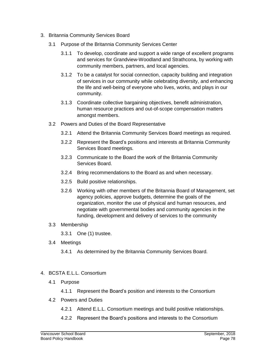- 3. Britannia Community Services Board
	- 3.1 Purpose of the Britannia Community Services Center
		- 3.1.1 To develop, coordinate and support a wide range of excellent programs and services for Grandview-Woodland and Strathcona, by working with community members, partners, and local agencies.
		- 3.1.2 To be a catalyst for social connection, capacity building and integration of services in our community while celebrating diversity, and enhancing the life and well-being of everyone who lives, works, and plays in our community.
		- 3.1.3 Coordinate collective bargaining objectives, benefit administration, human resource practices and out-of-scope compensation matters amongst members.
	- 3.2 Powers and Duties of the Board Representative
		- 3.2.1 Attend the Britannia Community Services Board meetings as required.
		- 3.2.2 Represent the Board's positions and interests at Britannia Community Services Board meetings.
		- 3.2.3 Communicate to the Board the work of the Britannia Community Services Board.
		- 3.2.4 Bring recommendations to the Board as and when necessary.
		- 3.2.5 Build positive relationships.
		- 3.2.6 Working with other members of the Britannia Board of Management, set agency policies, approve budgets, determine the goals of the organization, monitor the use of physical and human resources, and negotiate with governmental bodies and community agencies in the funding, development and delivery of services to the community

#### 3.3 Membership

- 3.3.1 One (1) trustee.
- 3.4 Meetings
	- 3.4.1 As determined by the Britannia Community Services Board.
- 4. BCSTA E.L.L. Consortium
	- 4.1 Purpose

4.1.1 Represent the Board's position and interests to the Consortium

- 4.2 Powers and Duties
	- 4.2.1 Attend E.L.L. Consortium meetings and build positive relationships.
	- 4.2.2 Represent the Board's positions and interests to the Consortium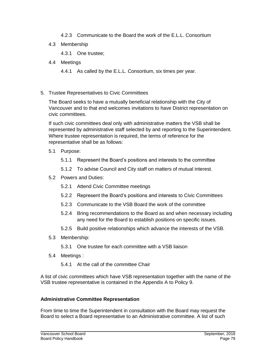- 4.2.3 Communicate to the Board the work of the E.L.L. Consortium
- 4.3 Membership
	- 4.3.1 One trustee;
- 4.4 Meetings
	- 4.4.1 As called by the E.L.L. Consortium, six times per year.
- 5. Trustee Representatives to Civic Committees

The Board seeks to have a mutually beneficial relationship with the City of Vancouver and to that end welcomes invitations to have District representation on civic committees.

If such civic committees deal only with administrative matters the VSB shall be represented by administrative staff selected by and reporting to the Superintendent. Where trustee representation is required, the terms of reference for the representative shall be as follows:

- 5.1 Purpose:
	- 5.1.1 Represent the Board's positions and interests to the committee
	- 5.1.2 To advise Council and City staff on matters of mutual interest.
- 5.2 Powers and Duties:
	- 5.2.1 Attend Civic Committee meetings
	- 5.2.2 Represent the Board's positions and interests to Civic Committees
	- 5.2.3 Communicate to the VSB Board the work of the committee
	- 5.2.4 Bring recommendations to the Board as and when necessary including any need for the Board to establish positions on specific issues.
	- 5.2.5 Build positive relationships which advance the interests of the VSB.
- 5.3 Membership:
	- 5.3.1 One trustee for each committee with a VSB liaison
- 5.4 Meetings :
	- 5.4.1 At the call of the committee Chair

A list of civic committees which have VSB representation together with the name of the VSB trustee representative is contained in the Appendix A to Policy 9.

#### **Administrative Committee Representation**

From time to time the Superintendent in consultation with the Board may request the Board to select a Board representative to an Administrative committee. A list of such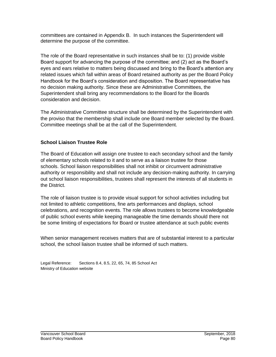committees are contained in Appendix B. In such instances the Superintendent will determine the purpose of the committee.

The role of the Board representative in such instances shall be to: (1) provide visible Board support for advancing the purpose of the committee; and (2) act as the Board's eyes and ears relative to matters being discussed and bring to the Board's attention any related issues which fall within areas of Board retained authority as per the Board Policy Handbook for the Board's consideration and disposition. The Board representative has no decision making authority. Since these are Administrative Committees, the Superintendent shall bring any recommendations to the Board for the Boards consideration and decision.

The Administrative Committee structure shall be determined by the Superintendent with the proviso that the membership shall include one Board member selected by the Board. Committee meetings shall be at the call of the Superintendent.

## **School Liaison Trustee Role**

The Board of Education will assign one trustee to each secondary school and the family of elementary schools related to it and to serve as a liaison trustee for those schools. School liaison responsibilities shall not inhibit or circumvent administrative authority or responsibility and shall not include any decision-making authority. In carrying out school liaison responsibilities, trustees shall represent the interests of all students in the District.

The role of liaison trustee is to provide visual support for school activities including but not limited to athletic competitions, fine arts performances and displays, school celebrations, and recognition events. The role allows trustees to become knowledgeable of public school events while keeping manageable the time demands should there not be some limiting of expectations for Board or trustee attendance at such public events

When senior management receives matters that are of substantial interest to a particular school, the school liaison trustee shall be informed of such matters.

Legal Reference: Sections 8.4, 8.5, 22, 65, 74, 85 School Act Ministry of Education website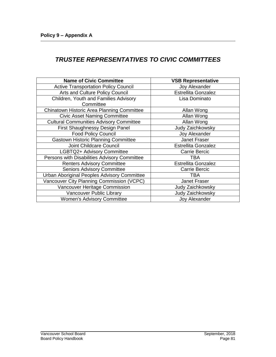## *TRUSTEE REPRESENTATIVES TO CIVIC COMMITTEES*

| <b>Name of Civic Committee</b>                 | <b>VSB Representative</b>  |
|------------------------------------------------|----------------------------|
| <b>Active Transportation Policy Council</b>    | Joy Alexander              |
| Arts and Culture Policy Council                | <b>Estrellita Gonzalez</b> |
| Children, Youth and Families Advisory          | Lisa Dominato              |
| Committee                                      |                            |
| Chinatown Historic Area Planning Committee     | Allan Wong                 |
| <b>Civic Asset Naming Committee</b>            | Allan Wong                 |
| <b>Cultural Communities Advisory Committee</b> | Allan Wong                 |
| First Shaughnessy Design Panel                 | Judy Zaichkowsky           |
| <b>Food Policy Council</b>                     | Joy Alexander              |
| <b>Gastown Historic Planning Committee</b>     | Janet Fraser               |
| Joint Childcare Council                        | <b>Estrellita Gonzalez</b> |
| LGBTQ2+ Advisory Committee                     | <b>Carrie Bercic</b>       |
| Persons with Disabilities Advisory Committee   | <b>TBA</b>                 |
| <b>Renters Advisory Committee</b>              | <b>Estrellita Gonzalez</b> |
| <b>Seniors Advisory Committee</b>              | <b>Carrie Bercic</b>       |
| Urban Aboriginal Peoples Advisory Committee    | <b>TBA</b>                 |
| Vancouver City Planning Commission (VCPC)      | <b>Janet Fraser</b>        |
| Vancouver Heritage Commission                  | <b>Judy Zaichkowsky</b>    |
| Vancouver Public Library                       | Judy Zaichkowsky           |
| <b>Women's Advisory Committee</b>              | Joy Alexander              |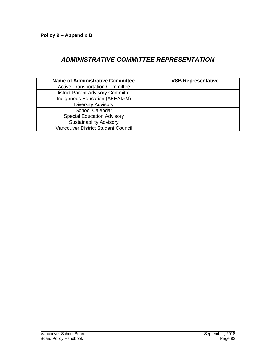## *ADMINISTRATIVE COMMITTEE REPRESENTATION*

| <b>Name of Administrative Committee</b>   | <b>VSB Representative</b> |
|-------------------------------------------|---------------------------|
| <b>Active Transportation Committee</b>    |                           |
| <b>District Parent Advisory Committee</b> |                           |
| Indigenous Education (AEEAI&M)            |                           |
| <b>Diversity Advisory</b>                 |                           |
| School Calendar                           |                           |
| <b>Special Education Advisory</b>         |                           |
| <b>Sustainability Advisory</b>            |                           |
| <b>Vancouver District Student Council</b> |                           |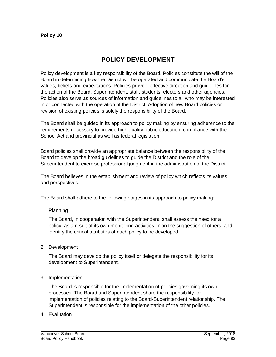# **POLICY DEVELOPMENT**

Policy development is a key responsibility of the Board. Policies constitute the will of the Board in determining how the District will be operated and communicate the Board's values, beliefs and expectations. Policies provide effective direction and guidelines for the action of the Board, Superintendent, staff, students, electors and other agencies. Policies also serve as sources of information and guidelines to all who may be interested in or connected with the operation of the District. Adoption of new Board policies or revision of existing policies is solely the responsibility of the Board.

The Board shall be guided in its approach to policy making by ensuring adherence to the requirements necessary to provide high quality public education, compliance with the School Act and provincial as well as federal legislation.

Board policies shall provide an appropriate balance between the responsibility of the Board to develop the broad guidelines to guide the District and the role of the Superintendent to exercise professional judgment in the administration of the District.

The Board believes in the establishment and review of policy which reflects its values and perspectives.

The Board shall adhere to the following stages in its approach to policy making:

1. Planning

The Board, in cooperation with the Superintendent, shall assess the need for a policy, as a result of its own monitoring activities or on the suggestion of others, and identify the critical attributes of each policy to be developed.

2. Development

The Board may develop the policy itself or delegate the responsibility for its development to Superintendent.

3. Implementation

The Board is responsible for the implementation of policies governing its own processes. The Board and Superintendent share the responsibility for implementation of policies relating to the Board-Superintendent relationship. The Superintendent is responsible for the implementation of the other policies.

4. Evaluation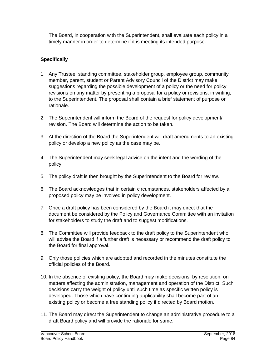The Board, in cooperation with the Superintendent, shall evaluate each policy in a timely manner in order to determine if it is meeting its intended purpose.

## **Specifically**

- 1. Any Trustee, standing committee, stakeholder group, employee group, community member, parent, student or Parent Advisory Council of the District may make suggestions regarding the possible development of a policy or the need for policy revisions on any matter by presenting a proposal for a policy or revisions, in writing, to the Superintendent. The proposal shall contain a brief statement of purpose or rationale.
- 2. The Superintendent will inform the Board of the request for policy development/ revision. The Board will determine the action to be taken.
- 3. At the direction of the Board the Superintendent will draft amendments to an existing policy or develop a new policy as the case may be.
- 4. The Superintendent may seek legal advice on the intent and the wording of the policy.
- 5. The policy draft is then brought by the Superintendent to the Board for review.
- 6. The Board acknowledges that in certain circumstances, stakeholders affected by a proposed policy may be involved in policy development.
- 7. Once a draft policy has been considered by the Board it may direct that the document be considered by the Policy and Governance Committee with an invitation for stakeholders to study the draft and to suggest modifications.
- 8. The Committee will provide feedback to the draft policy to the Superintendent who will advise the Board if a further draft is necessary or recommend the draft policy to the Board for final approval.
- 9. Only those policies which are adopted and recorded in the minutes constitute the official policies of the Board.
- 10. In the absence of existing policy, the Board may make decisions, by resolution, on matters affecting the administration, management and operation of the District. Such decisions carry the weight of policy until such time as specific written policy is developed. Those which have continuing applicability shall become part of an existing policy or become a free standing policy if directed by Board motion.
- 11. The Board may direct the Superintendent to change an administrative procedure to a draft Board policy and will provide the rationale for same.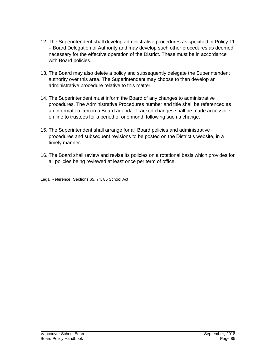- 12. The Superintendent shall develop administrative procedures as specified in Policy 11 – Board Delegation of Authority and may develop such other procedures as deemed necessary for the effective operation of the District. These must be in accordance with Board policies.
- 13. The Board may also delete a policy and subsequently delegate the Superintendent authority over this area. The Superintendent may choose to then develop an administrative procedure relative to this matter.
- 14. The Superintendent must inform the Board of any changes to administrative procedures. The Administrative Procedures number and title shall be referenced as an information item in a Board agenda. Tracked changes shall be made accessible on line to trustees for a period of one month following such a change.
- 15. The Superintendent shall arrange for all Board policies and administrative procedures and subsequent revisions to be posted on the District's website, in a timely manner.
- 16. The Board shall review and revise its policies on a rotational basis which provides for all policies being reviewed at least once per term of office.

Legal Reference: Sections 65, 74, 85 School Act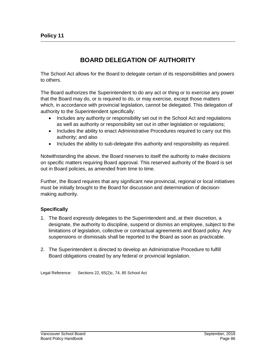# **BOARD DELEGATION OF AUTHORITY**

The School Act allows for the Board to delegate certain of its responsibilities and powers to others.

The Board authorizes the Superintendent to do any act or thing or to exercise any power that the Board may do, or is required to do, or may exercise, except those matters which, in accordance with provincial legislation, cannot be delegated. This delegation of authority to the Superintendent specifically:

- Includes any authority or responsibility set out in the School Act and regulations as well as authority or responsibility set out in other legislation or regulations;
- Includes the ability to enact Administrative Procedures required to carry out this authority; and also
- Includes the ability to sub-delegate this authority and responsibility as required.

Notwithstanding the above, the Board reserves to itself the authority to make decisions on specific matters requiring Board approval. This reserved authority of the Board is set out in Board policies, as amended from time to time.

Further, the Board requires that any significant new provincial, regional or local initiatives must be initially brought to the Board for discussion and determination of decisionmaking authority.

#### **Specifically**

- 1. The Board expressly delegates to the Superintendent and, at their discretion, a designate, the authority to discipline, suspend or dismiss an employee, subject to the limitations of legislation, collective or contractual agreements and Board policy. Any suspensions or dismissals shall be reported to the Board as soon as practicable.
- 2. The Superintendent is directed to develop an Administrative Procedure to fulfill Board obligations created by any federal or provincial legislation.

Legal Reference: Sections 22, 65(2)c, 74, 85 School Act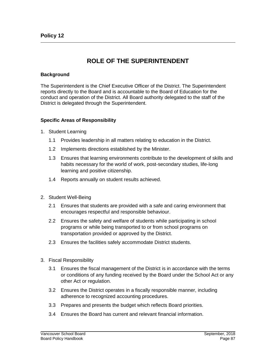# **ROLE OF THE SUPERINTENDENT**

#### **Background**

The Superintendent is the Chief Executive Officer of the District. The Superintendent reports directly to the Board and is accountable to the Board of Education for the conduct and operation of the District. All Board authority delegated to the staff of the District is delegated through the Superintendent.

#### **Specific Areas of Responsibility**

- 1. Student Learning
	- 1.1 Provides leadership in all matters relating to education in the District.
	- 1.2 Implements directions established by the Minister.
	- 1.3 Ensures that learning environments contribute to the development of skills and habits necessary for the world of work, post-secondary studies, life-long learning and positive citizenship.
	- 1.4 Reports annually on student results achieved.
- 2. Student Well-Being
	- 2.1 Ensures that students are provided with a safe and caring environment that encourages respectful and responsible behaviour.
	- 2.2 Ensures the safety and welfare of students while participating in school programs or while being transported to or from school programs on transportation provided or approved by the District.
	- 2.3 Ensures the facilities safely accommodate District students.
- 3. Fiscal Responsibility
	- 3.1 Ensures the fiscal management of the District is in accordance with the terms or conditions of any funding received by the Board under the School Act or any other Act or regulation.
	- 3.2 Ensures the District operates in a fiscally responsible manner, including adherence to recognized accounting procedures.
	- 3.3 Prepares and presents the budget which reflects Board priorities.
	- 3.4 Ensures the Board has current and relevant financial information.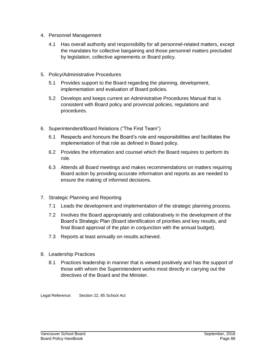- 4. Personnel Management
	- 4.1 Has overall authority and responsibility for all personnel-related matters, except the mandates for collective bargaining and those personnel matters precluded by legislation, collective agreements or Board policy.
- 5. Policy/Administrative Procedures
	- 5.1 Provides support to the Board regarding the planning, development, implementation and evaluation of Board policies.
	- 5.2 Develops and keeps current an Administrative Procedures Manual that is consistent with Board policy and provincial policies, regulations and procedures.
- 6. Superintendent/Board Relations ("The First Team")
	- 6.1 Respects and honours the Board's role and responsibilities and facilitates the implementation of that role as defined in Board policy.
	- 6.2 Provides the information and counsel which the Board requires to perform its role.
	- 6.3 Attends all Board meetings and makes recommendations on matters requiring Board action by providing accurate information and reports as are needed to ensure the making of informed decisions.
- 7. Strategic Planning and Reporting
	- 7.1 Leads the development and implementation of the strategic planning process.
	- 7.2 Involves the Board appropriately and collaboratively in the development of the Board's Strategic Plan (Board identification of priorities and key results, and final Board approval of the plan in conjunction with the annual budget).
	- 7.3 Reports at least annually on results achieved.
- 8. Leadership Practices
	- 8.1 Practices leadership in manner that is viewed positively and has the support of those with whom the Superintendent works most directly in carrying out the directives of the Board and the Minister.

Legal Reference: Section 22, 85 School Act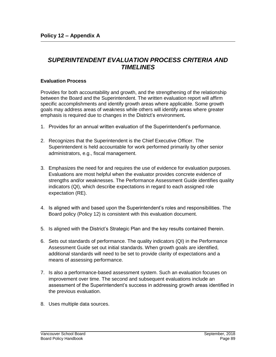## *SUPERINTENDENT EVALUATION PROCESS CRITERIA AND TIMELINES*

#### **Evaluation Process**

Provides for both accountability and growth, and the strengthening of the relationship between the Board and the Superintendent. The written evaluation report will affirm specific accomplishments and identify growth areas where applicable. Some growth goals may address areas of weakness while others will identify areas where greater emphasis is required due to changes in the District's environment**.**

- 1. Provides for an annual written evaluation of the Superintendent's performance.
- 2. Recognizes that the Superintendent is the Chief Executive Officer. The Superintendent is held accountable for work performed primarily by other senior administrators, e.g., fiscal management.
- 3. Emphasizes the need for and requires the use of evidence for evaluation purposes. Evaluations are most helpful when the evaluator provides concrete evidence of strengths and/or weaknesses. The Performance Assessment Guide identifies quality indicators (QI), which describe expectations in regard to each assigned role expectation (RE).
- 4. Is aligned with and based upon the Superintendent's roles and responsibilities. The Board policy (Policy 12) is consistent with this evaluation document.
- 5. Is aligned with the District's Strategic Plan and the key results contained therein.
- 6. Sets out standards of performance. The quality indicators (QI) in the Performance Assessment Guide set out initial standards. When growth goals are identified, additional standards will need to be set to provide clarity of expectations and a means of assessing performance.
- 7. Is also a performance-based assessment system. Such an evaluation focuses on improvement over time. The second and subsequent evaluations include an assessment of the Superintendent's success in addressing growth areas identified in the previous evaluation.
- 8. Uses multiple data sources.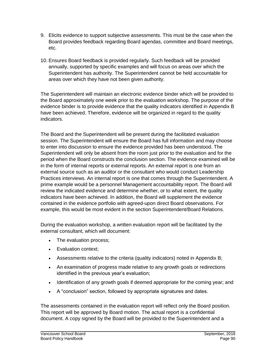- 9. Elicits evidence to support subjective assessments. This must be the case when the Board provides feedback regarding Board agendas, committee and Board meetings, etc.
- 10. Ensures Board feedback is provided regularly. Such feedback will be provided annually, supported by specific examples and will focus on areas over which the Superintendent has authority. The Superintendent cannot be held accountable for areas over which they have not been given authority.

The Superintendent will maintain an electronic evidence binder which will be provided to the Board approximately one week prior to the evaluation workshop. The purpose of the evidence binder is to provide evidence that the quality indicators identified in Appendix B have been achieved. Therefore, evidence will be organized in regard to the quality indicators.

The Board and the Superintendent will be present during the facilitated evaluation session. The Superintendent will ensure the Board has full information and may choose to enter into discussion to ensure the evidence provided has been understood. The Superintendent will only be absent from the room just prior to the evaluation and for the period when the Board constructs the conclusion section. The evidence examined will be in the form of internal reports or external reports. An external report is one from an external source such as an auditor or the consultant who would conduct Leadership Practices interviews. An internal report is one that comes through the Superintendent. A prime example would be a personnel Management accountability report. The Board will review the indicated evidence and determine whether, or to what extent, the quality indicators have been achieved. In addition, the Board will supplement the evidence contained in the evidence portfolio with agreed-upon direct Board observations. For example, this would be most evident in the section Superintendent/Board Relations.

During the evaluation workshop, a written evaluation report will be facilitated by the external consultant, which will document:

- The evaluation process;
- Evaluation context:
- Assessments relative to the criteria (quality indicators) noted in Appendix B;
- An examination of progress made relative to any growth goals or redirections identified in the previous year's evaluation;
- Identification of any growth goals if deemed appropriate for the coming year; and
- A "conclusion" section, followed by appropriate signatures and dates.

The assessments contained in the evaluation report will reflect only the Board position. This report will be approved by Board motion. The actual report is a confidential document. A copy signed by the Board will be provided to the Superintendent and a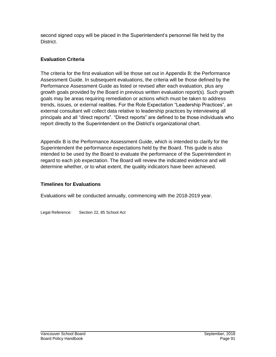second signed copy will be placed in the Superintendent's personnel file held by the District.

## **Evaluation Criteria**

The criteria for the first evaluation will be those set out in Appendix B: the Performance Assessment Guide. In subsequent evaluations, the criteria will be those defined by the Performance Assessment Guide as listed or revised after each evaluation, plus any growth goals provided by the Board in previous written evaluation report(s). Such growth goals may be areas requiring remediation or actions which must be taken to address trends, issues, or external realities. For the Role Expectation "Leadership Practices", an external consultant will collect data relative to leadership practices by interviewing all principals and all "direct reports". "Direct reports" are defined to be those individuals who report directly to the Superintendent on the District's organizational chart.

Appendix B is the Performance Assessment Guide, which is intended to clarify for the Superintendent the performance expectations held by the Board. This guide is also intended to be used by the Board to evaluate the performance of the Superintendent in regard to each job expectation. The Board will review the indicated evidence and will determine whether, or to what extent, the quality indicators have been achieved.

#### **Timelines for Evaluations**

Evaluations will be conducted annually, commencing with the 2018-2019 year.

Legal Reference: Section 22, 85 School Act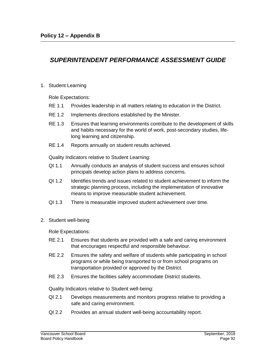## *SUPERINTENDENT PERFORMANCE ASSESSMENT GUIDE*

1. Student Learning

Role Expectations:

- RE 1.1 Provides leadership in all matters relating to education in the District.
- RE 1.2 Implements directions established by the Minister.
- RE 1.3 Ensures that learning environments contribute to the development of skills and habits necessary for the world of work, post-secondary studies, lifelong learning and citizenship.
- RE 1.4 Reports annually on student results achieved.

Quality Indicators relative to Student Learning:

- QI 1.1 Annually conducts an analysis of student success and ensures school principals develop action plans to address concerns.
- QI 1.2 Identifies trends and issues related to student achievement to inform the strategic planning process, including the implementation of innovative means to improve measurable student achievement.
- QI 1.3 There is measurable improved student achievement over time.
- 2. Student well-being

Role Expectations:

- RE 2.1 Ensures that students are provided with a safe and caring environment that encourages respectful and responsible behaviour.
- RE 2.2 Ensures the safety and welfare of students while participating in school programs or while being transported to or from school programs on transportation provided or approved by the District.
- RE 2.3 Ensures the facilities safely accommodate District students.

Quality Indicators relative to Student well-being:

- QI 2.1 Develops measurements and monitors progress relative to providing a safe and caring environment.
- QI 2.2 Provides an annual student well-being accountability report.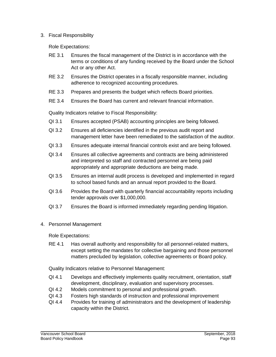#### 3. Fiscal Responsibility

Role Expectations:

- RE 3.1 Ensures the fiscal management of the District is in accordance with the terms or conditions of any funding received by the Board under the School Act or any other Act.
- RE 3.2 Ensures the District operates in a fiscally responsible manner, including adherence to recognized accounting procedures.
- RE 3.3 Prepares and presents the budget which reflects Board priorities.
- RE 3.4 Ensures the Board has current and relevant financial information.

Quality Indicators relative to Fiscal Responsibility:

- QI 3.1 Ensures accepted (PSAB) accounting principles are being followed.
- QI 3.2 Ensures all deficiencies identified in the previous audit report and management letter have been remediated to the satisfaction of the auditor.
- QI 3.3 Ensures adequate internal financial controls exist and are being followed.
- QI 3.4 Ensures all collective agreements and contracts are being administered and interpreted so staff and contracted personnel are being paid appropriately and appropriate deductions are being made.
- QI 3.5 Ensures an internal audit process is developed and implemented in regard to school based funds and an annual report provided to the Board.
- QI 3.6 Provides the Board with quarterly financial accountability reports including tender approvals over \$1,000,000.
- QI 3.7 Ensures the Board is informed immediately regarding pending litigation.
- 4. Personnel Management

Role Expectations:

RE 4.1 Has overall authority and responsibility for all personnel-related matters, except setting the mandates for collective bargaining and those personnel matters precluded by legislation, collective agreements or Board policy.

Quality Indicators relative to Personnel Management:

- QI 4.1 Develops and effectively implements quality recruitment, orientation, staff development, disciplinary, evaluation and supervisory processes.
- QI 4.2 Models commitment to personal and professional growth.
- QI 4.3 Fosters high standards of instruction and professional improvement
- QI 4.4 Provides for training of administrators and the development of leadership capacity within the District.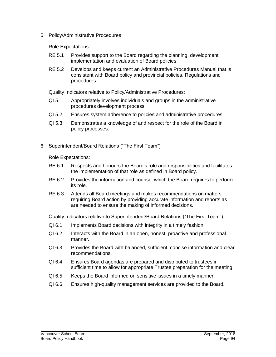5. Policy/Administrative Procedures

Role Expectations:

- RE 5.1 Provides support to the Board regarding the planning, development, implementation and evaluation of Board policies.
- RE 5.2 Develops and keeps current an Administrative Procedures Manual that is consistent with Board policy and provincial policies, Regulations and procedures.

Quality Indicators relative to Policy/Administrative Procedures:

- QI 5.1 Appropriately involves individuals and groups in the administrative procedures development process.
- QI 5.2 Ensures system adherence to policies and administrative procedures.
- QI 5.3 Demonstrates a knowledge of and respect for the role of the Board in policy processes.
- 6. Superintendent/Board Relations ("The First Team")

Role Expectations:

- RE 6.1 Respects and honours the Board's role and responsibilities and facilitates the implementation of that role as defined in Board policy.
- RE 6.2 Provides the information and counsel which the Board requires to perform its role.
- RE 6.3 Attends all Board meetings and makes recommendations on matters requiring Board action by providing accurate information and reports as are needed to ensure the making of informed decisions.

Quality Indicators relative to Superintendent/Board Relations ("The First Team"):

- QI 6.1 Implements Board decisions with integrity in a timely fashion.
- QI 6.2 Interacts with the Board in an open, honest, proactive and professional manner.
- QI 6.3 Provides the Board with balanced, sufficient, concise information and clear recommendations.
- QI 6.4 Ensures Board agendas are prepared and distributed to trustees in sufficient time to allow for appropriate Trustee preparation for the meeting.
- QI 6.5 Keeps the Board informed on sensitive issues in a timely manner.
- QI 6.6 Ensures high-quality management services are provided to the Board.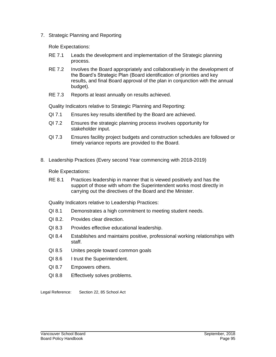7. Strategic Planning and Reporting

Role Expectations:

- RE 7.1 Leads the development and implementation of the Strategic planning process.
- RE 7.2 Involves the Board appropriately and collaboratively in the development of the Board's Strategic Plan (Board identification of priorities and key results, and final Board approval of the plan in conjunction with the annual budget).
- RE 7.3 Reports at least annually on results achieved.

Quality Indicators relative to Strategic Planning and Reporting:

- QI 7.1 Ensures key results identified by the Board are achieved.
- QI 7.2 Ensures the strategic planning process involves opportunity for stakeholder input.
- QI 7.3 Ensures facility project budgets and construction schedules are followed or timely variance reports are provided to the Board.
- 8. Leadership Practices (Every second Year commencing with 2018-2019)

Role Expectations:

RE 8.1 Practices leadership in manner that is viewed positively and has the support of those with whom the Superintendent works most directly in carrying out the directives of the Board and the Minister.

Quality Indicators relative to Leadership Practices:

- QI 8.1 Demonstrates a high commitment to meeting student needs.
- QI 8.2. Provides clear direction.
- QI 8.3 Provides effective educational leadership.
- QI 8.4 Establishes and maintains positive, professional working relationships with staff.
- QI 8.5 Unites people toward common goals
- QI 8.6 I trust the Superintendent.
- QI 8.7 Empowers others.
- QI 8.8 Effectively solves problems.

Legal Reference: Section 22, 85 School Act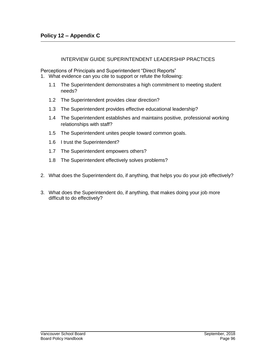#### INTERVIEW GUIDE SUPERINTENDENT LEADERSHIP PRACTICES

Perceptions of Principals and Superintendent "Direct Reports"

- 1. What evidence can you cite to support or refute the following:
	- 1.1 The Superintendent demonstrates a high commitment to meeting student needs?
	- 1.2 The Superintendent provides clear direction?
	- 1.3 The Superintendent provides effective educational leadership?
	- 1.4 The Superintendent establishes and maintains positive, professional working relationships with staff?
	- 1.5 The Superintendent unites people toward common goals.
	- 1.6 I trust the Superintendent?
	- 1.7 The Superintendent empowers others?
	- 1.8 The Superintendent effectively solves problems?
- 2. What does the Superintendent do, if anything, that helps you do your job effectively?
- 3. What does the Superintendent do, if anything, that makes doing your job more difficult to do effectively?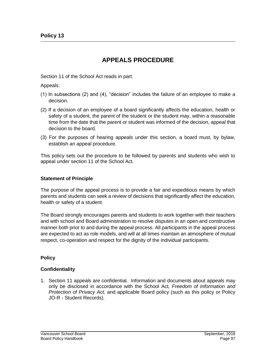# **APPEALS PROCEDURE**

Section 11 of the School Act reads in part:

Appeals:

- (1) In subsections (2) and (4), "decision" includes the failure of an employee to make a decision.
- (2) If a decision of an employee of a board significantly affects the education, health or safety of a student, the parent of the student or the student may, within a reasonable time from the date that the parent or student was informed of the decision, appeal that decision to the board.
- (3) For the purposes of hearing appeals under this section, a board must, by bylaw, establish an appeal procedure.

This policy sets out the procedure to be followed by parents and students who wish to appeal under section 11 of the School Act.

#### **Statement of Principle**

The purpose of the appeal process is to provide a fair and expeditious means by which parents and students can seek a review of decisions that significantly affect the education, health or safety of a student.

The Board strongly encourages parents and students to work together with their teachers and with school and Board administration to resolve disputes in an open and constructive manner both prior to and during the appeal process. All participants in the appeal process are expected to act as role models, and will at all times maintain an atmosphere of mutual respect, co-operation and respect for the dignity of the individual participants.

#### **Policy**

#### **Confidentiality**

1. Section 11 appeals are confidential. Information and documents about appeals may only be disclosed in accordance with the School Act*, Freedom of Information and Protection of Privacy Act,* and applicable Board policy (such as this policy or Policy JO-R - Student Records).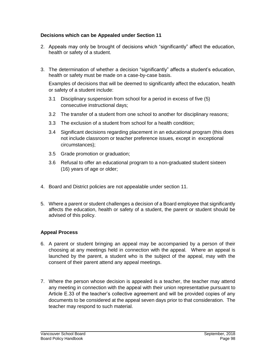#### **Decisions which can be Appealed under Section 11**

- 2. Appeals may only be brought of decisions which "significantly" affect the education, health or safety of a student.
- 3. The determination of whether a decision "significantly" affects a student's education, health or safety must be made on a case-by-case basis.

Examples of decisions that will be deemed to significantly affect the education, health or safety of a student include:

- 3.1 Disciplinary suspension from school for a period in excess of five (5) consecutive instructional days;
- 3.2 The transfer of a student from one school to another for disciplinary reasons;
- 3.3 The exclusion of a student from school for a health condition;
- 3.4 Significant decisions regarding placement in an educational program (this does not include classroom or teacher preference issues, except in exceptional circumstances);
- 3.5 Grade promotion or graduation;
- 3.6 Refusal to offer an educational program to a non-graduated student sixteen (16) years of age or older;
- 4. Board and District policies are not appealable under section 11.
- 5. Where a parent or student challenges a decision of a Board employee that significantly affects the education, health or safety of a student, the parent or student should be advised of this policy.

#### **Appeal Process**

- 6. A parent or student bringing an appeal may be accompanied by a person of their choosing at any meetings held in connection with the appeal. Where an appeal is launched by the parent, a student who is the subject of the appeal, may with the consent of their parent attend any appeal meetings.
- 7. Where the person whose decision is appealed is a teacher, the teacher may attend any meeting in connection with the appeal with their union representative pursuant to Article E.33 of the teacher's collective agreement and will be provided copies of any documents to be considered at the appeal seven days prior to that consideration. The teacher may respond to such material.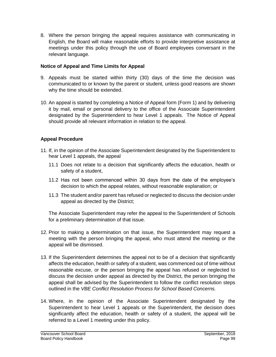8. Where the person bringing the appeal requires assistance with communicating in English, the Board will make reasonable efforts to provide interpretive assistance at meetings under this policy through the use of Board employees conversant in the relevant language.

## **Notice of Appeal and Time Limits for Appeal**

- 9. Appeals must be started within thirty (30) days of the time the decision was communicated to or known by the parent or student, unless good reasons are shown why the time should be extended.
- 10. An appeal is started by completing a Notice of Appeal form (Form 1) and by delivering it by mail, email or personal delivery to the office of the Associate Superintendent designated by the Superintendent to hear Level 1 appeals. The Notice of Appeal should provide all relevant information in relation to the appeal.

## **Appeal Procedure**

- 11. If, in the opinion of the Associate Superintendent designated by the Superintendent to hear Level 1 appeals, the appeal
	- 11.1 Does not relate to a decision that significantly affects the education, health or safety of a student,
	- 11.2 Has not been commenced within 30 days from the date of the employee's decision to which the appeal relates, without reasonable explanation; or
	- 11.3 The student and/or parent has refused or neglected to discuss the decision under appeal as directed by the District;

The Associate Superintendent may refer the appeal to the Superintendent of Schools for a preliminary determination of that issue.

- 12. Prior to making a determination on that issue, the Superintendent may request a meeting with the person bringing the appeal, who must attend the meeting or the appeal will be dismissed.
- 13. If the Superintendent determines the appeal not to be of a decision that significantly affects the education, health or safety of a student, was commenced out of time without reasonable excuse, or the person bringing the appeal has refused or neglected to discuss the decision under appeal as directed by the District, the person bringing the appeal shall be advised by the Superintendent to follow the conflict resolution steps outlined in the *VBE Conflict Resolution Process for School Based Concerns.*
- 14. Where, in the opinion of the Associate Superintendent designated by the Superintendent to hear Level 1 appeals or the Superintendent, the decision does significantly affect the education, health or safety of a student, the appeal will be referred to a Level 1 meeting under this policy.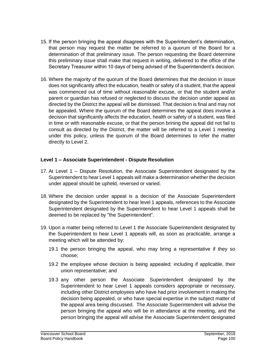- 15. If the person bringing the appeal disagrees with the Superintendent's determination, that person may request the matter be referred to a quorum of the Board for a determination of that preliminary issue. The person requesting the Board determine this preliminary issue shall make that request in writing, delivered to the office of the Secretary Treasurer within 10 days of being advised of the Superintendent's decision.
- 16. Where the majority of the quorum of the Board determines that the decision in issue does not significantly affect the education, health or safety of a student, that the appeal was commenced out of time without reasonable excuse, or that the student and/or parent or guardian has refused or neglected to discuss the decision under appeal as directed by the District the appeal will be dismissed. That decision is final and may not be appealed. Where the quorum of the Board determines the appeal does involve a decision that significantly affects the education, health or safety of a student, was filed in time or with reasonable excuse, or that the person brining the appeal did not fail to consult as directed by the District, the matter will be referred to a Level 1 meeting under this policy, unless the quorum of the Board determines to refer the matter directly to Level 2.

## **Level 1 – Associate Superintendent - Dispute Resolution**

- 17. At Level 1 Dispute Resolution, the Associate Superintendent designated by the Superintendent to hear Level 1 appeals will make a determination whether the decision under appeal should be upheld, reversed or varied.
- 18. Where the decision under appeal is a decision of the Associate Superintendent designated by the Superintendent to hear level 1 appeals, references to the Associate Superintendent designated by the Superintendent to hear Level 1 appeals shall be deemed to be replaced by "the Superintendent".
- 19. Upon a matter being referred to Level 1 the Associate Superintendent designated by the Superintendent to hear Level 1 appeals will, as soon as practicable, arrange a meeting which will be attended by:
	- 19.1 the person bringing the appeal, who may bring a representative if they so choose;
	- 19.2 the employee whose decision is being appealed; including if applicable, their union representative; and
	- 19.3 any other person the Associate Superintendent designated by the Superintendent to hear Level 1 appeals considers appropriate or necessary, including other District employees who have had prior involvement in making the decision being appealed, or who have special expertise in the subject matter of the appeal area being discussed. The Associate Superintendent will advise the person bringing the appeal who will be in attendance at the meeting, and the person bringing the appeal will advise the Associate Superintendent designated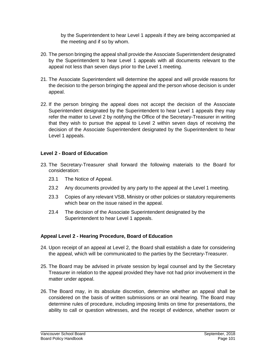by the Superintendent to hear Level 1 appeals if they are being accompanied at the meeting and if so by whom.

- 20. The person bringing the appeal shall provide the Associate Superintendent designated by the Superintendent to hear Level 1 appeals with all documents relevant to the appeal not less than seven days prior to the Level 1 meeting.
- 21. The Associate Superintendent will determine the appeal and will provide reasons for the decision to the person bringing the appeal and the person whose decision is under appeal.
- 22. If the person bringing the appeal does not accept the decision of the Associate Superintendent designated by the Superintendent to hear Level 1 appeals they may refer the matter to Level 2 by notifying the Office of the Secretary-Treasurer in writing that they wish to pursue the appeal to Level 2 within seven days of receiving the decision of the Associate Superintendent designated by the Superintendent to hear Level 1 appeals.

## **Level 2 - Board of Education**

- 23. The Secretary-Treasurer shall forward the following materials to the Board for consideration:
	- 23.1 The Notice of Appeal.
	- 23.2 Any documents provided by any party to the appeal at the Level 1 meeting.
	- 23.3 Copies of any relevant VSB, Ministry or other policies or statutory requirements which bear on the issue raised in the appeal.
	- 23.4 The decision of the Associate Superintendent designated by the Superintendent to hear Level 1 appeals.

## **Appeal Level 2 - Hearing Procedure, Board of Education**

- 24. Upon receipt of an appeal at Level 2, the Board shall establish a date for considering the appeal, which will be communicated to the parties by the Secretary-Treasurer.
- 25. The Board may be advised in private session by legal counsel and by the Secretary Treasurer in relation to the appeal provided they have not had prior involvement in the matter under appeal.
- 26. The Board may, in its absolute discretion, determine whether an appeal shall be considered on the basis of written submissions or an oral hearing. The Board may determine rules of procedure, including imposing limits on time for presentations, the ability to call or question witnesses, and the receipt of evidence, whether sworn or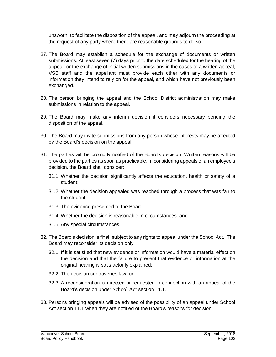unsworn, to facilitate the disposition of the appeal, and may adjourn the proceeding at the request of any party where there are reasonable grounds to do so.

- 27. The Board may establish a schedule for the exchange of documents or written submissions. At least seven (7) days prior to the date scheduled for the hearing of the appeal, or the exchange of initial written submissions in the cases of a written appeal, VSB staff and the appellant must provide each other with any documents or information they intend to rely on for the appeal, and which have not previously been exchanged.
- 28. The person bringing the appeal and the School District administration may make submissions in relation to the appeal.
- 29. The Board may make any interim decision it considers necessary pending the disposition of the appeal**.**
- 30. The Board may invite submissions from any person whose interests may be affected by the Board's decision on the appeal.
- 31. The parties will be promptly notified of the Board's decision. Written reasons will be provided to the parties as soon as practicable. In considering appeals of an employee's decision, the Board shall consider:
	- 31.1 Whether the decision significantly affects the education, health or safety of a student;
	- 31.2 Whether the decision appealed was reached through a process that was fair to the student;
	- 31.3 The evidence presented to the Board;
	- 31.4 Whether the decision is reasonable in circumstances; and
	- 31.5 Any special circumstances.
- 32. The Board's decision is final, subject to any rights to appeal under the School Act. The Board may reconsider its decision only:
	- 32.1 If it is satisfied that new evidence or information would have a material effect on the decision and that the failure to present that evidence or information at the original hearing is satisfactorily explained;
	- 32.2 The decision contravenes law; or
	- 32.3 A reconsideration is directed or requested in connection with an appeal of the Board's decision under School Act section 11.1.
- 33. Persons bringing appeals will be advised of the possibility of an appeal under School Act section 11.1 when they are notified of the Board's reasons for decision.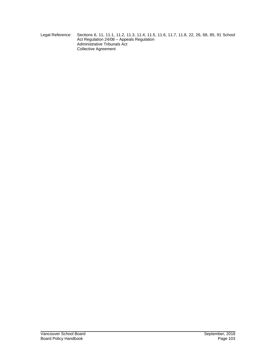Legal Reference: Sections 6, 11, 11.1, 11.2, 11.3, 11.4, 11.5, 11.6, 11.7, 11.8, 22, 26, 68, 85, 91 School Act Regulation 24/08 – Appeals Regulation Administrative Tribunals Act Collective Agreement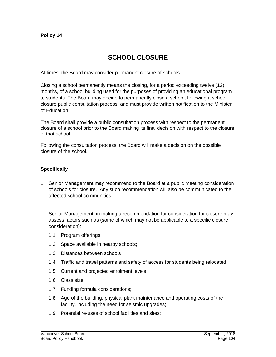## **SCHOOL CLOSURE**

At times, the Board may consider permanent closure of schools.

Closing a school permanently means the closing, for a period exceeding twelve (12) months, of a school building used for the purposes of providing an educational program to students. The Board may decide to permanently close a school, following a school closure public consultation process, and must provide written notification to the Minister of Education.

The Board shall provide a public consultation process with respect to the permanent closure of a school prior to the Board making its final decision with respect to the closure of that school.

Following the consultation process, the Board will make a decision on the possible closure of the school.

#### **Specifically**

1. Senior Management may recommend to the Board at a public meeting consideration of schools for closure. Any such recommendation will also be communicated to the affected school communities.

Senior Management, in making a recommendation for consideration for closure may assess factors such as (some of which may not be applicable to a specific closure consideration):

- 1.1 Program offerings;
- 1.2 Space available in nearby schools;
- 1.3 Distances between schools
- 1.4 Traffic and travel patterns and safety of access for students being relocated;
- 1.5 Current and projected enrolment levels;
- 1.6 Class size;
- 1.7 Funding formula considerations;
- 1.8 Age of the building, physical plant maintenance and operating costs of the facility, including the need for seismic upgrades;
- 1.9 Potential re-uses of school facilities and sites;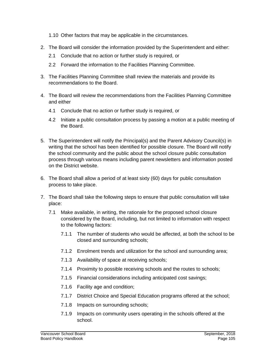- 1.10 Other factors that may be applicable in the circumstances.
- 2. The Board will consider the information provided by the Superintendent and either:
	- 2.1 Conclude that no action or further study is required, or
	- 2.2 Forward the information to the Facilities Planning Committee.
- 3. The Facilities Planning Committee shall review the materials and provide its recommendations to the Board.
- 4. The Board will review the recommendations from the Facilities Planning Committee and either
	- 4.1 Conclude that no action or further study is required, or
	- 4.2 Initiate a public consultation process by passing a motion at a public meeting of the Board.
- 5. The Superintendent will notify the Principal(s) and the Parent Advisory Council(s) in writing that the school has been identified for possible closure. The Board will notify the school community and the public about the school closure public consultation process through various means including parent newsletters and information posted on the District website.
- 6. The Board shall allow a period of at least sixty (60) days for public consultation process to take place.
- 7. The Board shall take the following steps to ensure that public consultation will take place:
	- 7.1 Make available, in writing, the rationale for the proposed school closure considered by the Board, including, but not limited to information with respect to the following factors:
		- 7.1.1 The number of students who would be affected, at both the school to be closed and surrounding schools;
		- 7.1.2 Enrolment trends and utilization for the school and surrounding area;
		- 7.1.3 Availability of space at receiving schools;
		- 7.1.4 Proximity to possible receiving schools and the routes to schools;
		- 7.1.5 Financial considerations including anticipated cost savings;
		- 7.1.6 Facility age and condition;
		- 7.1.7 District Choice and Special Education programs offered at the school;
		- 7.1.8 Impacts on surrounding schools;
		- 7.1.9 Impacts on community users operating in the schools offered at the school.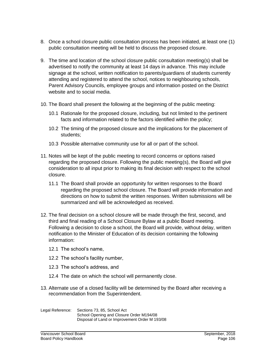- 8. Once a school closure public consultation process has been initiated, at least one (1) public consultation meeting will be held to discuss the proposed closure.
- 9. The time and location of the school closure public consultation meeting(s) shall be advertised to notify the community at least 14 days in advance. This may include signage at the school, written notification to parents/guardians of students currently attending and registered to attend the school, notices to neighbouring schools, Parent Advisory Councils, employee groups and information posted on the District website and to social media.
- 10. The Board shall present the following at the beginning of the public meeting:
	- 10.1 Rationale for the proposed closure, including, but not limited to the pertinent facts and information related to the factors identified within the policy;
	- 10.2 The timing of the proposed closure and the implications for the placement of students;
	- 10.3 Possible alternative community use for all or part of the school.
- 11. Notes will be kept of the public meeting to record concerns or options raised regarding the proposed closure. Following the public meeting(s), the Board will give consideration to all input prior to making its final decision with respect to the school closure.
	- 11.1 The Board shall provide an opportunity for written responses to the Board regarding the proposed school closure. The Board will provide information and directions on how to submit the written responses. Written submissions will be summarized and will be acknowledged as received.
- 12. The final decision on a school closure will be made through the first, second, and third and final reading of a School Closure Bylaw at a public Board meeting. Following a decision to close a school, the Board will provide, without delay, written notification to the Minister of Education of its decision containing the following information:
	- 12.1 The school's name,
	- 12.2 The school's facility number,
	- 12.3 The school's address, and
	- 12.4 The date on which the school will permanently close.
- 13. Alternate use of a closed facility will be determined by the Board after receiving a recommendation from the Superintendent.

Legal Reference: Sections 73, 85, School Act School Opening and Closure Order M194/08 Disposal of Land or Improvement Order M 193/08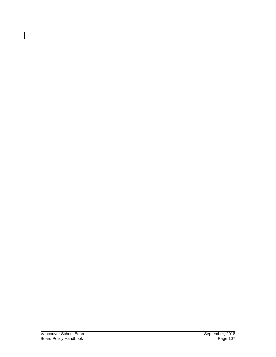Vancouver School Board September, 2018 Board Policy Handbook Page 107

 $\overline{\phantom{a}}$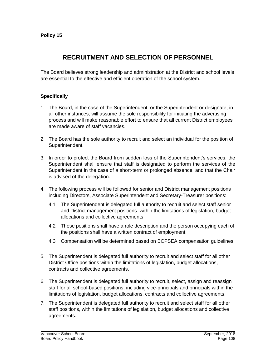# **RECRUITMENT AND SELECTION OF PERSONNEL**

The Board believes strong leadership and administration at the District and school levels are essential to the effective and efficient operation of the school system.

#### **Specifically**

- 1. The Board, in the case of the Superintendent, or the Superintendent or designate, in all other instances, will assume the sole responsibility for initiating the advertising process and will make reasonable effort to ensure that all current District employees are made aware of staff vacancies.
- 2. The Board has the sole authority to recruit and select an individual for the position of Superintendent.
- 3. In order to protect the Board from sudden loss of the Superintendent's services, the Superintendent shall ensure that staff is designated to perform the services of the Superintendent in the case of a short-term or prolonged absence, and that the Chair is advised of the delegation.
- 4. The following process will be followed for senior and District management positions including Directors, Associate Superintendent and Secretary-Treasurer positions:
	- 4.1 The Superintendent is delegated full authority to recruit and select staff senior and District management positions within the limitations of legislation, budget allocations and collective agreements
	- 4.2 These positions shall have a role description and the person occupying each of the positions shall have a written contract of employment.
	- 4.3 Compensation will be determined based on BCPSEA compensation guidelines.
- 5. The Superintendent is delegated full authority to recruit and select staff for all other District Office positions within the limitations of legislation, budget allocations, contracts and collective agreements.
- 6. The Superintendent is delegated full authority to recruit, select, assign and reassign staff for all school-based positions, including vice-principals and principals within the limitations of legislation, budget allocations, contracts and collective agreements.
- 7. The Superintendent is delegated full authority to recruit and select staff for all other staff positions, within the limitations of legislation, budget allocations and collective agreements.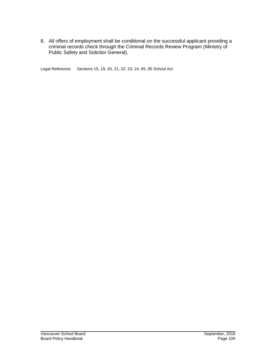8. All offers of employment shall be conditional on the successful applicant providing a criminal records check through the Criminal Records Review Program (Ministry of Public Safety and Solicitor General).

Legal Reference: Sections 15, 19, 20, 21, 22, 23, 24, 65, 85 School Act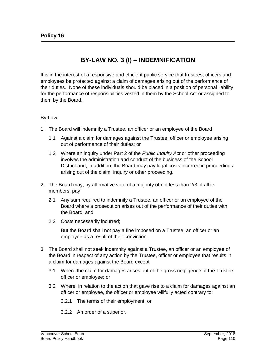# **BY-LAW NO. 3 (I) – INDEMNIFICATION**

It is in the interest of a responsive and efficient public service that trustees, officers and employees be protected against a claim of damages arising out of the performance of their duties. None of these individuals should be placed in a position of personal liability for the performance of responsibilities vested in them by the School Act or assigned to them by the Board.

#### By-Law:

- 1. The Board will indemnify a Trustee, an officer or an employee of the Board
	- 1.1 Against a claim for damages against the Trustee, officer or employee arising out of performance of their duties; or
	- 1.2 Where an inquiry under Part 2 of the *Public Inquiry Act* or other proceeding involves the administration and conduct of the business of the School District and, in addition, the Board may pay legal costs incurred in proceedings arising out of the claim, inquiry or other proceeding.
- 2. The Board may, by affirmative vote of a majority of not less than 2/3 of all its members, pay
	- 2.1 Any sum required to indemnify a Trustee, an officer or an employee of the Board where a prosecution arises out of the performance of their duties with the Board; and
	- 2.2 Costs necessarily incurred;

But the Board shall not pay a fine imposed on a Trustee, an officer or an employee as a result of their conviction.

- 3. The Board shall not seek indemnity against a Trustee, an officer or an employee of the Board in respect of any action by the Trustee, officer or employee that results in a claim for damages against the Board except
	- 3.1 Where the claim for damages arises out of the gross negligence of the Trustee, officer or employee; or
	- 3.2 Where, in relation to the action that gave rise to a claim for damages against an officer or employee, the officer or employee willfully acted contrary to:
		- 3.2.1 The terms of their employment, or
		- 3.2.2 An order of a superior.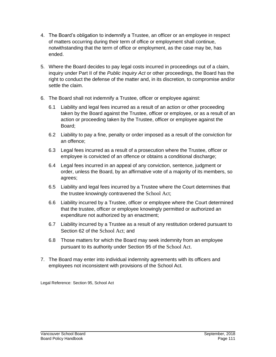- 4. The Board's obligation to indemnify a Trustee, an officer or an employee in respect of matters occurring during their term of office or employment shall continue, notwithstanding that the term of office or employment, as the case may be, has ended.
- 5. Where the Board decides to pay legal costs incurred in proceedings out of a claim, inquiry under Part II of the *Public Inquiry Act* or other proceedings, the Board has the right to conduct the defense of the matter and, in its discretion, to compromise and/or settle the claim.
- 6. The Board shall not indemnify a Trustee, officer or employee against:
	- 6.1 Liability and legal fees incurred as a result of an action or other proceeding taken by the Board against the Trustee, officer or employee, or as a result of an action or proceeding taken by the Trustee, officer or employee against the Board;
	- 6.2 Liability to pay a fine, penalty or order imposed as a result of the conviction for an offence;
	- 6.3 Legal fees incurred as a result of a prosecution where the Trustee, officer or employee is convicted of an offence or obtains a conditional discharge;
	- 6.4 Legal fees incurred in an appeal of any conviction, sentence, judgment or order, unless the Board, by an affirmative vote of a majority of its members, so agrees;
	- 6.5 Liability and legal fees incurred by a Trustee where the Court determines that the trustee knowingly contravened the School Act;
	- 6.6 Liability incurred by a Trustee, officer or employee where the Court determined that the trustee, officer or employee knowingly permitted or authorized an expenditure not authorized by an enactment;
	- 6.7 Liability incurred by a Trustee as a result of any restitution ordered pursuant to Section 62 of the School Act; and
	- 6.8 Those matters for which the Board may seek indemnity from an employee pursuant to its authority under Section 95 of the School Act.
- 7. The Board may enter into individual indemnity agreements with its officers and employees not inconsistent with provisions of the School Act.

Legal Reference: Section 95, School Act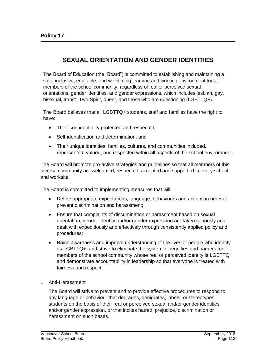# **SEXUAL ORIENTATION AND GENDER IDENTITIES**

The Board of Education (the "Board") is committed to establishing and maintaining a safe, inclusive, equitable, and welcoming learning and working environment for all members of the school community, regardless of real or perceived sexual orientations, gender identities, and gender expressions, which includes lesbian, gay, bisexual, trans\*, Two-Spirit, queer, and those who are questioning (LGBTTQ+).

The Board believes that all LGBTTQ+ students, staff and families have the right to have:

- Their confidentiality protected and respected;
- Self-identification and determination; and
- Their unique identities, families, cultures, and communities included, represented, valued, and respected within all aspects of the school environment.

The Board will promote pro-active strategies and guidelines so that all members of this diverse community are welcomed, respected, accepted and supported in every school and worksite.

The Board is committed to implementing measures that will:

- Define appropriate expectations, language, behaviours and actions in order to prevent discrimination and harassment;
- Ensure that complaints of discrimination or harassment based on sexual orientation, gender identity and/or gender expression are taken seriously and dealt with expeditiously and effectively through consistently applied policy and procedures;
- Raise awareness and improve understanding of the lives of people who identify as LGBTTQ+; and strive to eliminate the systemic inequities and barriers for members of the school community whose real or perceived identity is LGBTTQ+ and demonstrate accountability in leadership so that everyone is treated with fairness and respect.
- 1. Anti-Harassment

The Board will strive to prevent and to provide effective procedures to respond to any language or behaviour that degrades, denigrates, labels, or stereotypes students on the basis of their real or perceived sexual and/or gender identities and/or gender expression, or that incites hatred, prejudice, discrimination or harassment on such bases.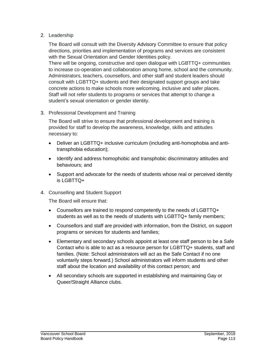2. Leadership

The Board will consult with the Diversity Advisory Committee to ensure that policy directions, priorities and implementation of programs and services are consistent with the Sexual Orientation and Gender Identities policy.

There will be ongoing, constructive and open dialogue with LGBTTQ+ communities to increase co-operation and collaboration among home, school and the community. Administrators, teachers, counsellors, and other staff and student leaders should consult with LGBTTQ+ students and their designated support groups and take concrete actions to make schools more welcoming, inclusive and safer places. Staff will not refer students to programs or services that attempt to change a student's sexual orientation or gender identity.

3. Professional Development and Training

The Board will strive to ensure that professional development and training is provided for staff to develop the awareness, knowledge, skills and attitudes necessary to:

- Deliver an LGBTTQ+ inclusive curriculum (including anti-homophobia and antitransphobia education);
- Identify and address homophobic and transphobic discriminatory attitudes and behaviours; and
- Support and advocate for the needs of students whose real or perceived identity is LGBTTQ+
- 4. Counselling and Student Support

The Board will ensure that:

- Counsellors are trained to respond competently to the needs of LGBTTQ+ students as well as to the needs of students with LGBTTQ+ family members;
- Counsellors and staff are provided with information, from the District, on support programs or services for students and families;
- Elementary and secondary schools appoint at least one staff person to be a Safe Contact who is able to act as a resource person for LGBTTQ+ students, staff and families. (Note: School administrators will act as the Safe Contact if no one voluntarily steps forward.) School administrators will inform students and other staff about the location and availability of this contact person; and
- All secondary schools are supported in establishing and maintaining Gay or Queer/Straight Alliance clubs.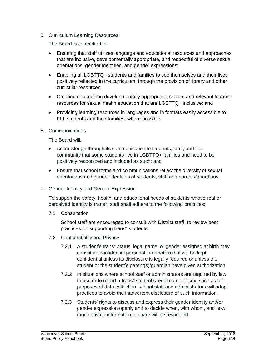5. Curriculum Learning Resources

The Board is committed to:

- Ensuring that staff utilizes language and educational resources and approaches that are inclusive, developmentally appropriate, and respectful of diverse sexual orientations, gender identities, and gender expressions;
- Enabling all LGBTTQ+ students and families to see themselves and their lives positively reflected in the curriculum, through the provision of library and other curricular resources;
- Creating or acquiring developmentally appropriate, current and relevant learning resources for sexual health education that are LGBTTQ+ inclusive; and
- Providing learning resources in languages and in formats easily accessible to ELL students and their families, where possible.
- 6. Communications

The Board will:

- Acknowledge through its communication to students, staff, and the community that some students live in LGBTTQ+ families and need to be positively recognized and included as such; and
- Ensure that school forms and communications reflect the diversity of sexual orientations and gender identities of students, staff and parents/guardians.
- 7. Gender Identity and Gender Expression

To support the safety, health, and educational needs of students whose real or perceived identity is trans\*, staff shall adhere to the following practices:

7.1 Consultation

School staff are encouraged to consult with District staff, to review best practices for supporting trans\* students.

- 7.2 Confidentiality and Privacy
	- 7.2.1 A student's trans\* status, legal name, or gender assigned at birth may constitute confidential personal information that will be kept confidential unless its disclosure is legally required or unless the student or the student's parent(s)/guardian have given authorization.
	- 7.2.2 In situations where school staff or administrators are required by law to use or to report a trans\* student's legal name or sex, such as for purposes of data collection, school staff and administrators will adopt practices to avoid the inadvertent disclosure of such information.
	- 7.2.3 Students' rights to discuss and express their gender identity and/or gender expression openly and to decide when, with whom, and how much private information to share will be respected.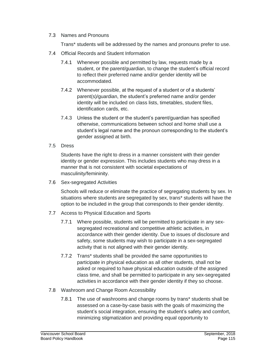7.3 Names and Pronouns

Trans\* students will be addressed by the names and pronouns prefer to use.

- 7.4 Official Records and Student Information
	- 7.4.1 Whenever possible and permitted by law, requests made by a student, or the parent/guardian, to change the student's official record to reflect their preferred name and/or gender identity will be accommodated.
	- 7.4.2 Whenever possible, at the request of a student or of a students' parent(s)/guardian, the student's preferred name and/or gender identity will be included on class lists, timetables, student files, identification cards, etc.
	- 7.4.3 Unless the student or the student's parent/guardian has specified otherwise, communications between school and home shall use a student's legal name and the pronoun corresponding to the student's gender assigned at birth.
- 7.5 Dress

Students have the right to dress in a manner consistent with their gender identity or gender expression. This includes students who may dress in a manner that is not consistent with societal expectations of masculinity/femininity.

7.6 Sex-segregated Activities

Schools will reduce or eliminate the practice of segregating students by sex. In situations where students are segregated by sex, trans\* students will have the option to be included in the group that corresponds to their gender identity.

- 7.7 Access to Physical Education and Sports
	- 7.7.1 Where possible, students will be permitted to participate in any sexsegregated recreational and competitive athletic activities, in accordance with their gender identity. Due to issues of disclosure and safety, some students may wish to participate in a sex-segregated activity that is not aligned with their gender identity.
	- 7.7.2 Trans\* students shall be provided the same opportunities to participate in physical education as all other students, shall not be asked or required to have physical education outside of the assigned class time, and shall be permitted to participate in any sex-segregated activities in accordance with their gender identity if they so choose.
- 7.8 Washroom and Change Room Accessibility
	- 7.8.1 The use of washrooms and change rooms by trans\* students shall be assessed on a case-by-case basis with the goals of maximizing the student's social integration, ensuring the student's safety and comfort, minimizing stigmatization and providing equal opportunity to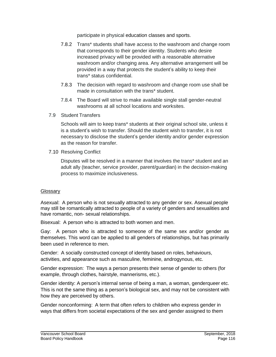participate in physical education classes and sports.

- 7.8.2 Trans\* students shall have access to the washroom and change room that corresponds to their gender identity. Students who desire increased privacy will be provided with a reasonable alternative washroom and/or changing area. Any alternative arrangement will be provided in a way that protects the student's ability to keep their trans\* status confidential.
- 7.8.3 The decision with regard to washroom and change room use shall be made in consultation with the trans\* student.
- 7.8.4 The Board will strive to make available single stall gender-neutral washrooms at all school locations and worksites.
- 7.9 Student Transfers

Schools will aim to keep trans\* students at their original school site, unless it is a student's wish to transfer. Should the student wish to transfer, it is not necessary to disclose the student's gender identity and/or gender expression as the reason for transfer.

7.10 Resolving Conflict

Disputes will be resolved in a manner that involves the trans\* student and an adult ally (teacher, service provider, parent/guardian) in the decision-making process to maximize inclusiveness.

### Glossary

Asexual: A person who is not sexually attracted to any gender or sex. Asexual people may still be romantically attracted to people of a variety of genders and sexualities and have romantic, non- sexual relationships.

Bisexual: A person who is attracted to both women and men.

Gay: A person who is attracted to someone of the same sex and/or gender as themselves. This word can be applied to all genders of relationships, but has primarily been used in reference to men.

Gender: A socially constructed concept of identity based on roles, behaviours, activities, and appearance such as masculine, feminine, androgynous, etc.

Gender expression: The ways a person presents their sense of gender to others (for example, through clothes, hairstyle, mannerisms, etc.).

Gender identity: A person's internal sense of being a man, a woman, genderqueer etc. This is not the same thing as a person's biological sex, and may not be consistent with how they are perceived by others.

Gender nonconforming: A term that often refers to children who express gender in ways that differs from societal expectations of the sex and gender assigned to them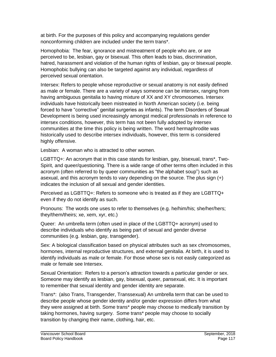at birth. For the purposes of this policy and accompanying regulations gender nonconforming children are included under the term trans\*.

Homophobia: The fear, ignorance and mistreatment of people who are, or are perceived to be, lesbian, gay or bisexual. This often leads to bias, discrimination, hatred, harassment and violation of the human rights of lesbian, gay or bisexual people. Homophobic bullying can also be targeted against any individual, regardless of perceived sexual orientation.

Intersex: Refers to people whose reproductive or sexual anatomy is not easily defined as male or female. There are a variety of ways someone can be intersex, ranging from having ambiguous genitalia to having mixture of XX and XY chromosomes. Intersex individuals have historically been mistreated in North American society (i.e. being forced to have "corrective" genital surgeries as infants). The term Disorders of Sexual Development is being used increasingly amongst medical professionals in reference to intersex conditions, however, this term has not been fully adopted by intersex communities at the time this policy is being written. The word hermaphrodite was historically used to describe intersex individuals, however, this term is considered highly offensive.

Lesbian: A woman who is attracted to other women.

LGBTTQ+: An acronym that in this case stands for lesbian, gay, bisexual, trans\*, Two-Spirit, and queer/questioning. There is a wide range of other terms often included in this acronym (often referred to by queer communities as "the alphabet soup") such as asexual, and this acronym tends to vary depending on the source. The plus sign (+) indicates the inclusion of all sexual and gender identities.

Perceived as LGBTTQ+: Refers to someone who is treated as if they are LGBTTQ+ even if they do not identify as such.

Pronouns: The words one uses to refer to themselves (e.g. he/him/his; she/her/hers; they/them/theirs; xe, xem, xyr, etc.)

Queer: An umbrella term (often used in place of the LGBTTQ+ acronym) used to describe individuals who identify as being part of sexual and gender diverse communities (e.g. lesbian, gay, transgender).

Sex: A biological classification based on physical attributes such as sex chromosomes, hormones, internal reproductive structures, and external genitalia. At birth, it is used to identify individuals as male or female. For those whose sex is not easily categorized as male or female see Intersex.

Sexual Orientation: Refers to a person's attraction towards a particular gender or sex. Someone may identify as lesbian, gay, bisexual, queer, pansexual, etc. It is important to remember that sexual identity and gender identity are separate.

Trans\*: (also Trans, Transgender, Transsexual) An umbrella term that can be used to describe people whose gender identity and/or gender expression differs from what they were assigned at birth. Some trans\* people may choose to medically transition by taking hormones, having surgery. Some trans\* people may choose to socially transition by changing their name, clothing, hair, etc.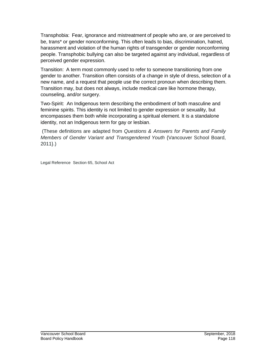Transphobia: Fear, ignorance and mistreatment of people who are, or are perceived to be, trans\* or gender nonconforming. This often leads to bias, discrimination, hatred, harassment and violation of the human rights of transgender or gender nonconforming people. Transphobic bullying can also be targeted against any individual, regardless of perceived gender expression.

Transition: A term most commonly used to refer to someone transitioning from one gender to another. Transition often consists of a change in style of dress, selection of a new name, and a request that people use the correct pronoun when describing them. Transition may, but does not always, include medical care like hormone therapy, counseling, and/or surgery.

Two-Spirit: An Indigenous term describing the embodiment of both masculine and feminine spirits. This identity is not limited to gender expression or sexuality, but encompasses them both while incorporating a spiritual element. It is a standalone identity, not an Indigenous term for gay or lesbian.

(These definitions are adapted from *Questions & Answers for Parents and Family Members of Gender Variant and Transgendered Youth* {Vancouver School Board, 2011}.)

Legal Reference Section 65, School Act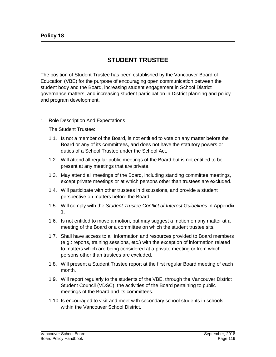# **STUDENT TRUSTEE**

The position of Student Trustee has been established by the Vancouver Board of Education (VBE) for the purpose of encouraging open communication between the student body and the Board, increasing student engagement in School District governance matters, and increasing student participation in District planning and policy and program development.

1. Role Description And Expectations

The Student Trustee:

- 1.1. Is not a member of the Board, is not entitled to vote on any matter before the Board or any of its committees, and does not have the statutory powers or duties of a School Trustee under the School Act.
- 1.2. Will attend all regular public meetings of the Board but is not entitled to be present at any meetings that are private.
- 1.3. May attend all meetings of the Board, including standing committee meetings, except private meetings or at which persons other than trustees are excluded.
- 1.4. Will participate with other trustees in discussions, and provide a student perspective on matters before the Board.
- 1.5. Will comply with the *Student Trustee Conflict of Interest Guidelines* in Appendix 1.
- 1.6. Is not entitled to move a motion, but may suggest a motion on any matter at a meeting of the Board or a committee on which the student trustee sits.
- 1.7. Shall have access to all information and resources provided to Board members (e.g.: reports, training sessions, etc.) with the exception of information related to matters which are being considered at a private meeting or from which persons other than trustees are excluded.
- 1.8. Will present a Student Trustee report at the first regular Board meeting of each month.
- 1.9. Will report regularly to the students of the VBE, through the Vancouver District Student Council (VDSC), the activities of the Board pertaining to public meetings of the Board and its committees.
- 1.10. Is encouraged to visit and meet with secondary school students in schools within the Vancouver School District.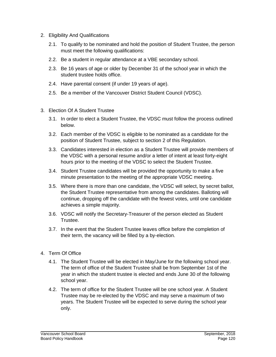- 2. Eligibility And Qualifications
	- 2.1. To qualify to be nominated and hold the position of Student Trustee, the person must meet the following qualifications:
	- 2.2. Be a student in regular attendance at a VBE secondary school.
	- 2.3. Be 16 years of age or older by December 31 of the school year in which the student trustee holds office.
	- 2.4. Have parental consent (if under 19 years of age).
	- 2.5. Be a member of the Vancouver District Student Council (VDSC).
- 3. Election Of A Student Trustee
	- 3.1. In order to elect a Student Trustee, the VDSC must follow the process outlined below.
	- 3.2. Each member of the VDSC is eligible to be nominated as a candidate for the position of Student Trustee, subject to section 2 of this Regulation.
	- 3.3. Candidates interested in election as a Student Trustee will provide members of the VDSC with a personal resume and/or a letter of intent at least forty-eight hours prior to the meeting of the VDSC to select the Student Trustee.
	- 3.4. Student Trustee candidates will be provided the opportunity to make a five minute presentation to the meeting of the appropriate VDSC meeting.
	- 3.5. Where there is more than one candidate, the VDSC will select, by secret ballot, the Student Trustee representative from among the candidates. Balloting will continue, dropping off the candidate with the fewest votes, until one candidate achieves a simple majority.
	- 3.6. VDSC will notify the Secretary-Treasurer of the person elected as Student Trustee.
	- 3.7. In the event that the Student Trustee leaves office before the completion of their term, the vacancy will be filled by a by-election.
- 4. Term Of Office
	- 4.1. The Student Trustee will be elected in May/June for the following school year. The term of office of the Student Trustee shall be from September 1st of the year in which the student trustee is elected and ends June 30 of the following school year.
	- 4.2. The term of office for the Student Trustee will be one school year. A Student Trustee may be re-elected by the VDSC and may serve a maximum of two years. The Student Trustee will be expected to serve during the school year only.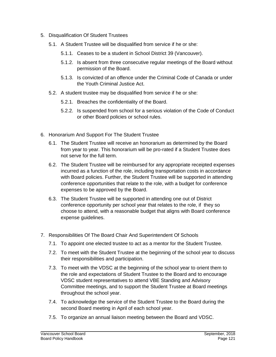- 5. Disqualification Of Student Trustees
	- 5.1. A Student Trustee will be disqualified from service if he or she:
		- 5.1.1. Ceases to be a student in School District 39 (Vancouver).
		- 5.1.2. Is absent from three consecutive regular meetings of the Board without permission of the Board.
		- 5.1.3. Is convicted of an offence under the Criminal Code of Canada or under the Youth Criminal Justice Act.
	- 5.2. A student trustee may be disqualified from service if he or she:
		- 5.2.1. Breaches the confidentiality of the Board.
		- 5.2.2. Is suspended from school for a serious violation of the Code of Conduct or other Board policies or school rules.
- 6. Honorarium And Support For The Student Trustee
	- 6.1. The Student Trustee will receive an honorarium as determined by the Board from year to year. This honorarium will be pro-rated if a Student Trustee does not serve for the full term.
	- 6.2. The Student Trustee will be reimbursed for any appropriate receipted expenses incurred as a function of the role, including transportation costs in accordance with Board policies. Further, the Student Trustee will be supported in attending conference opportunities that relate to the role, with a budget for conference expenses to be approved by the Board.
	- 6.3. The Student Trustee will be supported in attending one out of District conference opportunity per school year that relates to the role, if they so choose to attend, with a reasonable budget that aligns with Board conference expense guidelines.
- 7. Responsibilities Of The Board Chair And Superintendent Of Schools
	- 7.1. To appoint one elected trustee to act as a mentor for the Student Trustee.
	- 7.2. To meet with the Student Trustee at the beginning of the school year to discuss their responsibilities and participation.
	- 7.3. To meet with the VDSC at the beginning of the school year to orient them to the role and expectations of Student Trustee to the Board and to encourage VDSC student representatives to attend VBE Standing and Advisory Committee meetings, and to support the Student Trustee at Board meetings throughout the school year.
	- 7.4. To acknowledge the service of the Student Trustee to the Board during the second Board meeting in April of each school year.
	- 7.5. To organize an annual liaison meeting between the Board and VDSC.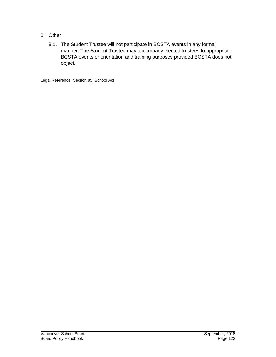- 8. Other
	- 8.1. The Student Trustee will not participate in BCSTA events in any formal manner. The Student Trustee may accompany elected trustees to appropriate BCSTA events or orientation and training purposes provided BCSTA does not object.

Legal Reference Section 85, School Act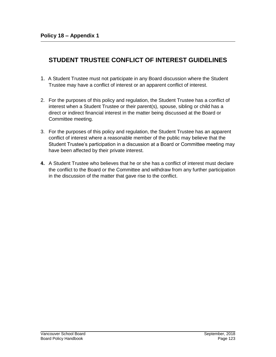# **STUDENT TRUSTEE CONFLICT OF INTEREST GUIDELINES**

- 1. A Student Trustee must not participate in any Board discussion where the Student Trustee may have a conflict of interest or an apparent conflict of interest.
- 2. For the purposes of this policy and regulation, the Student Trustee has a conflict of interest when a Student Trustee or their parent(s), spouse, sibling or child has a direct or indirect financial interest in the matter being discussed at the Board or Committee meeting.
- 3. For the purposes of this policy and regulation, the Student Trustee has an apparent conflict of interest where a reasonable member of the public may believe that the Student Trustee's participation in a discussion at a Board or Committee meeting may have been affected by their private interest.
- **4.** A Student Trustee who believes that he or she has a conflict of interest must declare the conflict to the Board or the Committee and withdraw from any further participation in the discussion of the matter that gave rise to the conflict.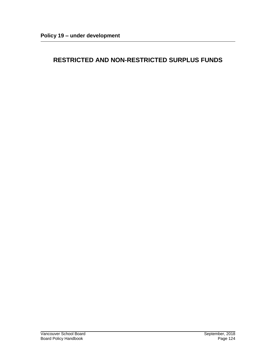# **RESTRICTED AND NON-RESTRICTED SURPLUS FUNDS**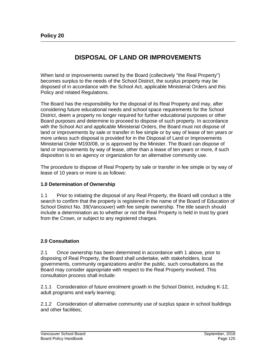# **DISPOSAL OF LAND OR IMPROVEMENTS**

When land or improvements owned by the Board (collectively "the Real Property") becomes surplus to the needs of the School District, the surplus property may be disposed of in accordance with the School Act, applicable Ministerial Orders and this Policy and related Regulations.

The Board has the responsibility for the disposal of its Real Property and may, after considering future educational needs and school space requirements for the School District, deem a property no longer required for further educational purposes or other Board purposes and determine to proceed to dispose of such property. In accordance with the School Act and applicable Ministerial Orders, the Board must not dispose of land or improvements by sale or transfer in fee simple or by way of lease of ten years or more unless such disposal is provided for in the Disposal of Land or Improvements Ministerial Order M193/08, or is approved by the Minister. The Board can dispose of land or improvements by way of lease, other than a lease of ten years or more, if such disposition is to an agency or organization for an alternative community use.

The procedure to dispose of Real Property by sale or transfer in fee simple or by way of lease of 10 years or more is as follows:

#### **1.0 Determination of Ownership**

1.1 Prior to initiating the disposal of any Real Property, the Board will conduct a title search to confirm that the property is registered in the name of the Board of Education of School District No. 39(Vancouver) with fee simple ownership. The title search should include a determination as to whether or not the Real Property is held in trust by grant from the Crown, or subject to any registered charges.

#### **2.0 Consultation**

2.1 Once ownership has been determined in accordance with 1 above, prior to disposing of Real Property, the Board shall undertake, with stakeholders, local governments, community organizations and/or the public, such consultations as the Board may consider appropriate with respect to the Real Property involved. This consultation process shall include:

2.1.1 Consideration of future enrolment growth in the School District, including K-12, adult programs and early learning;

2.1.2 Consideration of alternative community use of surplus space in school buildings and other facilities;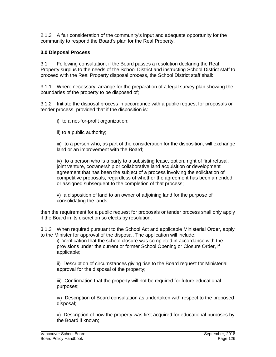2.1.3 A fair consideration of the community's input and adequate opportunity for the community to respond the Board's plan for the Real Property.

### **3.0 Disposal Process**

3.1 Following consultation, if the Board passes a resolution declaring the Real Property surplus to the needs of the School District and instructing School District staff to proceed with the Real Property disposal process, the School District staff shall:

3.1.1 Where necessary, arrange for the preparation of a legal survey plan showing the boundaries of the property to be disposed of;

3.1.2 Initiate the disposal process in accordance with a public request for proposals or tender process, provided that if the disposition is:

- i) to a not-for-profit organization;
- ii) to a public authority;

iii) to a person who, as part of the consideration for the disposition, will exchange land or an improvement with the Board;

iv) to a person who is a party to a subsisting lease, option, right of first refusal, joint venture, coownership or collaborative land acquisition or development agreement that has been the subject of a process involving the solicitation of competitive proposals, regardless of whether the agreement has been amended or assigned subsequent to the completion of that process;

v) a disposition of land to an owner of adjoining land for the purpose of consolidating the lands;

then the requirement for a public request for proposals or tender process shall only apply if the Board in its discretion so elects by resolution.

3.1.3 When required pursuant to the School Act and applicable Ministerial Order, apply to the Minister for approval of the disposal. The application will include:

i) Verification that the school closure was completed in accordance with the provisions under the current or former School Opening or Closure Order, if applicable;

ii) Description of circumstances giving rise to the Board request for Ministerial approval for the disposal of the property;

iii) Confirmation that the property will not be required for future educational purposes;

iv) Description of Board consultation as undertaken with respect to the proposed disposal;

v) Description of how the property was first acquired for educational purposes by the Board if known;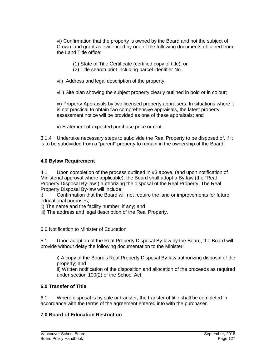vi) Confirmation that the property is owned by the Board and not the subject of Crown land grant as evidenced by one of the following documents obtained from the Land Title office:

- (1) State of Title Certificate (certified copy of title); or
- (2) Title search print including parcel identifier No.
- vii) Address and legal description of the property;

viii) Site plan showing the subject property clearly outlined in bold or in colour;

ix) Property Appraisals by two licensed property appraisers. In situations where it is not practical to obtain two comprehensive appraisals, the latest property assessment notice will be provided as one of these appraisals; and

x) Statement of expected purchase price or rent.

3.1.4 Undertake necessary steps to subdivide the Real Property to be disposed of, if it is to be subdivided from a "parent" property to remain in the ownership of the Board.

### **4.0 Bylaw Requirement**

4.1 Upon completion of the process outlined in #3 above, (and upon notification of Ministerial approval where applicable), the Board shall adopt a By-law (the "Real Property Disposal By-law") authorizing the disposal of the Real Property. The Real Property Disposal By-law will include:

i) Confirmation that the Board will not require the land or improvements for future educational purposes;

ii) The name and the facility number, if any; and

iii) The address and legal description of the Real Property.

5.0 Notification to Minister of Education

5.1 Upon adoption of the Real Property Disposal By-law by the Board, the Board will provide without delay the following documentation to the Minister:

i) A copy of the Board's Real Property Disposal By-law authorizing disposal of the property; and

ii) Written notification of the disposition and allocation of the proceeds as required under section 100(2) of the School Act.

### **6.0 Transfer of Title**

6.1 Where disposal is by sale or transfer, the transfer of title shall be completed in accordance with the terms of the agreement entered into with the purchaser.

### **7.0 Board of Education Restriction**